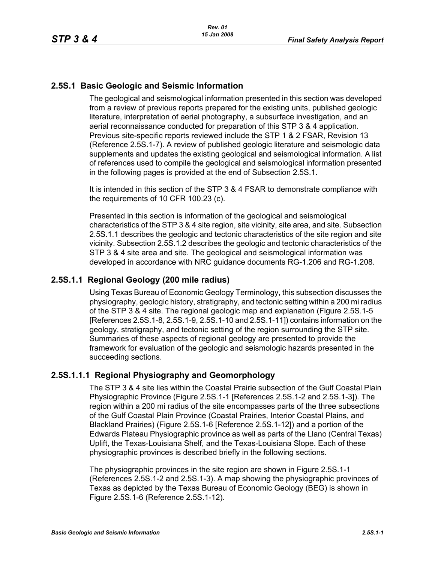## **2.5S.1 Basic Geologic and Seismic Information**

The geological and seismological information presented in this section was developed from a review of previous reports prepared for the existing units, published geologic literature, interpretation of aerial photography, a subsurface investigation, and an aerial reconnaissance conducted for preparation of this STP 3 & 4 application. Previous site-specific reports reviewed include the STP 1 & 2 FSAR, Revision 13 (Reference 2.5S.1-7). A review of published geologic literature and seismologic data supplements and updates the existing geological and seismological information. A list of references used to compile the geological and seismological information presented in the following pages is provided at the end of Subsection 2.5S.1.

It is intended in this section of the STP 3 & 4 FSAR to demonstrate compliance with the requirements of 10 CFR 100.23 (c).

Presented in this section is information of the geological and seismological characteristics of the STP 3 & 4 site region, site vicinity, site area, and site. Subsection 2.5S.1.1 describes the geologic and tectonic characteristics of the site region and site vicinity. Subsection 2.5S.1.2 describes the geologic and tectonic characteristics of the STP 3 & 4 site area and site. The geological and seismological information was developed in accordance with NRC guidance documents RG-1.206 and RG-1.208.

## **2.5S.1.1 Regional Geology (200 mile radius)**

Using Texas Bureau of Economic Geology Terminology, this subsection discusses the physiography, geologic history, stratigraphy, and tectonic setting within a 200 mi radius of the STP 3 & 4 site. The regional geologic map and explanation (Figure 2.5S.1-5 [References 2.5S.1-8, 2.5S.1-9, 2.5S.1-10 and 2.5S.1-11]) contains information on the geology, stratigraphy, and tectonic setting of the region surrounding the STP site. Summaries of these aspects of regional geology are presented to provide the framework for evaluation of the geologic and seismologic hazards presented in the succeeding sections.

## **2.5S.1.1.1 Regional Physiography and Geomorphology**

The STP 3 & 4 site lies within the Coastal Prairie subsection of the Gulf Coastal Plain Physiographic Province (Figure 2.5S.1-1 [References 2.5S.1-2 and 2.5S.1-3]). The region within a 200 mi radius of the site encompasses parts of the three subsections of the Gulf Coastal Plain Province (Coastal Prairies, Interior Coastal Plains, and Blackland Prairies) (Figure 2.5S.1-6 [Reference 2.5S.1-12]) and a portion of the Edwards Plateau Physiographic province as well as parts of the Llano (Central Texas) Uplift, the Texas-Louisiana Shelf, and the Texas-Louisiana Slope. Each of these physiographic provinces is described briefly in the following sections.

The physiographic provinces in the site region are shown in Figure 2.5S.1-1 (References 2.5S.1-2 and 2.5S.1-3). A map showing the physiographic provinces of Texas as depicted by the Texas Bureau of Economic Geology (BEG) is shown in Figure 2.5S.1-6 (Reference 2.5S.1-12).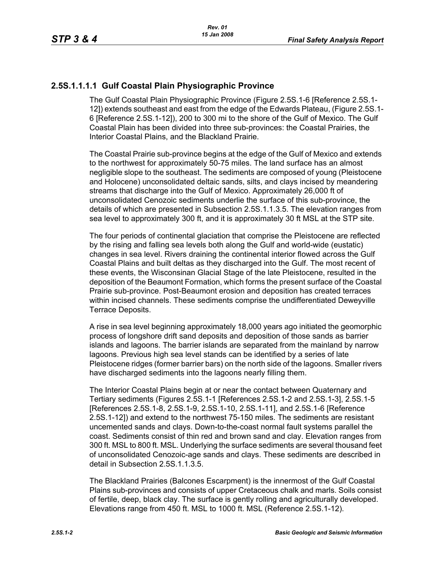# **2.5S.1.1.1.1 Gulf Coastal Plain Physiographic Province**

The Gulf Coastal Plain Physiographic Province (Figure 2.5S.1-6 [Reference 2.5S.1- 12]) extends southeast and east from the edge of the Edwards Plateau, (Figure 2.5S.1- 6 [Reference 2.5S.1-12]), 200 to 300 mi to the shore of the Gulf of Mexico. The Gulf Coastal Plain has been divided into three sub-provinces: the Coastal Prairies, the Interior Coastal Plains, and the Blackland Prairie.

The Coastal Prairie sub-province begins at the edge of the Gulf of Mexico and extends to the northwest for approximately 50-75 miles. The land surface has an almost negligible slope to the southeast. The sediments are composed of young (Pleistocene and Holocene) unconsolidated deltaic sands, silts, and clays incised by meandering streams that discharge into the Gulf of Mexico. Approximately 26,000 ft of unconsolidated Cenozoic sediments underlie the surface of this sub-province, the details of which are presented in Subsection 2.5S.1.1.3.5. The elevation ranges from sea level to approximately 300 ft, and it is approximately 30 ft MSL at the STP site.

The four periods of continental glaciation that comprise the Pleistocene are reflected by the rising and falling sea levels both along the Gulf and world-wide (eustatic) changes in sea level. Rivers draining the continental interior flowed across the Gulf Coastal Plains and built deltas as they discharged into the Gulf. The most recent of these events, the Wisconsinan Glacial Stage of the late Pleistocene, resulted in the deposition of the Beaumont Formation, which forms the present surface of the Coastal Prairie sub-province. Post-Beaumont erosion and deposition has created terraces within incised channels. These sediments comprise the undifferentiated Deweyville Terrace Deposits.

A rise in sea level beginning approximately 18,000 years ago initiated the geomorphic process of longshore drift sand deposits and deposition of those sands as barrier islands and lagoons. The barrier islands are separated from the mainland by narrow lagoons. Previous high sea level stands can be identified by a series of late Pleistocene ridges (former barrier bars) on the north side of the lagoons. Smaller rivers have discharged sediments into the lagoons nearly filling them.

The Interior Coastal Plains begin at or near the contact between Quaternary and Tertiary sediments (Figures 2.5S.1-1 [References 2.5S.1-2 and 2.5S.1-3], 2.5S.1-5 [References 2.5S.1-8, 2.5S.1-9, 2.5S.1-10, 2.5S.1-11], and 2.5S.1-6 [Reference 2.5S.1-12]) and extend to the northwest 75-150 miles. The sediments are resistant uncemented sands and clays. Down-to-the-coast normal fault systems parallel the coast. Sediments consist of thin red and brown sand and clay. Elevation ranges from 300 ft. MSL to 800 ft. MSL. Underlying the surface sediments are several thousand feet of unconsolidated Cenozoic-age sands and clays. These sediments are described in detail in Subsection 2.5S.1.1.3.5.

The Blackland Prairies (Balcones Escarpment) is the innermost of the Gulf Coastal Plains sub-provinces and consists of upper Cretaceous chalk and marls. Soils consist of fertile, deep, black clay. The surface is gently rolling and agriculturally developed. Elevations range from 450 ft. MSL to 1000 ft. MSL (Reference 2.5S.1-12).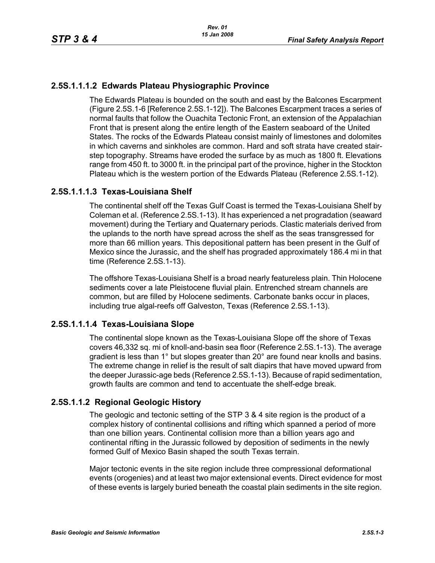## **2.5S.1.1.1.2 Edwards Plateau Physiographic Province**

The Edwards Plateau is bounded on the south and east by the Balcones Escarpment (Figure 2.5S.1-6 [Reference 2.5S.1-12]). The Balcones Escarpment traces a series of normal faults that follow the Ouachita Tectonic Front, an extension of the Appalachian Front that is present along the entire length of the Eastern seaboard of the United States. The rocks of the Edwards Plateau consist mainly of limestones and dolomites in which caverns and sinkholes are common. Hard and soft strata have created stairstep topography. Streams have eroded the surface by as much as 1800 ft. Elevations range from 450 ft. to 3000 ft. in the principal part of the province, higher in the Stockton Plateau which is the western portion of the Edwards Plateau (Reference 2.5S.1-12).

## **2.5S.1.1.1.3 Texas-Louisiana Shelf**

The continental shelf off the Texas Gulf Coast is termed the Texas-Louisiana Shelf by Coleman et al. (Reference 2.5S.1-13). It has experienced a net progradation (seaward movement) during the Tertiary and Quaternary periods. Clastic materials derived from the uplands to the north have spread across the shelf as the seas transgressed for more than 66 million years. This depositional pattern has been present in the Gulf of Mexico since the Jurassic, and the shelf has prograded approximately 186.4 mi in that time (Reference 2.5S.1-13).

The offshore Texas-Louisiana Shelf is a broad nearly featureless plain. Thin Holocene sediments cover a late Pleistocene fluvial plain. Entrenched stream channels are common, but are filled by Holocene sediments. Carbonate banks occur in places, including true algal-reefs off Galveston, Texas (Reference 2.5S.1-13).

## **2.5S.1.1.1.4 Texas-Louisiana Slope**

The continental slope known as the Texas-Louisiana Slope off the shore of Texas covers 46,332 sq. mi of knoll-and-basin sea floor (Reference 2.5S.1-13). The average gradient is less than 1° but slopes greater than 20° are found near knolls and basins. The extreme change in relief is the result of salt diapirs that have moved upward from the deeper Jurassic-age beds (Reference 2.5S.1-13). Because of rapid sedimentation, growth faults are common and tend to accentuate the shelf-edge break.

## **2.5S.1.1.2 Regional Geologic History**

The geologic and tectonic setting of the STP 3 & 4 site region is the product of a complex history of continental collisions and rifting which spanned a period of more than one billion years. Continental collision more than a billion years ago and continental rifting in the Jurassic followed by deposition of sediments in the newly formed Gulf of Mexico Basin shaped the south Texas terrain.

Major tectonic events in the site region include three compressional deformational events (orogenies) and at least two major extensional events. Direct evidence for most of these events is largely buried beneath the coastal plain sediments in the site region.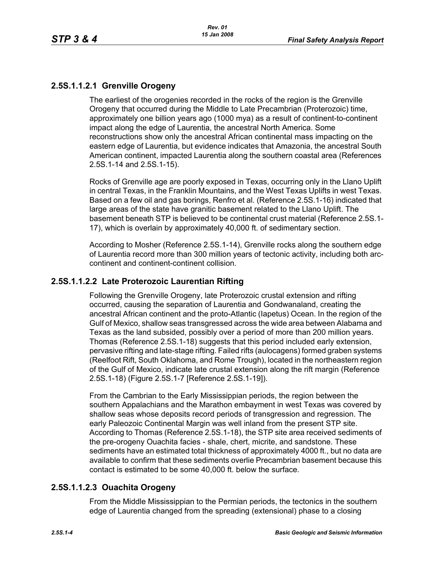# **2.5S.1.1.2.1 Grenville Orogeny**

The earliest of the orogenies recorded in the rocks of the region is the Grenville Orogeny that occurred during the Middle to Late Precambrian (Proterozoic) time, approximately one billion years ago (1000 mya) as a result of continent-to-continent impact along the edge of Laurentia, the ancestral North America. Some reconstructions show only the ancestral African continental mass impacting on the eastern edge of Laurentia, but evidence indicates that Amazonia, the ancestral South American continent, impacted Laurentia along the southern coastal area (References 2.5S.1-14 and 2.5S.1-15).

Rocks of Grenville age are poorly exposed in Texas, occurring only in the Llano Uplift in central Texas, in the Franklin Mountains, and the West Texas Uplifts in west Texas. Based on a few oil and gas borings, Renfro et al. (Reference 2.5S.1-16) indicated that large areas of the state have granitic basement related to the Llano Uplift. The basement beneath STP is believed to be continental crust material (Reference 2.5S.1- 17), which is overlain by approximately 40,000 ft. of sedimentary section.

According to Mosher (Reference 2.5S.1-14), Grenville rocks along the southern edge of Laurentia record more than 300 million years of tectonic activity, including both arccontinent and continent-continent collision.

## **2.5S.1.1.2.2 Late Proterozoic Laurentian Rifting**

Following the Grenville Orogeny, late Proterozoic crustal extension and rifting occurred, causing the separation of Laurentia and Gondwanaland, creating the ancestral African continent and the proto-Atlantic (Iapetus) Ocean. In the region of the Gulf of Mexico, shallow seas transgressed across the wide area between Alabama and Texas as the land subsided, possibly over a period of more than 200 million years. Thomas (Reference 2.5S.1-18) suggests that this period included early extension, pervasive rifting and late-stage rifting. Failed rifts (aulocagens) formed graben systems (Reelfoot Rift, South Oklahoma, and Rome Trough), located in the northeastern region of the Gulf of Mexico, indicate late crustal extension along the rift margin (Reference 2.5S.1-18) (Figure 2.5S.1-7 [Reference 2.5S.1-19]).

From the Cambrian to the Early Mississippian periods, the region between the southern Appalachians and the Marathon embayment in west Texas was covered by shallow seas whose deposits record periods of transgression and regression. The early Paleozoic Continental Margin was well inland from the present STP site. According to Thomas (Reference 2.5S.1-18), the STP site area received sediments of the pre-orogeny Ouachita facies - shale, chert, micrite, and sandstone. These sediments have an estimated total thickness of approximately 4000 ft., but no data are available to confirm that these sediments overlie Precambrian basement because this contact is estimated to be some 40,000 ft. below the surface.

# **2.5S.1.1.2.3 Ouachita Orogeny**

From the Middle Mississippian to the Permian periods, the tectonics in the southern edge of Laurentia changed from the spreading (extensional) phase to a closing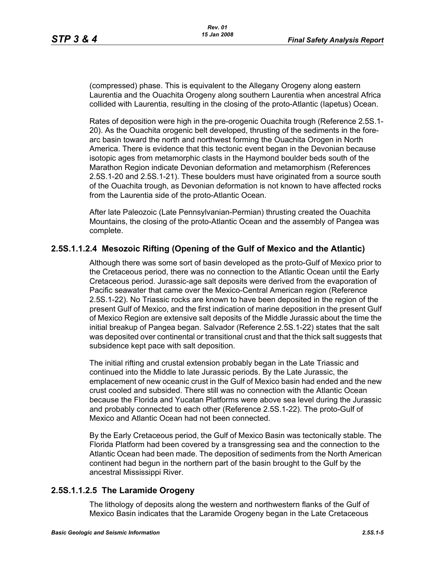(compressed) phase. This is equivalent to the Allegany Orogeny along eastern Laurentia and the Ouachita Orogeny along southern Laurentia when ancestral Africa collided with Laurentia, resulting in the closing of the proto-Atlantic (Iapetus) Ocean.

Rates of deposition were high in the pre-orogenic Ouachita trough (Reference 2.5S.1- 20). As the Ouachita orogenic belt developed, thrusting of the sediments in the forearc basin toward the north and northwest forming the Ouachita Orogen in North America. There is evidence that this tectonic event began in the Devonian because isotopic ages from metamorphic clasts in the Haymond boulder beds south of the Marathon Region indicate Devonian deformation and metamorphism (References 2.5S.1-20 and 2.5S.1-21). These boulders must have originated from a source south of the Ouachita trough, as Devonian deformation is not known to have affected rocks from the Laurentia side of the proto-Atlantic Ocean.

After late Paleozoic (Late Pennsylvanian-Permian) thrusting created the Ouachita Mountains, the closing of the proto-Atlantic Ocean and the assembly of Pangea was complete.

## **2.5S.1.1.2.4 Mesozoic Rifting (Opening of the Gulf of Mexico and the Atlantic)**

Although there was some sort of basin developed as the proto-Gulf of Mexico prior to the Cretaceous period, there was no connection to the Atlantic Ocean until the Early Cretaceous period. Jurassic-age salt deposits were derived from the evaporation of Pacific seawater that came over the Mexico-Central American region (Reference 2.5S.1-22). No Triassic rocks are known to have been deposited in the region of the present Gulf of Mexico, and the first indication of marine deposition in the present Gulf of Mexico Region are extensive salt deposits of the Middle Jurassic about the time the initial breakup of Pangea began. Salvador (Reference 2.5S.1-22) states that the salt was deposited over continental or transitional crust and that the thick salt suggests that subsidence kept pace with salt deposition.

The initial rifting and crustal extension probably began in the Late Triassic and continued into the Middle to late Jurassic periods. By the Late Jurassic, the emplacement of new oceanic crust in the Gulf of Mexico basin had ended and the new crust cooled and subsided. There still was no connection with the Atlantic Ocean because the Florida and Yucatan Platforms were above sea level during the Jurassic and probably connected to each other (Reference 2.5S.1-22). The proto-Gulf of Mexico and Atlantic Ocean had not been connected.

By the Early Cretaceous period, the Gulf of Mexico Basin was tectonically stable. The Florida Platform had been covered by a transgressing sea and the connection to the Atlantic Ocean had been made. The deposition of sediments from the North American continent had begun in the northern part of the basin brought to the Gulf by the ancestral Mississippi River.

## **2.5S.1.1.2.5 The Laramide Orogeny**

The lithology of deposits along the western and northwestern flanks of the Gulf of Mexico Basin indicates that the Laramide Orogeny began in the Late Cretaceous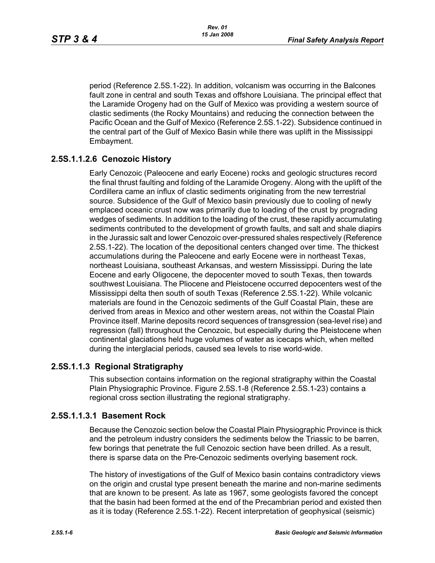period (Reference 2.5S.1-22). In addition, volcanism was occurring in the Balcones fault zone in central and south Texas and offshore Louisiana. The principal effect that the Laramide Orogeny had on the Gulf of Mexico was providing a western source of clastic sediments (the Rocky Mountains) and reducing the connection between the Pacific Ocean and the Gulf of Mexico (Reference 2.5S.1-22). Subsidence continued in the central part of the Gulf of Mexico Basin while there was uplift in the Mississippi Embayment.

# **2.5S.1.1.2.6 Cenozoic History**

Early Cenozoic (Paleocene and early Eocene) rocks and geologic structures record the final thrust faulting and folding of the Laramide Orogeny. Along with the uplift of the Cordillera came an influx of clastic sediments originating from the new terrestrial source. Subsidence of the Gulf of Mexico basin previously due to cooling of newly emplaced oceanic crust now was primarily due to loading of the crust by prograding wedges of sediments. In addition to the loading of the crust, these rapidly accumulating sediments contributed to the development of growth faults, and salt and shale diapirs in the Jurassic salt and lower Cenozoic over-pressured shales respectively (Reference 2.5S.1-22). The location of the depositional centers changed over time. The thickest accumulations during the Paleocene and early Eocene were in northeast Texas, northeast Louisiana, southeast Arkansas, and western Mississippi. During the late Eocene and early Oligocene, the depocenter moved to south Texas, then towards southwest Louisiana. The Pliocene and Pleistocene occurred depocenters west of the Mississippi delta then south of south Texas (Reference 2.5S.1-22). While volcanic materials are found in the Cenozoic sediments of the Gulf Coastal Plain, these are derived from areas in Mexico and other western areas, not within the Coastal Plain Province itself. Marine deposits record sequences of transgression (sea-level rise) and regression (fall) throughout the Cenozoic, but especially during the Pleistocene when continental glaciations held huge volumes of water as icecaps which, when melted during the interglacial periods, caused sea levels to rise world-wide.

## **2.5S.1.1.3 Regional Stratigraphy**

This subsection contains information on the regional stratigraphy within the Coastal Plain Physiographic Province. Figure 2.5S.1-8 (Reference 2.5S.1-23) contains a regional cross section illustrating the regional stratigraphy.

## **2.5S.1.1.3.1 Basement Rock**

Because the Cenozoic section below the Coastal Plain Physiographic Province is thick and the petroleum industry considers the sediments below the Triassic to be barren, few borings that penetrate the full Cenozoic section have been drilled. As a result, there is sparse data on the Pre-Cenozoic sediments overlying basement rock.

The history of investigations of the Gulf of Mexico basin contains contradictory views on the origin and crustal type present beneath the marine and non-marine sediments that are known to be present. As late as 1967, some geologists favored the concept that the basin had been formed at the end of the Precambrian period and existed then as it is today (Reference 2.5S.1-22). Recent interpretation of geophysical (seismic)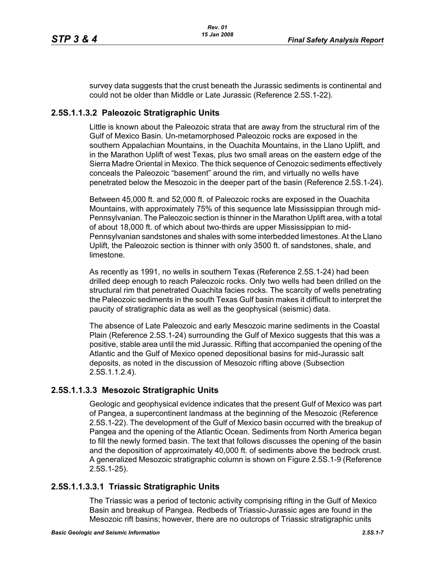survey data suggests that the crust beneath the Jurassic sediments is continental and could not be older than Middle or Late Jurassic (Reference 2.5S.1-22).

## **2.5S.1.1.3.2 Paleozoic Stratigraphic Units**

Little is known about the Paleozoic strata that are away from the structural rim of the Gulf of Mexico Basin. Un-metamorphosed Paleozoic rocks are exposed in the southern Appalachian Mountains, in the Ouachita Mountains, in the Llano Uplift, and in the Marathon Uplift of west Texas, plus two small areas on the eastern edge of the Sierra Madre Oriental in Mexico. The thick sequence of Cenozoic sediments effectively conceals the Paleozoic "basement" around the rim, and virtually no wells have penetrated below the Mesozoic in the deeper part of the basin (Reference 2.5S.1-24).

Between 45,000 ft. and 52,000 ft. of Paleozoic rocks are exposed in the Ouachita Mountains, with approximately 75% of this sequence late Mississippian through mid-Pennsylvanian. The Paleozoic section is thinner in the Marathon Uplift area, with a total of about 18,000 ft. of which about two-thirds are upper Mississippian to mid-Pennsylvanian sandstones and shales with some interbedded limestones. At the Llano Uplift, the Paleozoic section is thinner with only 3500 ft. of sandstones, shale, and limestone.

As recently as 1991, no wells in southern Texas (Reference 2.5S.1-24) had been drilled deep enough to reach Paleozoic rocks. Only two wells had been drilled on the structural rim that penetrated Ouachita facies rocks. The scarcity of wells penetrating the Paleozoic sediments in the south Texas Gulf basin makes it difficult to interpret the paucity of stratigraphic data as well as the geophysical (seismic) data.

The absence of Late Paleozoic and early Mesozoic marine sediments in the Coastal Plain (Reference 2.5S.1-24) surrounding the Gulf of Mexico suggests that this was a positive, stable area until the mid Jurassic. Rifting that accompanied the opening of the Atlantic and the Gulf of Mexico opened depositional basins for mid-Jurassic salt deposits, as noted in the discussion of Mesozoic rifting above (Subsection 2.5S.1.1.2.4).

## **2.5S.1.1.3.3 Mesozoic Stratigraphic Units**

Geologic and geophysical evidence indicates that the present Gulf of Mexico was part of Pangea, a supercontinent landmass at the beginning of the Mesozoic (Reference 2.5S.1-22). The development of the Gulf of Mexico basin occurred with the breakup of Pangea and the opening of the Atlantic Ocean. Sediments from North America began to fill the newly formed basin. The text that follows discusses the opening of the basin and the deposition of approximately 40,000 ft. of sediments above the bedrock crust. A generalized Mesozoic stratigraphic column is shown on Figure 2.5S.1-9 (Reference 2.5S.1-25).

# **2.5S.1.1.3.3.1 Triassic Stratigraphic Units**

The Triassic was a period of tectonic activity comprising rifting in the Gulf of Mexico Basin and breakup of Pangea. Redbeds of Triassic-Jurassic ages are found in the Mesozoic rift basins; however, there are no outcrops of Triassic stratigraphic units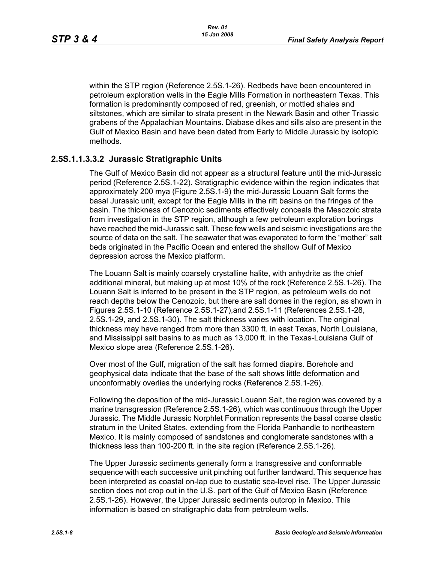within the STP region (Reference 2.5S.1-26). Redbeds have been encountered in petroleum exploration wells in the Eagle Mills Formation in northeastern Texas. This formation is predominantly composed of red, greenish, or mottled shales and siltstones, which are similar to strata present in the Newark Basin and other Triassic grabens of the Appalachian Mountains. Diabase dikes and sills also are present in the Gulf of Mexico Basin and have been dated from Early to Middle Jurassic by isotopic methods.

### **2.5S.1.1.3.3.2 Jurassic Stratigraphic Units**

The Gulf of Mexico Basin did not appear as a structural feature until the mid-Jurassic period (Reference 2.5S.1-22). Stratigraphic evidence within the region indicates that approximately 200 mya (Figure 2.5S.1-9) the mid-Jurassic Louann Salt forms the basal Jurassic unit, except for the Eagle Mills in the rift basins on the fringes of the basin. The thickness of Cenozoic sediments effectively conceals the Mesozoic strata from investigation in the STP region, although a few petroleum exploration borings have reached the mid-Jurassic salt. These few wells and seismic investigations are the source of data on the salt. The seawater that was evaporated to form the "mother" salt beds originated in the Pacific Ocean and entered the shallow Gulf of Mexico depression across the Mexico platform.

The Louann Salt is mainly coarsely crystalline halite, with anhydrite as the chief additional mineral, but making up at most 10% of the rock (Reference 2.5S.1-26). The Louann Salt is inferred to be present in the STP region, as petroleum wells do not reach depths below the Cenozoic, but there are salt domes in the region, as shown in Figures 2.5S.1-10 (Reference 2.5S.1-27),and 2.5S.1-11 (References 2.5S.1-28, 2.5S.1-29, and 2.5S.1-30). The salt thickness varies with location. The original thickness may have ranged from more than 3300 ft. in east Texas, North Louisiana, and Mississippi salt basins to as much as 13,000 ft. in the Texas-Louisiana Gulf of Mexico slope area (Reference 2.5S.1-26).

Over most of the Gulf, migration of the salt has formed diapirs. Borehole and geophysical data indicate that the base of the salt shows little deformation and unconformably overlies the underlying rocks (Reference 2.5S.1-26).

Following the deposition of the mid-Jurassic Louann Salt, the region was covered by a marine transgression (Reference 2.5S.1-26), which was continuous through the Upper Jurassic. The Middle Jurassic Norphlet Formation represents the basal coarse clastic stratum in the United States, extending from the Florida Panhandle to northeastern Mexico. It is mainly composed of sandstones and conglomerate sandstones with a thickness less than 100-200 ft. in the site region (Reference 2.5S.1-26).

The Upper Jurassic sediments generally form a transgressive and conformable sequence with each successive unit pinching out further landward. This sequence has been interpreted as coastal on-lap due to eustatic sea-level rise. The Upper Jurassic section does not crop out in the U.S. part of the Gulf of Mexico Basin (Reference 2.5S.1-26). However, the Upper Jurassic sediments outcrop in Mexico. This information is based on stratigraphic data from petroleum wells.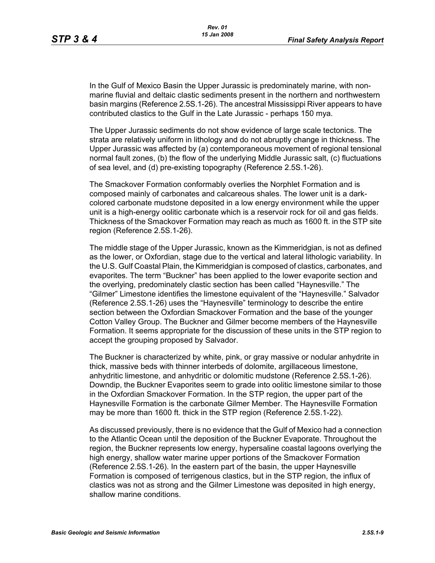In the Gulf of Mexico Basin the Upper Jurassic is predominately marine, with nonmarine fluvial and deltaic clastic sediments present in the northern and northwestern basin margins (Reference 2.5S.1-26). The ancestral Mississippi River appears to have contributed clastics to the Gulf in the Late Jurassic - perhaps 150 mya.

The Upper Jurassic sediments do not show evidence of large scale tectonics. The strata are relatively uniform in lithology and do not abruptly change in thickness. The Upper Jurassic was affected by (a) contemporaneous movement of regional tensional normal fault zones, (b) the flow of the underlying Middle Jurassic salt, (c) fluctuations of sea level, and (d) pre-existing topography (Reference 2.5S.1-26).

The Smackover Formation conformably overlies the Norphlet Formation and is composed mainly of carbonates and calcareous shales. The lower unit is a darkcolored carbonate mudstone deposited in a low energy environment while the upper unit is a high-energy oolitic carbonate which is a reservoir rock for oil and gas fields. Thickness of the Smackover Formation may reach as much as 1600 ft. in the STP site region (Reference 2.5S.1-26).

The middle stage of the Upper Jurassic, known as the Kimmeridgian, is not as defined as the lower, or Oxfordian, stage due to the vertical and lateral lithologic variability. In the U.S. Gulf Coastal Plain, the Kimmeridgian is composed of clastics, carbonates, and evaporites. The term "Buckner" has been applied to the lower evaporite section and the overlying, predominately clastic section has been called "Haynesville." The "Gilmer" Limestone identifies the limestone equivalent of the "Haynesville." Salvador (Reference 2.5S.1-26) uses the "Haynesville" terminology to describe the entire section between the Oxfordian Smackover Formation and the base of the younger Cotton Valley Group. The Buckner and Gilmer become members of the Haynesville Formation. It seems appropriate for the discussion of these units in the STP region to accept the grouping proposed by Salvador.

The Buckner is characterized by white, pink, or gray massive or nodular anhydrite in thick, massive beds with thinner interbeds of dolomite, argillaceous limestone, anhydritic limestone, and anhydritic or dolomitic mudstone (Reference 2.5S.1-26). Downdip, the Buckner Evaporites seem to grade into oolitic limestone similar to those in the Oxfordian Smackover Formation. In the STP region, the upper part of the Haynesville Formation is the carbonate Gilmer Member. The Haynesville Formation may be more than 1600 ft. thick in the STP region (Reference 2.5S.1-22).

As discussed previously, there is no evidence that the Gulf of Mexico had a connection to the Atlantic Ocean until the deposition of the Buckner Evaporate. Throughout the region, the Buckner represents low energy, hypersaline coastal lagoons overlying the high energy, shallow water marine upper portions of the Smackover Formation (Reference 2.5S.1-26). In the eastern part of the basin, the upper Haynesville Formation is composed of terrigenous clastics, but in the STP region, the influx of clastics was not as strong and the Gilmer Limestone was deposited in high energy, shallow marine conditions.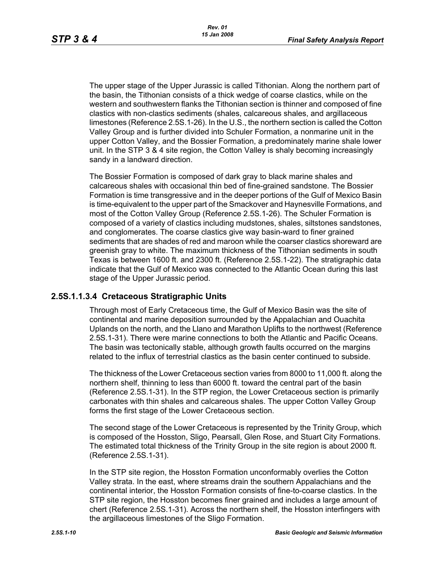The upper stage of the Upper Jurassic is called Tithonian. Along the northern part of the basin, the Tithonian consists of a thick wedge of coarse clastics, while on the western and southwestern flanks the Tithonian section is thinner and composed of fine clastics with non-clastics sediments (shales, calcareous shales, and argillaceous limestones (Reference 2.5S.1-26). In the U.S., the northern section is called the Cotton Valley Group and is further divided into Schuler Formation, a nonmarine unit in the upper Cotton Valley, and the Bossier Formation, a predominately marine shale lower unit. In the STP 3 & 4 site region, the Cotton Valley is shaly becoming increasingly sandy in a landward direction.

The Bossier Formation is composed of dark gray to black marine shales and calcareous shales with occasional thin bed of fine-grained sandstone. The Bossier Formation is time transgressive and in the deeper portions of the Gulf of Mexico Basin is time-equivalent to the upper part of the Smackover and Haynesville Formations, and most of the Cotton Valley Group (Reference 2.5S.1-26). The Schuler Formation is composed of a variety of clastics including mudstones, shales, siltstones sandstones, and conglomerates. The coarse clastics give way basin-ward to finer grained sediments that are shades of red and maroon while the coarser clastics shoreward are greenish gray to white. The maximum thickness of the Tithonian sediments in south Texas is between 1600 ft. and 2300 ft. (Reference 2.5S.1-22). The stratigraphic data indicate that the Gulf of Mexico was connected to the Atlantic Ocean during this last stage of the Upper Jurassic period.

## **2.5S.1.1.3.4 Cretaceous Stratigraphic Units**

Through most of Early Cretaceous time, the Gulf of Mexico Basin was the site of continental and marine deposition surrounded by the Appalachian and Ouachita Uplands on the north, and the Llano and Marathon Uplifts to the northwest (Reference 2.5S.1-31). There were marine connections to both the Atlantic and Pacific Oceans. The basin was tectonically stable, although growth faults occurred on the margins related to the influx of terrestrial clastics as the basin center continued to subside.

The thickness of the Lower Cretaceous section varies from 8000 to 11,000 ft. along the northern shelf, thinning to less than 6000 ft. toward the central part of the basin (Reference 2.5S.1-31). In the STP region, the Lower Cretaceous section is primarily carbonates with thin shales and calcareous shales. The upper Cotton Valley Group forms the first stage of the Lower Cretaceous section.

The second stage of the Lower Cretaceous is represented by the Trinity Group, which is composed of the Hosston, Sligo, Pearsall, Glen Rose, and Stuart City Formations. The estimated total thickness of the Trinity Group in the site region is about 2000 ft. (Reference 2.5S.1-31).

In the STP site region, the Hosston Formation unconformably overlies the Cotton Valley strata. In the east, where streams drain the southern Appalachians and the continental interior, the Hosston Formation consists of fine-to-coarse clastics. In the STP site region, the Hosston becomes finer grained and includes a large amount of chert (Reference 2.5S.1-31). Across the northern shelf, the Hosston interfingers with the argillaceous limestones of the Sligo Formation.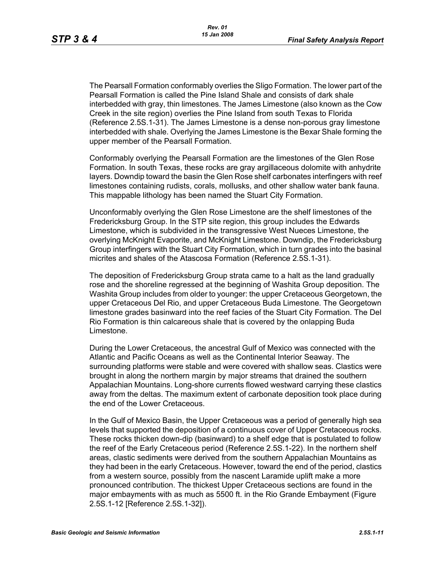The Pearsall Formation conformably overlies the Sligo Formation. The lower part of the Pearsall Formation is called the Pine Island Shale and consists of dark shale interbedded with gray, thin limestones. The James Limestone (also known as the Cow Creek in the site region) overlies the Pine Island from south Texas to Florida (Reference 2.5S.1-31). The James Limestone is a dense non-porous gray limestone interbedded with shale. Overlying the James Limestone is the Bexar Shale forming the upper member of the Pearsall Formation.

Conformably overlying the Pearsall Formation are the limestones of the Glen Rose Formation. In south Texas, these rocks are gray argillaceous dolomite with anhydrite layers. Downdip toward the basin the Glen Rose shelf carbonates interfingers with reef limestones containing rudists, corals, mollusks, and other shallow water bank fauna. This mappable lithology has been named the Stuart City Formation.

Unconformably overlying the Glen Rose Limestone are the shelf limestones of the Fredericksburg Group. In the STP site region, this group includes the Edwards Limestone, which is subdivided in the transgressive West Nueces Limestone, the overlying McKnight Evaporite, and McKnight Limestone. Downdip, the Fredericksburg Group interfingers with the Stuart City Formation, which in turn grades into the basinal micrites and shales of the Atascosa Formation (Reference 2.5S.1-31).

The deposition of Fredericksburg Group strata came to a halt as the land gradually rose and the shoreline regressed at the beginning of Washita Group deposition. The Washita Group includes from older to younger: the upper Cretaceous Georgetown, the upper Cretaceous Del Rio, and upper Cretaceous Buda Limestone. The Georgetown limestone grades basinward into the reef facies of the Stuart City Formation. The Del Rio Formation is thin calcareous shale that is covered by the onlapping Buda Limestone.

During the Lower Cretaceous, the ancestral Gulf of Mexico was connected with the Atlantic and Pacific Oceans as well as the Continental Interior Seaway. The surrounding platforms were stable and were covered with shallow seas. Clastics were brought in along the northern margin by major streams that drained the southern Appalachian Mountains. Long-shore currents flowed westward carrying these clastics away from the deltas. The maximum extent of carbonate deposition took place during the end of the Lower Cretaceous.

In the Gulf of Mexico Basin, the Upper Cretaceous was a period of generally high sea levels that supported the deposition of a continuous cover of Upper Cretaceous rocks. These rocks thicken down-dip (basinward) to a shelf edge that is postulated to follow the reef of the Early Cretaceous period (Reference 2.5S.1-22). In the northern shelf areas, clastic sediments were derived from the southern Appalachian Mountains as they had been in the early Cretaceous. However, toward the end of the period, clastics from a western source, possibly from the nascent Laramide uplift make a more pronounced contribution. The thickest Upper Cretaceous sections are found in the major embayments with as much as 5500 ft. in the Rio Grande Embayment (Figure 2.5S.1-12 [Reference 2.5S.1-32]).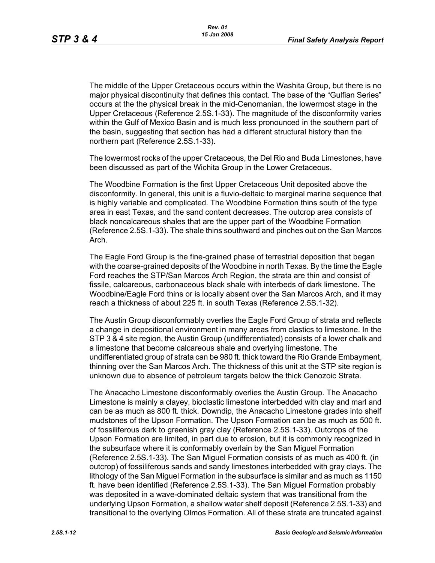The middle of the Upper Cretaceous occurs within the Washita Group, but there is no major physical discontinuity that defines this contact. The base of the "Gulfian Series" occurs at the the physical break in the mid-Cenomanian, the lowermost stage in the Upper Cretaceous (Reference 2.5S.1-33). The magnitude of the disconformity varies within the Gulf of Mexico Basin and is much less pronounced in the southern part of the basin, suggesting that section has had a different structural history than the northern part (Reference 2.5S.1-33).

The lowermost rocks of the upper Cretaceous, the Del Rio and Buda Limestones, have been discussed as part of the Wichita Group in the Lower Cretaceous.

The Woodbine Formation is the first Upper Cretaceous Unit deposited above the disconformity. In general, this unit is a fluvio-deltaic to marginal marine sequence that is highly variable and complicated. The Woodbine Formation thins south of the type area in east Texas, and the sand content decreases. The outcrop area consists of black noncalcareous shales that are the upper part of the Woodbine Formation (Reference 2.5S.1-33). The shale thins southward and pinches out on the San Marcos Arch.

The Eagle Ford Group is the fine-grained phase of terrestrial deposition that began with the coarse-grained deposits of the Woodbine in north Texas. By the time the Eagle Ford reaches the STP/San Marcos Arch Region, the strata are thin and consist of fissile, calcareous, carbonaceous black shale with interbeds of dark limestone. The Woodbine/Eagle Ford thins or is locally absent over the San Marcos Arch, and it may reach a thickness of about 225 ft. in south Texas (Reference 2.5S.1-32).

The Austin Group disconformably overlies the Eagle Ford Group of strata and reflects a change in depositional environment in many areas from clastics to limestone. In the STP 3 & 4 site region, the Austin Group (undifferentiated) consists of a lower chalk and a limestone that become calcareous shale and overlying limestone. The undifferentiated group of strata can be 980 ft. thick toward the Rio Grande Embayment, thinning over the San Marcos Arch. The thickness of this unit at the STP site region is unknown due to absence of petroleum targets below the thick Cenozoic Strata.

The Anacacho Limestone disconformably overlies the Austin Group. The Anacacho Limestone is mainly a clayey, bioclastic limestone interbedded with clay and marl and can be as much as 800 ft. thick. Downdip, the Anacacho Limestone grades into shelf mudstones of the Upson Formation. The Upson Formation can be as much as 500 ft. of fossiliferous dark to greenish gray clay (Reference 2.5S.1-33). Outcrops of the Upson Formation are limited, in part due to erosion, but it is commonly recognized in the subsurface where it is conformably overlain by the San Miguel Formation (Reference 2.5S.1-33). The San Miguel Formation consists of as much as 400 ft. (in outcrop) of fossiliferous sands and sandy limestones interbedded with gray clays. The lithology of the San Miguel Formation in the subsurface is similar and as much as 1150 ft. have been identified (Reference 2.5S.1-33). The San Miguel Formation probably was deposited in a wave-dominated deltaic system that was transitional from the underlying Upson Formation, a shallow water shelf deposit (Reference 2.5S.1-33) and transitional to the overlying Olmos Formation. All of these strata are truncated against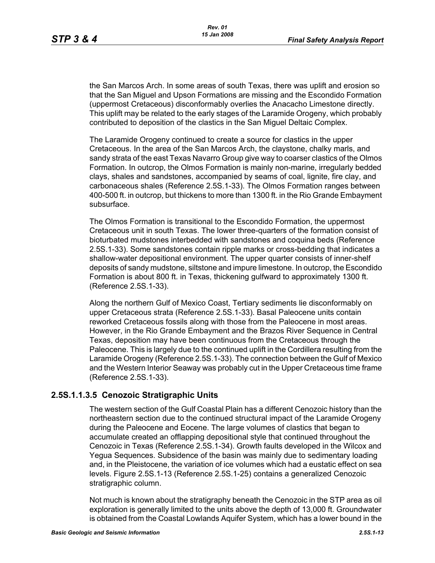the San Marcos Arch. In some areas of south Texas, there was uplift and erosion so that the San Miguel and Upson Formations are missing and the Escondido Formation (uppermost Cretaceous) disconformably overlies the Anacacho Limestone directly. This uplift may be related to the early stages of the Laramide Orogeny, which probably contributed to deposition of the clastics in the San Miguel Deltaic Complex.

The Laramide Orogeny continued to create a source for clastics in the upper Cretaceous. In the area of the San Marcos Arch, the claystone, chalky marls, and sandy strata of the east Texas Navarro Group give way to coarser clastics of the Olmos Formation. In outcrop, the Olmos Formation is mainly non-marine, irregularly bedded clays, shales and sandstones, accompanied by seams of coal, lignite, fire clay, and carbonaceous shales (Reference 2.5S.1-33). The Olmos Formation ranges between 400-500 ft. in outcrop, but thickens to more than 1300 ft. in the Rio Grande Embayment subsurface.

The Olmos Formation is transitional to the Escondido Formation, the uppermost Cretaceous unit in south Texas. The lower three-quarters of the formation consist of bioturbated mudstones interbedded with sandstones and coquina beds (Reference 2.5S.1-33). Some sandstones contain ripple marks or cross-bedding that indicates a shallow-water depositional environment. The upper quarter consists of inner-shelf deposits of sandy mudstone, siltstone and impure limestone. In outcrop, the Escondido Formation is about 800 ft. in Texas, thickening gulfward to approximately 1300 ft. (Reference 2.5S.1-33).

Along the northern Gulf of Mexico Coast, Tertiary sediments lie disconformably on upper Cretaceous strata (Reference 2.5S.1-33). Basal Paleocene units contain reworked Cretaceous fossils along with those from the Paleocene in most areas. However, in the Rio Grande Embayment and the Brazos River Sequence in Central Texas, deposition may have been continuous from the Cretaceous through the Paleocene. This is largely due to the continued uplift in the Cordillera resulting from the Laramide Orogeny (Reference 2.5S.1-33). The connection between the Gulf of Mexico and the Western Interior Seaway was probably cut in the Upper Cretaceous time frame (Reference 2.5S.1-33).

### **2.5S.1.1.3.5 Cenozoic Stratigraphic Units**

The western section of the Gulf Coastal Plain has a different Cenozoic history than the northeastern section due to the continued structural impact of the Laramide Orogeny during the Paleocene and Eocene. The large volumes of clastics that began to accumulate created an offlapping depositional style that continued throughout the Cenozoic in Texas (Reference 2.5S.1-34). Growth faults developed in the Wilcox and Yegua Sequences. Subsidence of the basin was mainly due to sedimentary loading and, in the Pleistocene, the variation of ice volumes which had a eustatic effect on sea levels. Figure 2.5S.1-13 (Reference 2.5S.1-25) contains a generalized Cenozoic stratigraphic column.

Not much is known about the stratigraphy beneath the Cenozoic in the STP area as oil exploration is generally limited to the units above the depth of 13,000 ft. Groundwater is obtained from the Coastal Lowlands Aquifer System, which has a lower bound in the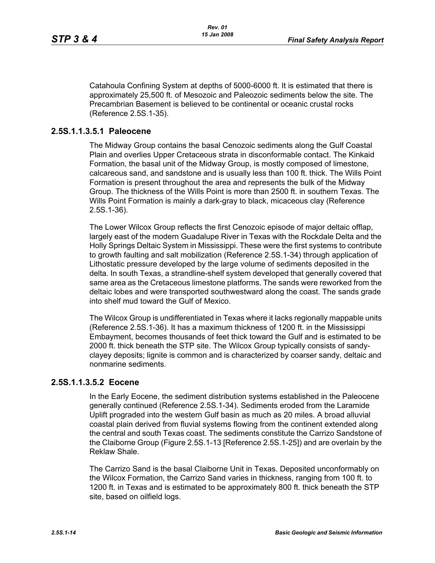Catahoula Confining System at depths of 5000-6000 ft. It is estimated that there is approximately 25,500 ft. of Mesozoic and Paleozoic sediments below the site. The Precambrian Basement is believed to be continental or oceanic crustal rocks (Reference 2.5S.1-35).

### **2.5S.1.1.3.5.1 Paleocene**

The Midway Group contains the basal Cenozoic sediments along the Gulf Coastal Plain and overlies Upper Cretaceous strata in disconformable contact. The Kinkaid Formation, the basal unit of the Midway Group, is mostly composed of limestone, calcareous sand, and sandstone and is usually less than 100 ft. thick. The Wills Point Formation is present throughout the area and represents the bulk of the Midway Group. The thickness of the Wills Point is more than 2500 ft. in southern Texas. The Wills Point Formation is mainly a dark-gray to black, micaceous clay (Reference 2.5S.1-36).

The Lower Wilcox Group reflects the first Cenozoic episode of major deltaic offlap, largely east of the modern Guadalupe River in Texas with the Rockdale Delta and the Holly Springs Deltaic System in Mississippi. These were the first systems to contribute to growth faulting and salt mobilization (Reference 2.5S.1-34) through application of Lithostatic pressure developed by the large volume of sediments deposited in the delta. In south Texas, a strandline-shelf system developed that generally covered that same area as the Cretaceous limestone platforms. The sands were reworked from the deltaic lobes and were transported southwestward along the coast. The sands grade into shelf mud toward the Gulf of Mexico.

The Wilcox Group is undifferentiated in Texas where it lacks regionally mappable units (Reference 2.5S.1-36). It has a maximum thickness of 1200 ft. in the Mississippi Embayment, becomes thousands of feet thick toward the Gulf and is estimated to be 2000 ft. thick beneath the STP site. The Wilcox Group typically consists of sandyclayey deposits; lignite is common and is characterized by coarser sandy, deltaic and nonmarine sediments.

### **2.5S.1.1.3.5.2 Eocene**

In the Early Eocene, the sediment distribution systems established in the Paleocene generally continued (Reference 2.5S.1-34). Sediments eroded from the Laramide Uplift prograded into the western Gulf basin as much as 20 miles. A broad alluvial coastal plain derived from fluvial systems flowing from the continent extended along the central and south Texas coast. The sediments constitute the Carrizo Sandstone of the Claiborne Group (Figure 2.5S.1-13 [Reference 2.5S.1-25]) and are overlain by the Reklaw Shale.

The Carrizo Sand is the basal Claiborne Unit in Texas. Deposited unconformably on the Wilcox Formation, the Carrizo Sand varies in thickness, ranging from 100 ft. to 1200 ft. in Texas and is estimated to be approximately 800 ft. thick beneath the STP site, based on oilfield logs.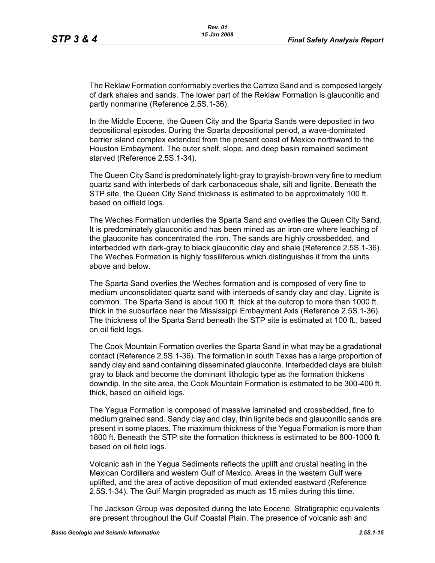The Reklaw Formation conformably overlies the Carrizo Sand and is composed largely of dark shales and sands. The lower part of the Reklaw Formation is glauconitic and partly nonmarine (Reference 2.5S.1-36).

In the Middle Eocene, the Queen City and the Sparta Sands were deposited in two depositional episodes. During the Sparta depositional period, a wave-dominated barrier island complex extended from the present coast of Mexico northward to the Houston Embayment. The outer shelf, slope, and deep basin remained sediment starved (Reference 2.5S.1-34).

The Queen City Sand is predominately light-gray to grayish-brown very fine to medium quartz sand with interbeds of dark carbonaceous shale, silt and lignite. Beneath the STP site, the Queen City Sand thickness is estimated to be approximately 100 ft. based on oilfield logs.

The Weches Formation underlies the Sparta Sand and overlies the Queen City Sand. It is predominately glauconitic and has been mined as an iron ore where leaching of the glauconite has concentrated the iron. The sands are highly crossbedded, and interbedded with dark-gray to black glauconitic clay and shale (Reference 2.5S.1-36). The Weches Formation is highly fossiliferous which distinguishes it from the units above and below.

The Sparta Sand overlies the Weches formation and is composed of very fine to medium unconsolidated quartz sand with interbeds of sandy clay and clay. Lignite is common. The Sparta Sand is about 100 ft. thick at the outcrop to more than 1000 ft. thick in the subsurface near the Mississippi Embayment Axis (Reference 2.5S.1-36). The thickness of the Sparta Sand beneath the STP site is estimated at 100 ft., based on oil field logs.

The Cook Mountain Formation overlies the Sparta Sand in what may be a gradational contact (Reference 2.5S.1-36). The formation in south Texas has a large proportion of sandy clay and sand containing disseminated glauconite. Interbedded clays are bluish gray to black and become the dominant lithologic type as the formation thickens downdip. In the site area, the Cook Mountain Formation is estimated to be 300-400 ft. thick, based on oilfield logs.

The Yegua Formation is composed of massive laminated and crossbedded, fine to medium grained sand. Sandy clay and clay, thin lignite beds and glauconitic sands are present in some places. The maximum thickness of the Yegua Formation is more than 1800 ft. Beneath the STP site the formation thickness is estimated to be 800-1000 ft. based on oil field logs.

Volcanic ash in the Yegua Sediments reflects the uplift and crustal heating in the Mexican Cordillera and western Gulf of Mexico. Areas in the western Gulf were uplifted, and the area of active deposition of mud extended eastward (Reference 2.5S.1-34). The Gulf Margin prograded as much as 15 miles during this time.

The Jackson Group was deposited during the late Eocene. Stratigraphic equivalents are present throughout the Gulf Coastal Plain. The presence of volcanic ash and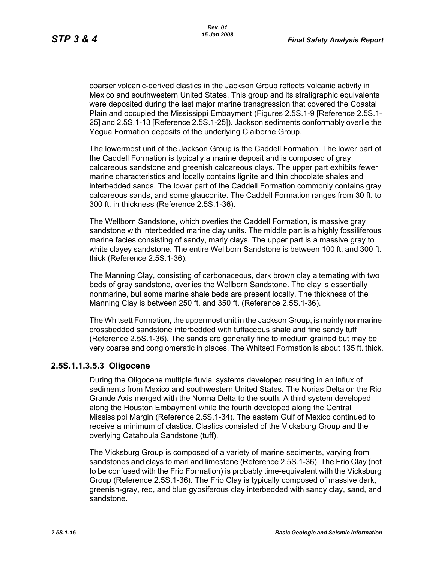coarser volcanic-derived clastics in the Jackson Group reflects volcanic activity in Mexico and southwestern United States. This group and its stratigraphic equivalents were deposited during the last major marine transgression that covered the Coastal Plain and occupied the Mississippi Embayment (Figures 2.5S.1-9 [Reference 2.5S.1- 25] and 2.5S.1-13 [Reference 2.5S.1-25]). Jackson sediments conformably overlie the Yegua Formation deposits of the underlying Claiborne Group.

The lowermost unit of the Jackson Group is the Caddell Formation. The lower part of the Caddell Formation is typically a marine deposit and is composed of gray calcareous sandstone and greenish calcareous clays. The upper part exhibits fewer marine characteristics and locally contains lignite and thin chocolate shales and interbedded sands. The lower part of the Caddell Formation commonly contains gray calcareous sands, and some glauconite. The Caddell Formation ranges from 30 ft. to 300 ft. in thickness (Reference 2.5S.1-36).

The Wellborn Sandstone, which overlies the Caddell Formation, is massive gray sandstone with interbedded marine clay units. The middle part is a highly fossiliferous marine facies consisting of sandy, marly clays. The upper part is a massive gray to white clayey sandstone. The entire Wellborn Sandstone is between 100 ft. and 300 ft. thick (Reference 2.5S.1-36).

The Manning Clay, consisting of carbonaceous, dark brown clay alternating with two beds of gray sandstone, overlies the Wellborn Sandstone. The clay is essentially nonmarine, but some marine shale beds are present locally. The thickness of the Manning Clay is between 250 ft. and 350 ft. (Reference 2.5S.1-36).

The Whitsett Formation, the uppermost unit in the Jackson Group, is mainly nonmarine crossbedded sandstone interbedded with tuffaceous shale and fine sandy tuff (Reference 2.5S.1-36). The sands are generally fine to medium grained but may be very coarse and conglomeratic in places. The Whitsett Formation is about 135 ft. thick.

### **2.5S.1.1.3.5.3 Oligocene**

During the Oligocene multiple fluvial systems developed resulting in an influx of sediments from Mexico and southwestern United States. The Norias Delta on the Rio Grande Axis merged with the Norma Delta to the south. A third system developed along the Houston Embayment while the fourth developed along the Central Mississippi Margin (Reference 2.5S.1-34). The eastern Gulf of Mexico continued to receive a minimum of clastics. Clastics consisted of the Vicksburg Group and the overlying Catahoula Sandstone (tuff).

The Vicksburg Group is composed of a variety of marine sediments, varying from sandstones and clays to marl and limestone (Reference 2.5S.1-36). The Frio Clay (not to be confused with the Frio Formation) is probably time-equivalent with the Vicksburg Group (Reference 2.5S.1-36). The Frio Clay is typically composed of massive dark, greenish-gray, red, and blue gypsiferous clay interbedded with sandy clay, sand, and sandstone.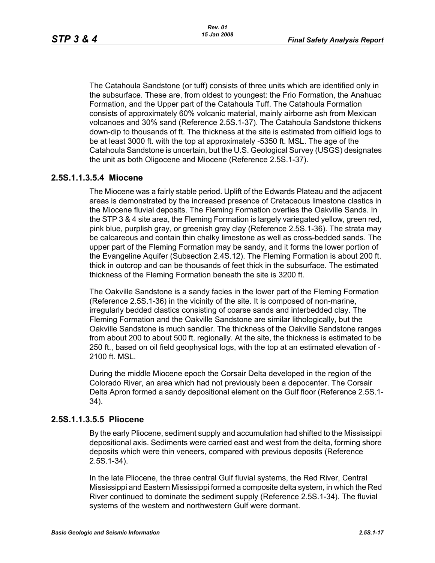The Catahoula Sandstone (or tuff) consists of three units which are identified only in the subsurface. These are, from oldest to youngest: the Frio Formation, the Anahuac Formation, and the Upper part of the Catahoula Tuff. The Catahoula Formation consists of approximately 60% volcanic material, mainly airborne ash from Mexican volcanoes and 30% sand (Reference 2.5S.1-37). The Catahoula Sandstone thickens down-dip to thousands of ft. The thickness at the site is estimated from oilfield logs to be at least 3000 ft. with the top at approximately -5350 ft. MSL. The age of the Catahoula Sandstone is uncertain, but the U.S. Geological Survey (USGS) designates the unit as both Oligocene and Miocene (Reference 2.5S.1-37).

### **2.5S.1.1.3.5.4 Miocene**

The Miocene was a fairly stable period. Uplift of the Edwards Plateau and the adjacent areas is demonstrated by the increased presence of Cretaceous limestone clastics in the Miocene fluvial deposits. The Fleming Formation overlies the Oakville Sands. In the STP 3 & 4 site area, the Fleming Formation is largely variegated yellow, green red, pink blue, purplish gray, or greenish gray clay (Reference 2.5S.1-36). The strata may be calcareous and contain thin chalky limestone as well as cross-bedded sands. The upper part of the Fleming Formation may be sandy, and it forms the lower portion of the Evangeline Aquifer (Subsection 2.4S.12). The Fleming Formation is about 200 ft. thick in outcrop and can be thousands of feet thick in the subsurface. The estimated thickness of the Fleming Formation beneath the site is 3200 ft.

The Oakville Sandstone is a sandy facies in the lower part of the Fleming Formation (Reference 2.5S.1-36) in the vicinity of the site. It is composed of non-marine, irregularly bedded clastics consisting of coarse sands and interbedded clay. The Fleming Formation and the Oakville Sandstone are similar lithologically, but the Oakville Sandstone is much sandier. The thickness of the Oakville Sandstone ranges from about 200 to about 500 ft. regionally. At the site, the thickness is estimated to be 250 ft., based on oil field geophysical logs, with the top at an estimated elevation of - 2100 ft. MSL.

During the middle Miocene epoch the Corsair Delta developed in the region of the Colorado River, an area which had not previously been a depocenter. The Corsair Delta Apron formed a sandy depositional element on the Gulf floor (Reference 2.5S.1- 34).

#### **2.5S.1.1.3.5.5 Pliocene**

By the early Pliocene, sediment supply and accumulation had shifted to the Mississippi depositional axis. Sediments were carried east and west from the delta, forming shore deposits which were thin veneers, compared with previous deposits (Reference 2.5S.1-34).

In the late Pliocene, the three central Gulf fluvial systems, the Red River, Central Mississippi and Eastern Mississippi formed a composite delta system, in which the Red River continued to dominate the sediment supply (Reference 2.5S.1-34). The fluvial systems of the western and northwestern Gulf were dormant.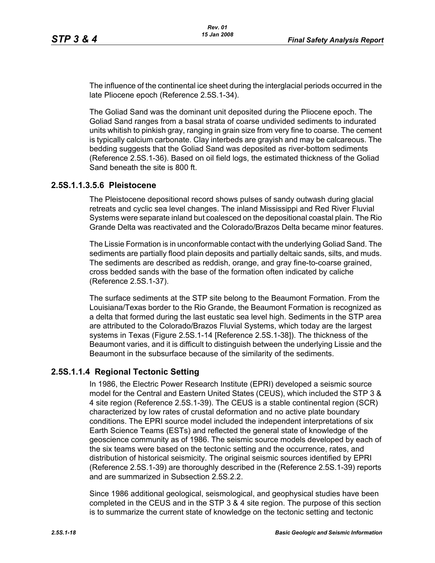The influence of the continental ice sheet during the interglacial periods occurred in the late Pliocene epoch (Reference 2.5S.1-34).

The Goliad Sand was the dominant unit deposited during the Pliocene epoch. The Goliad Sand ranges from a basal strata of coarse undivided sediments to indurated units whitish to pinkish gray, ranging in grain size from very fine to coarse. The cement is typically calcium carbonate. Clay interbeds are grayish and may be calcareous. The bedding suggests that the Goliad Sand was deposited as river-bottom sediments (Reference 2.5S.1-36). Based on oil field logs, the estimated thickness of the Goliad Sand beneath the site is 800 ft.

### **2.5S.1.1.3.5.6 Pleistocene**

The Pleistocene depositional record shows pulses of sandy outwash during glacial retreats and cyclic sea level changes. The inland Mississippi and Red River Fluvial Systems were separate inland but coalesced on the depositional coastal plain. The Rio Grande Delta was reactivated and the Colorado/Brazos Delta became minor features.

The Lissie Formation is in unconformable contact with the underlying Goliad Sand. The sediments are partially flood plain deposits and partially deltaic sands, silts, and muds. The sediments are described as reddish, orange, and gray fine-to-coarse grained, cross bedded sands with the base of the formation often indicated by caliche (Reference 2.5S.1-37).

The surface sediments at the STP site belong to the Beaumont Formation. From the Louisiana/Texas border to the Rio Grande, the Beaumont Formation is recognized as a delta that formed during the last eustatic sea level high. Sediments in the STP area are attributed to the Colorado/Brazos Fluvial Systems, which today are the largest systems in Texas (Figure 2.5S.1-14 [Reference 2.5S.1-38]). The thickness of the Beaumont varies, and it is difficult to distinguish between the underlying Lissie and the Beaumont in the subsurface because of the similarity of the sediments.

## **2.5S.1.1.4 Regional Tectonic Setting**

In 1986, the Electric Power Research Institute (EPRI) developed a seismic source model for the Central and Eastern United States (CEUS), which included the STP 3 & 4 site region (Reference 2.5S.1-39). The CEUS is a stable continental region (SCR) characterized by low rates of crustal deformation and no active plate boundary conditions. The EPRI source model included the independent interpretations of six Earth Science Teams (ESTs) and reflected the general state of knowledge of the geoscience community as of 1986. The seismic source models developed by each of the six teams were based on the tectonic setting and the occurrence, rates, and distribution of historical seismicity. The original seismic sources identified by EPRI (Reference 2.5S.1-39) are thoroughly described in the (Reference 2.5S.1-39) reports and are summarized in Subsection 2.5S.2.2.

Since 1986 additional geological, seismological, and geophysical studies have been completed in the CEUS and in the STP 3 & 4 site region. The purpose of this section is to summarize the current state of knowledge on the tectonic setting and tectonic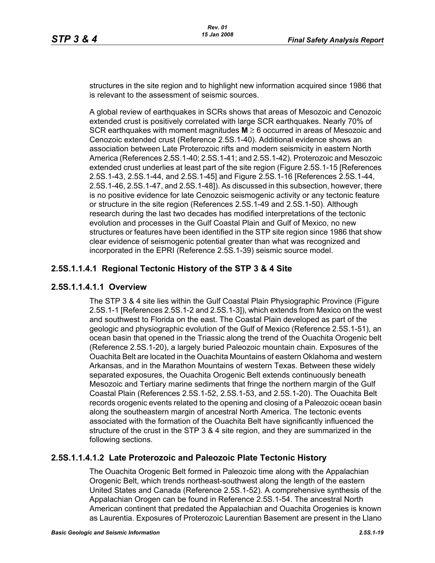structures in the site region and to highlight new information acquired since 1986 that is relevant to the assessment of seismic sources.

A global review of earthquakes in SCRs shows that areas of Mesozoic and Cenozoic extended crust is positively correlated with large SCR earthquakes. Nearly 70% of SCR earthquakes with moment magnitudes **M** ≥ 6 occurred in areas of Mesozoic and Cenozoic extended crust (Reference 2.5S.1-40). Additional evidence shows an association between Late Proterozoic rifts and modern seismicity in eastern North America (References 2.5S.1-40; 2.5S.1-41; and 2.5S.1-42). Proterozoic and Mesozoic extended crust underlies at least part of the site region (Figure 2.5S.1-15 [References 2.5S.1-43, 2.5S.1-44, and 2.5S.1-45] and Figure 2.5S.1-16 [References 2.5S.1-44, 2.5S.1-46, 2.5S.1-47, and 2.5S.1-48]). As discussed in this subsection, however, there is no positive evidence for late Cenozoic seismogenic activity or any tectonic feature or structure in the site region (References 2.5S.1-49 and 2.5S.1-50). Although research during the last two decades has modified interpretations of the tectonic evolution and processes in the Gulf Coastal Plain and Gulf of Mexico, no new structures or features have been identified in the STP site region since 1986 that show clear evidence of seismogenic potential greater than what was recognized and incorporated in the EPRI (Reference 2.5S.1-39) seismic source model.

# **2.5S.1.1.4.1 Regional Tectonic History of the STP 3 & 4 Site**

## **2.5S.1.1.4.1.1 Overview**

The STP 3 & 4 site lies within the Gulf Coastal Plain Physiographic Province (Figure 2.5S.1-1 [References 2.5S.1-2 and 2.5S.1-3]), which extends from Mexico on the west and southwest to Florida on the east. The Coastal Plain developed as part of the geologic and physiographic evolution of the Gulf of Mexico (Reference 2.5S.1-51), an ocean basin that opened in the Triassic along the trend of the Ouachita Orogenic belt (Reference 2.5S.1-20), a largely buried Paleozoic mountain chain. Exposures of the Ouachita Belt are located in the Ouachita Mountains of eastern Oklahoma and western Arkansas, and in the Marathon Mountains of western Texas. Between these widely separated exposures, the Ouachita Orogenic Belt extends continuously beneath Mesozoic and Tertiary marine sediments that fringe the northern margin of the Gulf Coastal Plain (References 2.5S.1-52, 2.5S.1-53, and 2.5S.1-20). The Ouachita Belt records orogenic events related to the opening and closing of a Paleozoic ocean basin along the southeastern margin of ancestral North America. The tectonic events associated with the formation of the Ouachita Belt have significantly influenced the structure of the crust in the STP 3 & 4 site region, and they are summarized in the following sections.

## **2.5S.1.1.4.1.2 Late Proterozoic and Paleozoic Plate Tectonic History**

The Ouachita Orogenic Belt formed in Paleozoic time along with the Appalachian Orogenic Belt, which trends northeast-southwest along the length of the eastern United States and Canada (Reference 2.5S.1-52). A comprehensive synthesis of the Appalachian Orogen can be found in Reference 2.5S.1-54. The ancestral North American continent that predated the Appalachian and Ouachita Orogenies is known as Laurentia. Exposures of Proterozoic Laurentian Basement are present in the Llano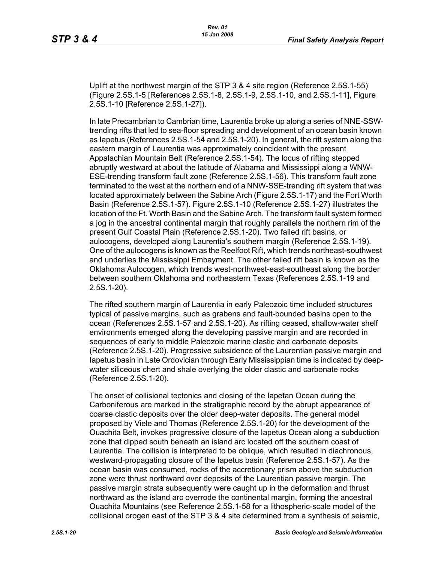Uplift at the northwest margin of the STP 3 & 4 site region (Reference 2.5S.1-55) (Figure 2.5S.1-5 [References 2.5S.1-8, 2.5S.1-9, 2.5S.1-10, and 2.5S.1-11], Figure 2.5S.1-10 [Reference 2.5S.1-27]).

In late Precambrian to Cambrian time, Laurentia broke up along a series of NNE-SSWtrending rifts that led to sea-floor spreading and development of an ocean basin known as Iapetus (References 2.5S.1-54 and 2.5S.1-20). In general, the rift system along the eastern margin of Laurentia was approximately coincident with the present Appalachian Mountain Belt (Reference 2.5S.1-54). The locus of rifting stepped abruptly westward at about the latitude of Alabama and Mississippi along a WNW-ESE-trending transform fault zone (Reference 2.5S.1-56). This transform fault zone terminated to the west at the northern end of a NNW-SSE-trending rift system that was located approximately between the Sabine Arch (Figure 2.5S.1-17) and the Fort Worth Basin (Reference 2.5S.1-57). Figure 2.5S.1-10 (Reference 2.5S.1-27) illustrates the location of the Ft. Worth Basin and the Sabine Arch. The transform fault system formed a jog in the ancestral continental margin that roughly parallels the northern rim of the present Gulf Coastal Plain (Reference 2.5S.1-20). Two failed rift basins, or aulocogens, developed along Laurentia's southern margin (Reference 2.5S.1-19). One of the aulocogens is known as the Reelfoot Rift, which trends northeast-southwest and underlies the Mississippi Embayment. The other failed rift basin is known as the Oklahoma Aulocogen, which trends west-northwest-east-southeast along the border between southern Oklahoma and northeastern Texas (References 2.5S.1-19 and 2.5S.1-20).

The rifted southern margin of Laurentia in early Paleozoic time included structures typical of passive margins, such as grabens and fault-bounded basins open to the ocean (References 2.5S.1-57 and 2.5S.1-20). As rifting ceased, shallow-water shelf environments emerged along the developing passive margin and are recorded in sequences of early to middle Paleozoic marine clastic and carbonate deposits (Reference 2.5S.1-20). Progressive subsidence of the Laurentian passive margin and Iapetus basin in Late Ordovician through Early Mississippian time is indicated by deepwater siliceous chert and shale overlying the older clastic and carbonate rocks (Reference 2.5S.1-20).

The onset of collisional tectonics and closing of the Iapetan Ocean during the Carboniferous are marked in the stratigraphic record by the abrupt appearance of coarse clastic deposits over the older deep-water deposits. The general model proposed by Viele and Thomas (Reference 2.5S.1-20) for the development of the Ouachita Belt, invokes progressive closure of the Iapetus Ocean along a subduction zone that dipped south beneath an island arc located off the southern coast of Laurentia. The collision is interpreted to be oblique, which resulted in diachronous, westward-propagating closure of the Iapetus basin (Reference 2.5S.1-57). As the ocean basin was consumed, rocks of the accretionary prism above the subduction zone were thrust northward over deposits of the Laurentian passive margin. The passive margin strata subsequently were caught up in the deformation and thrust northward as the island arc overrode the continental margin, forming the ancestral Ouachita Mountains (see Reference 2.5S.1-58 for a lithospheric-scale model of the collisional orogen east of the STP 3 & 4 site determined from a synthesis of seismic,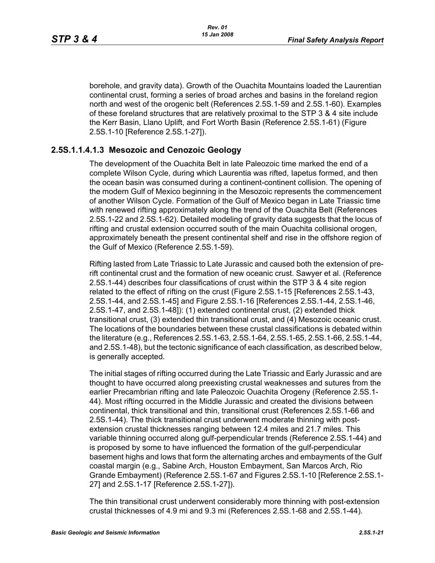borehole, and gravity data). Growth of the Ouachita Mountains loaded the Laurentian continental crust, forming a series of broad arches and basins in the foreland region north and west of the orogenic belt (References 2.5S.1-59 and 2.5S.1-60). Examples of these foreland structures that are relatively proximal to the STP 3 & 4 site include the Kerr Basin, Llano Uplift, and Fort Worth Basin (Reference 2.5S.1-61) (Figure 2.5S.1-10 [Reference 2.5S.1-27]).

### **2.5S.1.1.4.1.3 Mesozoic and Cenozoic Geology**

The development of the Ouachita Belt in late Paleozoic time marked the end of a complete Wilson Cycle, during which Laurentia was rifted, Iapetus formed, and then the ocean basin was consumed during a continent-continent collision. The opening of the modern Gulf of Mexico beginning in the Mesozoic represents the commencement of another Wilson Cycle. Formation of the Gulf of Mexico began in Late Triassic time with renewed rifting approximately along the trend of the Ouachita Belt (References 2.5S.1-22 and 2.5S.1-62). Detailed modeling of gravity data suggests that the locus of rifting and crustal extension occurred south of the main Ouachita collisional orogen, approximately beneath the present continental shelf and rise in the offshore region of the Gulf of Mexico (Reference 2.5S.1-59).

Rifting lasted from Late Triassic to Late Jurassic and caused both the extension of prerift continental crust and the formation of new oceanic crust. Sawyer et al. (Reference 2.5S.1-44) describes four classifications of crust within the STP 3 & 4 site region related to the effect of rifting on the crust (Figure 2.5S.1-15 [References 2.5S.1-43, 2.5S.1-44, and 2.5S.1-45] and Figure 2.5S.1-16 [References 2.5S.1-44, 2.5S.1-46, 2.5S.1-47, and 2.5S.1-48]): (1) extended continental crust, (2) extended thick transitional crust, (3) extended thin transitional crust, and (4) Mesozoic oceanic crust. The locations of the boundaries between these crustal classifications is debated within the literature (e.g., References 2.5S.1-63, 2.5S.1-64, 2.5S.1-65, 2.5S.1-66, 2.5S.1-44, and 2.5S.1-48), but the tectonic significance of each classification, as described below, is generally accepted.

The initial stages of rifting occurred during the Late Triassic and Early Jurassic and are thought to have occurred along preexisting crustal weaknesses and sutures from the earlier Precambrian rifting and late Paleozoic Ouachita Orogeny (Reference 2.5S.1- 44). Most rifting occurred in the Middle Jurassic and created the divisions between continental, thick transitional and thin, transitional crust (References 2.5S.1-66 and 2.5S.1-44). The thick transitional crust underwent moderate thinning with postextension crustal thicknesses ranging between 12.4 miles and 21.7 miles. This variable thinning occurred along gulf-perpendicular trends (Reference 2.5S.1-44) and is proposed by some to have influenced the formation of the gulf-perpendicular basement highs and lows that form the alternating arches and embayments of the Gulf coastal margin (e.g., Sabine Arch, Houston Embayment, San Marcos Arch, Rio Grande Embayment) (Reference 2.5S.1-67 and Figures 2.5S.1-10 [Reference 2.5S.1- 27] and 2.5S.1-17 [Reference 2.5S.1-27]).

The thin transitional crust underwent considerably more thinning with post-extension crustal thicknesses of 4.9 mi and 9.3 mi (References 2.5S.1-68 and 2.5S.1-44).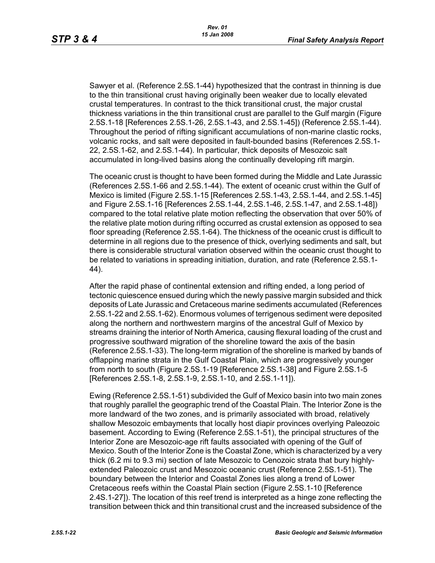Sawyer et al. (Reference 2.5S.1-44) hypothesized that the contrast in thinning is due to the thin transitional crust having originally been weaker due to locally elevated crustal temperatures. In contrast to the thick transitional crust, the major crustal thickness variations in the thin transitional crust are parallel to the Gulf margin (Figure 2.5S.1-18 [References 2.5S.1-26, 2.5S.1-43, and 2.5S.1-45]) (Reference 2.5S.1-44). Throughout the period of rifting significant accumulations of non-marine clastic rocks, volcanic rocks, and salt were deposited in fault-bounded basins (References 2.5S.1- 22, 2.5S.1-62, and 2.5S.1-44). In particular, thick deposits of Mesozoic salt accumulated in long-lived basins along the continually developing rift margin.

The oceanic crust is thought to have been formed during the Middle and Late Jurassic (References 2.5S.1-66 and 2.5S.1-44). The extent of oceanic crust within the Gulf of Mexico is limited (Figure 2.5S.1-15 [References 2.5S.1-43, 2.5S.1-44, and 2.5S.1-45] and Figure 2.5S.1-16 [References 2.5S.1-44, 2.5S.1-46, 2.5S.1-47, and 2.5S.1-48]) compared to the total relative plate motion reflecting the observation that over 50% of the relative plate motion during rifting occurred as crustal extension as opposed to sea floor spreading (Reference 2.5S.1-64). The thickness of the oceanic crust is difficult to determine in all regions due to the presence of thick, overlying sediments and salt, but there is considerable structural variation observed within the oceanic crust thought to be related to variations in spreading initiation, duration, and rate (Reference 2.5S.1- 44).

After the rapid phase of continental extension and rifting ended, a long period of tectonic quiescence ensued during which the newly passive margin subsided and thick deposits of Late Jurassic and Cretaceous marine sediments accumulated (References 2.5S.1-22 and 2.5S.1-62). Enormous volumes of terrigenous sediment were deposited along the northern and northwestern margins of the ancestral Gulf of Mexico by streams draining the interior of North America, causing flexural loading of the crust and progressive southward migration of the shoreline toward the axis of the basin (Reference 2.5S.1-33). The long-term migration of the shoreline is marked by bands of offlapping marine strata in the Gulf Coastal Plain, which are progressively younger from north to south (Figure 2.5S.1-19 [Reference 2.5S.1-38] and Figure 2.5S.1-5 [References 2.5S.1-8, 2.5S.1-9, 2.5S.1-10, and 2.5S.1-11]).

Ewing (Reference 2.5S.1-51) subdivided the Gulf of Mexico basin into two main zones that roughly parallel the geographic trend of the Coastal Plain. The Interior Zone is the more landward of the two zones, and is primarily associated with broad, relatively shallow Mesozoic embayments that locally host diapir provinces overlying Paleozoic basement. According to Ewing (Reference 2.5S.1-51), the principal structures of the Interior Zone are Mesozoic-age rift faults associated with opening of the Gulf of Mexico. South of the Interior Zone is the Coastal Zone, which is characterized by a very thick (6.2 mi to 9.3 mi) section of late Mesozoic to Cenozoic strata that bury highlyextended Paleozoic crust and Mesozoic oceanic crust (Reference 2.5S.1-51). The boundary between the Interior and Coastal Zones lies along a trend of Lower Cretaceous reefs within the Coastal Plain section (Figure 2.5S.1-10 [Reference 2.4S.1-27]). The location of this reef trend is interpreted as a hinge zone reflecting the transition between thick and thin transitional crust and the increased subsidence of the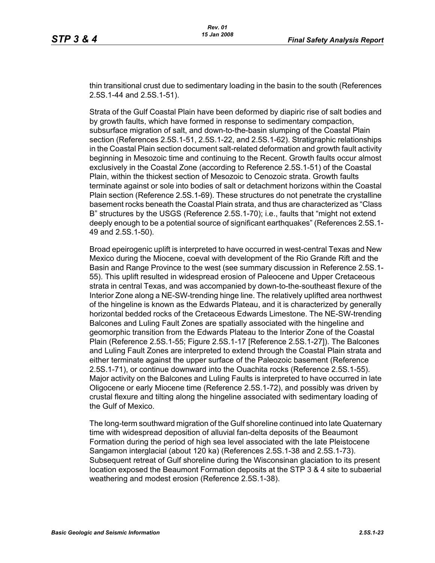thin transitional crust due to sedimentary loading in the basin to the south (References 2.5S.1-44 and 2.5S.1-51).

Strata of the Gulf Coastal Plain have been deformed by diapiric rise of salt bodies and by growth faults, which have formed in response to sedimentary compaction, subsurface migration of salt, and down-to-the-basin slumping of the Coastal Plain section (References 2.5S.1-51, 2.5S.1-22, and 2.5S.1-62). Stratigraphic relationships in the Coastal Plain section document salt-related deformation and growth fault activity beginning in Mesozoic time and continuing to the Recent. Growth faults occur almost exclusively in the Coastal Zone (according to Reference 2.5S.1-51) of the Coastal Plain, within the thickest section of Mesozoic to Cenozoic strata. Growth faults terminate against or sole into bodies of salt or detachment horizons within the Coastal Plain section (Reference 2.5S.1-69). These structures do not penetrate the crystalline basement rocks beneath the Coastal Plain strata, and thus are characterized as "Class B" structures by the USGS (Reference 2.5S.1-70); i.e., faults that "might not extend deeply enough to be a potential source of significant earthquakes" (References 2.5S.1- 49 and 2.5S.1-50).

Broad epeirogenic uplift is interpreted to have occurred in west-central Texas and New Mexico during the Miocene, coeval with development of the Rio Grande Rift and the Basin and Range Province to the west (see summary discussion in Reference 2.5S.1- 55). This uplift resulted in widespread erosion of Paleocene and Upper Cretaceous strata in central Texas, and was accompanied by down-to-the-southeast flexure of the Interior Zone along a NE-SW-trending hinge line. The relatively uplifted area northwest of the hingeline is known as the Edwards Plateau, and it is characterized by generally horizontal bedded rocks of the Cretaceous Edwards Limestone. The NE-SW-trending Balcones and Luling Fault Zones are spatially associated with the hingeline and geomorphic transition from the Edwards Plateau to the Interior Zone of the Coastal Plain (Reference 2.5S.1-55; Figure 2.5S.1-17 [Reference 2.5S.1-27]). The Balcones and Luling Fault Zones are interpreted to extend through the Coastal Plain strata and either terminate against the upper surface of the Paleozoic basement (Reference 2.5S.1-71), or continue downward into the Ouachita rocks (Reference 2.5S.1-55). Major activity on the Balcones and Luling Faults is interpreted to have occurred in late Oligocene or early Miocene time (Reference 2.5S.1-72), and possibly was driven by crustal flexure and tilting along the hingeline associated with sedimentary loading of the Gulf of Mexico.

The long-term southward migration of the Gulf shoreline continued into late Quaternary time with widespread deposition of alluvial fan-delta deposits of the Beaumont Formation during the period of high sea level associated with the late Pleistocene Sangamon interglacial (about 120 ka) (References 2.5S.1-38 and 2.5S.1-73). Subsequent retreat of Gulf shoreline during the Wisconsinan glaciation to its present location exposed the Beaumont Formation deposits at the STP 3 & 4 site to subaerial weathering and modest erosion (Reference 2.5S.1-38).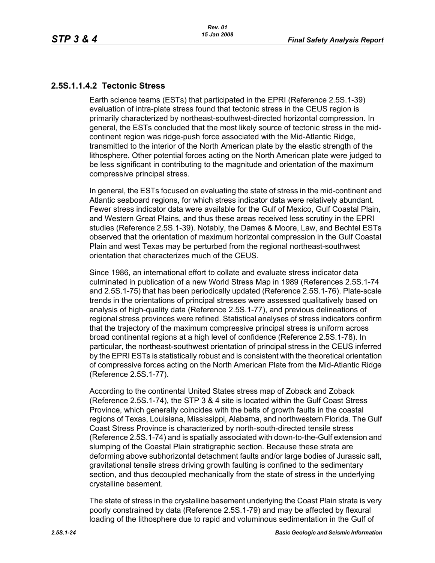## **2.5S.1.1.4.2 Tectonic Stress**

Earth science teams (ESTs) that participated in the EPRI (Reference 2.5S.1-39) evaluation of intra-plate stress found that tectonic stress in the CEUS region is primarily characterized by northeast-southwest-directed horizontal compression. In general, the ESTs concluded that the most likely source of tectonic stress in the midcontinent region was ridge-push force associated with the Mid-Atlantic Ridge, transmitted to the interior of the North American plate by the elastic strength of the lithosphere. Other potential forces acting on the North American plate were judged to be less significant in contributing to the magnitude and orientation of the maximum compressive principal stress.

In general, the ESTs focused on evaluating the state of stress in the mid-continent and Atlantic seaboard regions, for which stress indicator data were relatively abundant. Fewer stress indicator data were available for the Gulf of Mexico, Gulf Coastal Plain, and Western Great Plains, and thus these areas received less scrutiny in the EPRI studies (Reference 2.5S.1-39). Notably, the Dames & Moore, Law, and Bechtel ESTs observed that the orientation of maximum horizontal compression in the Gulf Coastal Plain and west Texas may be perturbed from the regional northeast-southwest orientation that characterizes much of the CEUS.

Since 1986, an international effort to collate and evaluate stress indicator data culminated in publication of a new World Stress Map in 1989 (References 2.5S.1-74 and 2.5S.1-75) that has been periodically updated (Reference 2.5S.1-76). Plate-scale trends in the orientations of principal stresses were assessed qualitatively based on analysis of high-quality data (Reference 2.5S.1-77), and previous delineations of regional stress provinces were refined. Statistical analyses of stress indicators confirm that the trajectory of the maximum compressive principal stress is uniform across broad continental regions at a high level of confidence (Reference 2.5S.1-78). In particular, the northeast-southwest orientation of principal stress in the CEUS inferred by the EPRI ESTs is statistically robust and is consistent with the theoretical orientation of compressive forces acting on the North American Plate from the Mid-Atlantic Ridge (Reference 2.5S.1-77).

According to the continental United States stress map of Zoback and Zoback (Reference 2.5S.1-74), the STP 3 & 4 site is located within the Gulf Coast Stress Province, which generally coincides with the belts of growth faults in the coastal regions of Texas, Louisiana, Mississippi, Alabama, and northwestern Florida. The Gulf Coast Stress Province is characterized by north-south-directed tensile stress (Reference 2.5S.1-74) and is spatially associated with down-to-the-Gulf extension and slumping of the Coastal Plain stratigraphic section. Because these strata are deforming above subhorizontal detachment faults and/or large bodies of Jurassic salt, gravitational tensile stress driving growth faulting is confined to the sedimentary section, and thus decoupled mechanically from the state of stress in the underlying crystalline basement.

The state of stress in the crystalline basement underlying the Coast Plain strata is very poorly constrained by data (Reference 2.5S.1-79) and may be affected by flexural loading of the lithosphere due to rapid and voluminous sedimentation in the Gulf of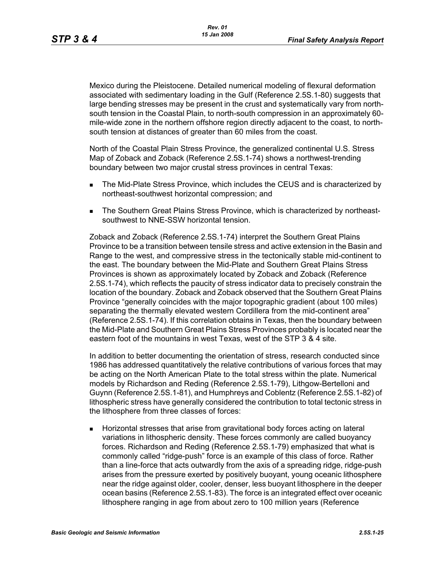Mexico during the Pleistocene. Detailed numerical modeling of flexural deformation associated with sedimentary loading in the Gulf (Reference 2.5S.1-80) suggests that large bending stresses may be present in the crust and systematically vary from northsouth tension in the Coastal Plain, to north-south compression in an approximately 60 mile-wide zone in the northern offshore region directly adjacent to the coast, to northsouth tension at distances of greater than 60 miles from the coast.

North of the Coastal Plain Stress Province, the generalized continental U.S. Stress Map of Zoback and Zoback (Reference 2.5S.1-74) shows a northwest-trending boundary between two major crustal stress provinces in central Texas:

- **The Mid-Plate Stress Province, which includes the CEUS and is characterized by** northeast-southwest horizontal compression; and
- The Southern Great Plains Stress Province, which is characterized by northeastsouthwest to NNE-SSW horizontal tension.

Zoback and Zoback (Reference 2.5S.1-74) interpret the Southern Great Plains Province to be a transition between tensile stress and active extension in the Basin and Range to the west, and compressive stress in the tectonically stable mid-continent to the east. The boundary between the Mid-Plate and Southern Great Plains Stress Provinces is shown as approximately located by Zoback and Zoback (Reference 2.5S.1-74), which reflects the paucity of stress indicator data to precisely constrain the location of the boundary. Zoback and Zoback observed that the Southern Great Plains Province "generally coincides with the major topographic gradient (about 100 miles) separating the thermally elevated western Cordillera from the mid-continent area" (Reference 2.5S.1-74). If this correlation obtains in Texas, then the boundary between the Mid-Plate and Southern Great Plains Stress Provinces probably is located near the eastern foot of the mountains in west Texas, west of the STP 3 & 4 site.

In addition to better documenting the orientation of stress, research conducted since 1986 has addressed quantitatively the relative contributions of various forces that may be acting on the North American Plate to the total stress within the plate. Numerical models by Richardson and Reding (Reference 2.5S.1-79), Lithgow-Bertelloni and Guynn (Reference 2.5S.1-81), and Humphreys and Coblentz (Reference 2.5S.1-82) of lithospheric stress have generally considered the contribution to total tectonic stress in the lithosphere from three classes of forces:

 Horizontal stresses that arise from gravitational body forces acting on lateral variations in lithospheric density. These forces commonly are called buoyancy forces. Richardson and Reding (Reference 2.5S.1-79) emphasized that what is commonly called "ridge-push" force is an example of this class of force. Rather than a line-force that acts outwardly from the axis of a spreading ridge, ridge-push arises from the pressure exerted by positively buoyant, young oceanic lithosphere near the ridge against older, cooler, denser, less buoyant lithosphere in the deeper ocean basins (Reference 2.5S.1-83). The force is an integrated effect over oceanic lithosphere ranging in age from about zero to 100 million years (Reference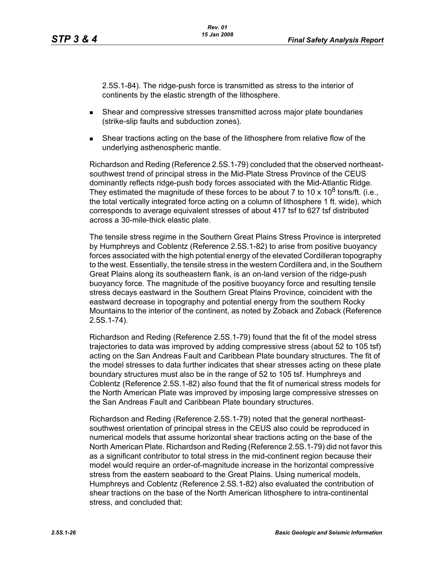2.5S.1-84). The ridge-push force is transmitted as stress to the interior of continents by the elastic strength of the lithosphere.

- Shear and compressive stresses transmitted across major plate boundaries (strike-slip faults and subduction zones).
- Shear tractions acting on the base of the lithosphere from relative flow of the underlying asthenospheric mantle.

Richardson and Reding (Reference 2.5S.1-79) concluded that the observed northeastsouthwest trend of principal stress in the Mid-Plate Stress Province of the CEUS dominantly reflects ridge-push body forces associated with the Mid-Atlantic Ridge. They estimated the magnitude of these forces to be about 7 to 10 x 10<sup>8</sup> tons/ft. (i.e., the total vertically integrated force acting on a column of lithosphere 1 ft. wide), which corresponds to average equivalent stresses of about 417 tsf to 627 tsf distributed across a 30-mile-thick elastic plate.

The tensile stress regime in the Southern Great Plains Stress Province is interpreted by Humphreys and Coblentz (Reference 2.5S.1-82) to arise from positive buoyancy forces associated with the high potential energy of the elevated Cordilleran topography to the west. Essentially, the tensile stress in the western Cordillera and, in the Southern Great Plains along its southeastern flank, is an on-land version of the ridge-push buoyancy force. The magnitude of the positive buoyancy force and resulting tensile stress decays eastward in the Southern Great Plains Province, coincident with the eastward decrease in topography and potential energy from the southern Rocky Mountains to the interior of the continent, as noted by Zoback and Zoback (Reference 2.5S.1-74).

Richardson and Reding (Reference 2.5S.1-79) found that the fit of the model stress trajectories to data was improved by adding compressive stress (about 52 to 105 tsf) acting on the San Andreas Fault and Caribbean Plate boundary structures. The fit of the model stresses to data further indicates that shear stresses acting on these plate boundary structures must also be in the range of 52 to 105 tsf. Humphreys and Coblentz (Reference 2.5S.1-82) also found that the fit of numerical stress models for the North American Plate was improved by imposing large compressive stresses on the San Andreas Fault and Caribbean Plate boundary structures.

Richardson and Reding (Reference 2.5S.1-79) noted that the general northeastsouthwest orientation of principal stress in the CEUS also could be reproduced in numerical models that assume horizontal shear tractions acting on the base of the North American Plate. Richardson and Reding (Reference 2.5S.1-79) did not favor this as a significant contributor to total stress in the mid-continent region because their model would require an order-of-magnitude increase in the horizontal compressive stress from the eastern seaboard to the Great Plains. Using numerical models, Humphreys and Coblentz (Reference 2.5S.1-82) also evaluated the contribution of shear tractions on the base of the North American lithosphere to intra-continental stress, and concluded that: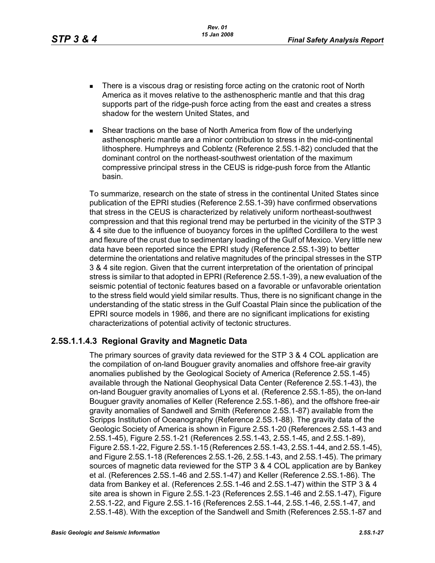- There is a viscous drag or resisting force acting on the cratonic root of North America as it moves relative to the asthenospheric mantle and that this drag supports part of the ridge-push force acting from the east and creates a stress shadow for the western United States, and
- Shear tractions on the base of North America from flow of the underlying asthenospheric mantle are a minor contribution to stress in the mid-continental lithosphere. Humphreys and Coblentz (Reference 2.5S.1-82) concluded that the dominant control on the northeast-southwest orientation of the maximum compressive principal stress in the CEUS is ridge-push force from the Atlantic basin.

To summarize, research on the state of stress in the continental United States since publication of the EPRI studies (Reference 2.5S.1-39) have confirmed observations that stress in the CEUS is characterized by relatively uniform northeast-southwest compression and that this regional trend may be perturbed in the vicinity of the STP 3 & 4 site due to the influence of buoyancy forces in the uplifted Cordillera to the west and flexure of the crust due to sedimentary loading of the Gulf of Mexico. Very little new data have been reported since the EPRI study (Reference 2.5S.1-39) to better determine the orientations and relative magnitudes of the principal stresses in the STP 3 & 4 site region. Given that the current interpretation of the orientation of principal stress is similar to that adopted in EPRI (Reference 2.5S.1-39), a new evaluation of the seismic potential of tectonic features based on a favorable or unfavorable orientation to the stress field would yield similar results. Thus, there is no significant change in the understanding of the static stress in the Gulf Coastal Plain since the publication of the EPRI source models in 1986, and there are no significant implications for existing characterizations of potential activity of tectonic structures.

## **2.5S.1.1.4.3 Regional Gravity and Magnetic Data**

The primary sources of gravity data reviewed for the STP 3 & 4 COL application are the compilation of on-land Bouguer gravity anomalies and offshore free-air gravity anomalies published by the Geological Society of America (Reference 2.5S.1-45) available through the National Geophysical Data Center (Reference 2.5S.1-43), the on-land Bouguer gravity anomalies of Lyons et al. (Reference 2.5S.1-85), the on-land Bouguer gravity anomalies of Keller (Reference 2.5S.1-86), and the offshore free-air gravity anomalies of Sandwell and Smith (Reference 2.5S.1-87) available from the Scripps Institution of Oceanography (Reference 2.5S.1-88). The gravity data of the Geologic Society of America is shown in Figure 2.5S.1-20 (References 2.5S.1-43 and 2.5S.1-45), Figure 2.5S.1-21 (References 2.5S.1-43, 2.5S.1-45, and 2.5S.1-89), Figure 2.5S.1-22, Figure 2.5S.1-15 (References 2.5S.1-43, 2.5S.1-44, and 2.5S.1-45), and Figure 2.5S.1-18 (References 2.5S.1-26, 2.5S.1-43, and 2.5S.1-45). The primary sources of magnetic data reviewed for the STP 3 & 4 COL application are by Bankey et al. (References 2.5S.1-46 and 2.5S.1-47) and Keller (Reference 2.5S.1-86). The data from Bankey et al. (References 2.5S.1-46 and 2.5S.1-47) within the STP 3 & 4 site area is shown in Figure 2.5S.1-23 (References 2.5S.1-46 and 2.5S.1-47), Figure 2.5S.1-22, and Figure 2.5S.1-16 (References 2.5S.1-44, 2.5S.1-46, 2.5S.1-47, and 2.5S.1-48). With the exception of the Sandwell and Smith (References 2.5S.1-87 and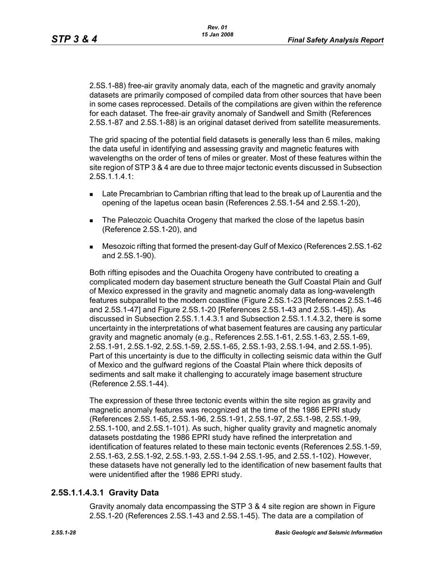2.5S.1-88) free-air gravity anomaly data, each of the magnetic and gravity anomaly datasets are primarily composed of compiled data from other sources that have been in some cases reprocessed. Details of the compilations are given within the reference for each dataset. The free-air gravity anomaly of Sandwell and Smith (References 2.5S.1-87 and 2.5S.1-88) is an original dataset derived from satellite measurements.

The grid spacing of the potential field datasets is generally less than 6 miles, making the data useful in identifying and assessing gravity and magnetic features with wavelengths on the order of tens of miles or greater. Most of these features within the site region of STP 3 & 4 are due to three major tectonic events discussed in Subsection 2.5S.1.1.4.1:

- **Late Precambrian to Cambrian rifting that lead to the break up of Laurentia and the** opening of the Iapetus ocean basin (References 2.5S.1-54 and 2.5S.1-20),
- **The Paleozoic Ouachita Orogeny that marked the close of the Iapetus basin** (Reference 2.5S.1-20), and
- Mesozoic rifting that formed the present-day Gulf of Mexico (References 2.5S.1-62 and 2.5S.1-90).

Both rifting episodes and the Ouachita Orogeny have contributed to creating a complicated modern day basement structure beneath the Gulf Coastal Plain and Gulf of Mexico expressed in the gravity and magnetic anomaly data as long-wavelength features subparallel to the modern coastline (Figure 2.5S.1-23 [References 2.5S.1-46 and 2.5S.1-47] and Figure 2.5S.1-20 [References 2.5S.1-43 and 2.5S.1-45]). As discussed in Subsection 2.5S.1.1.4.3.1 and Subsection 2.5S.1.1.4.3.2, there is some uncertainty in the interpretations of what basement features are causing any particular gravity and magnetic anomaly (e.g., References 2.5S.1-61, 2.5S.1-63, 2.5S.1-69, 2.5S.1-91, 2.5S.1-92, 2.5S.1-59, 2.5S.1-65, 2.5S.1-93, 2.5S.1-94, and 2.5S.1-95). Part of this uncertainty is due to the difficulty in collecting seismic data within the Gulf of Mexico and the gulfward regions of the Coastal Plain where thick deposits of sediments and salt make it challenging to accurately image basement structure (Reference 2.5S.1-44).

The expression of these three tectonic events within the site region as gravity and magnetic anomaly features was recognized at the time of the 1986 EPRI study (References 2.5S.1-65, 2.5S.1-96, 2.5S.1-91, 2.5S.1-97, 2.5S.1-98, 2.5S.1-99, 2.5S.1-100, and 2.5S.1-101). As such, higher quality gravity and magnetic anomaly datasets postdating the 1986 EPRI study have refined the interpretation and identification of features related to these main tectonic events (References 2.5S.1-59, 2.5S.1-63, 2.5S.1-92, 2.5S.1-93, 2.5S.1-94 2.5S.1-95, and 2.5S.1-102). However, these datasets have not generally led to the identification of new basement faults that were unidentified after the 1986 EPRI study.

## **2.5S.1.1.4.3.1 Gravity Data**

Gravity anomaly data encompassing the STP 3 & 4 site region are shown in Figure 2.5S.1-20 (References 2.5S.1-43 and 2.5S.1-45). The data are a compilation of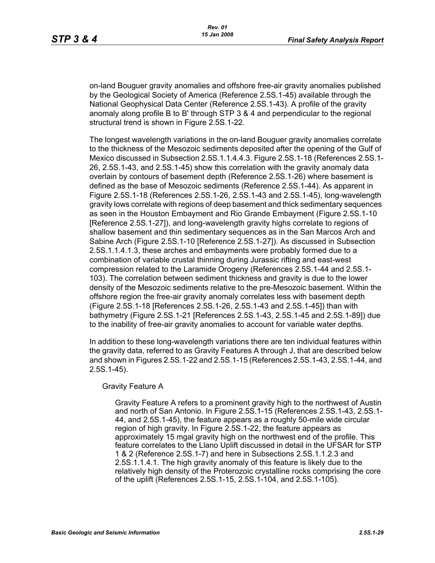on-land Bouguer gravity anomalies and offshore free-air gravity anomalies published by the Geological Society of America (Reference 2.5S.1-45) available through the National Geophysical Data Center (Reference 2.5S.1-43). A profile of the gravity anomaly along profile B to B' through STP 3 & 4 and perpendicular to the regional structural trend is shown in Figure 2.5S.1-22.

The longest wavelength variations in the on-land Bouguer gravity anomalies correlate to the thickness of the Mesozoic sediments deposited after the opening of the Gulf of Mexico discussed in Subsection 2.5S.1.1.4.4.3. Figure 2.5S.1-18 (References 2.5S.1- 26, 2.5S.1-43, and 2.5S.1-45) show this correlation with the gravity anomaly data overlain by contours of basement depth (Reference 2.5S.1-26) where basement is defined as the base of Mesozoic sediments (Reference 2.5S.1-44). As apparent in Figure 2.5S.1-18 (References 2.5S.1-26, 2.5S.1-43 and 2.5S.1-45), long-wavelength gravity lows correlate with regions of deep basement and thick sedimentary sequences as seen in the Houston Embayment and Rio Grande Embayment (Figure 2.5S.1-10 [Reference 2.5S.1-27]), and long-wavelength gravity highs correlate to regions of shallow basement and thin sedimentary sequences as in the San Marcos Arch and Sabine Arch (Figure 2.5S.1-10 [Reference 2.5S.1-27]). As discussed in Subsection 2.5S.1.1.4.1.3, these arches and embayments were probably formed due to a combination of variable crustal thinning during Jurassic rifting and east-west compression related to the Laramide Orogeny (References 2.5S.1-44 and 2.5S.1- 103). The correlation between sediment thickness and gravity is due to the lower density of the Mesozoic sediments relative to the pre-Mesozoic basement. Within the offshore region the free-air gravity anomaly correlates less with basement depth (Figure 2.5S.1-18 [References 2.5S.1-26, 2.5S.1-43 and 2.5S.1-45]) than with bathymetry (Figure 2.5S.1-21 [References 2.5S.1-43, 2.5S.1-45 and 2.5S.1-89]) due to the inability of free-air gravity anomalies to account for variable water depths.

In addition to these long-wavelength variations there are ten individual features within the gravity data, referred to as Gravity Features A through J, that are described below and shown in Figures 2.5S.1-22 and 2.5S.1-15 (References 2.5S.1-43, 2.5S.1-44, and 2.5S.1-45).

#### Gravity Feature A

Gravity Feature A refers to a prominent gravity high to the northwest of Austin and north of San Antonio. In Figure 2.5S.1-15 (References 2.5S.1-43, 2.5S.1- 44, and 2.5S.1-45), the feature appears as a roughly 50-mile wide circular region of high gravity. In Figure 2.5S.1-22, the feature appears as approximately 15 mgal gravity high on the northwest end of the profile. This feature correlates to the Llano Uplift discussed in detail in the UFSAR for STP 1 & 2 (Reference 2.5S.1-7) and here in Subsections 2.5S.1.1.2.3 and 2.5S.1.1.4.1. The high gravity anomaly of this feature is likely due to the relatively high density of the Proterozoic crystalline rocks comprising the core of the uplift (References 2.5S.1-15, 2.5S.1-104, and 2.5S.1-105).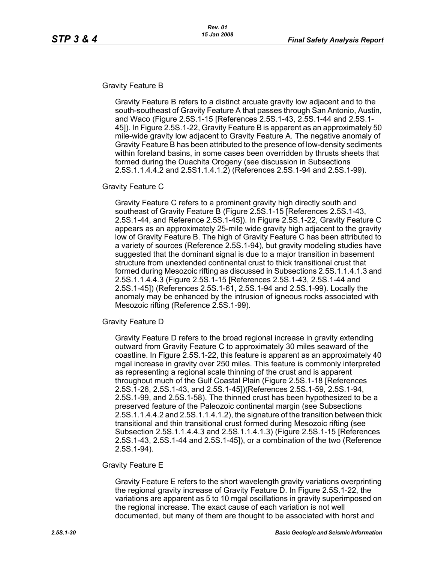#### Gravity Feature B

Gravity Feature B refers to a distinct arcuate gravity low adjacent and to the south-southeast of Gravity Feature A that passes through San Antonio, Austin, and Waco (Figure 2.5S.1-15 [References 2.5S.1-43, 2.5S.1-44 and 2.5S.1- 45]). In Figure 2.5S.1-22, Gravity Feature B is apparent as an approximately 50 mile-wide gravity low adjacent to Gravity Feature A. The negative anomaly of Gravity Feature B has been attributed to the presence of low-density sediments within foreland basins, in some cases been overridden by thrusts sheets that formed during the Ouachita Orogeny (see discussion in Subsections 2.5S.1.1.4.4.2 and 2.5S1.1.4.1.2) (References 2.5S.1-94 and 2.5S.1-99).

#### Gravity Feature C

Gravity Feature C refers to a prominent gravity high directly south and southeast of Gravity Feature B (Figure 2.5S.1-15 [References 2.5S.1-43, 2.5S.1-44, and Reference 2.5S.1-45]). In Figure 2.5S.1-22, Gravity Feature C appears as an approximately 25-mile wide gravity high adjacent to the gravity low of Gravity Feature B. The high of Gravity Feature C has been attributed to a variety of sources (Reference 2.5S.1-94), but gravity modeling studies have suggested that the dominant signal is due to a major transition in basement structure from unextended continental crust to thick transitional crust that formed during Mesozoic rifting as discussed in Subsections 2.5S.1.1.4.1.3 and 2.5S.1.1.4.4.3 (Figure 2.5S.1-15 [References 2.5S.1-43, 2.5S.1-44 and 2.5S.1-45]) (References 2.5S.1-61, 2.5S.1-94 and 2.5S.1-99). Locally the anomaly may be enhanced by the intrusion of igneous rocks associated with Mesozoic rifting (Reference 2.5S.1-99).

#### Gravity Feature D

Gravity Feature D refers to the broad regional increase in gravity extending outward from Gravity Feature C to approximately 30 miles seaward of the coastline. In Figure 2.5S.1-22, this feature is apparent as an approximately 40 mgal increase in gravity over 250 miles. This feature is commonly interpreted as representing a regional scale thinning of the crust and is apparent throughout much of the Gulf Coastal Plain (Figure 2.5S.1-18 [References 2.5S.1-26, 2.5S.1-43, and 2.5S.1-45])(References 2.5S.1-59, 2.5S.1-94, 2.5S.1-99, and 2.5S.1-58). The thinned crust has been hypothesized to be a preserved feature of the Paleozoic continental margin (see Subsections 2.5S.1.1.4.4.2 and 2.5S.1.1.4.1.2), the signature of the transition between thick transitional and thin transitional crust formed during Mesozoic rifting (see Subsection 2.5S.1.1.4.4.3 and 2.5S.1.1.4.1.3) (Figure 2.5S.1-15 [References 2.5S.1-43, 2.5S.1-44 and 2.5S.1-45]), or a combination of the two (Reference 2.5S.1-94).

### Gravity Feature E

Gravity Feature E refers to the short wavelength gravity variations overprinting the regional gravity increase of Gravity Feature D. In Figure 2.5S.1-22, the variations are apparent as 5 to 10 mgal oscillations in gravity superimposed on the regional increase. The exact cause of each variation is not well documented, but many of them are thought to be associated with horst and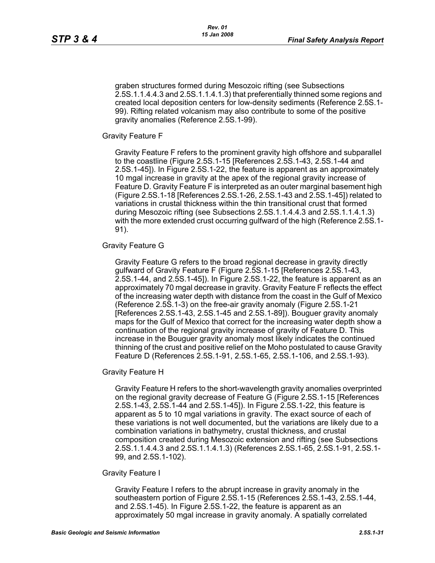graben structures formed during Mesozoic rifting (see Subsections 2.5S.1.1.4.4.3 and 2.5S.1.1.4.1.3) that preferentially thinned some regions and created local deposition centers for low-density sediments (Reference 2.5S.1- 99). Rifting related volcanism may also contribute to some of the positive gravity anomalies (Reference 2.5S.1-99).

Gravity Feature F

Gravity Feature F refers to the prominent gravity high offshore and subparallel to the coastline (Figure 2.5S.1-15 [References 2.5S.1-43, 2.5S.1-44 and 2.5S.1-45]). In Figure 2.5S.1-22, the feature is apparent as an approximately 10 mgal increase in gravity at the apex of the regional gravity increase of Feature D. Gravity Feature F is interpreted as an outer marginal basement high (Figure 2.5S.1-18 [References 2.5S.1-26, 2.5S.1-43 and 2.5S.1-45]) related to variations in crustal thickness within the thin transitional crust that formed during Mesozoic rifting (see Subsections 2.5S.1.1.4.4.3 and 2.5S.1.1.4.1.3) with the more extended crust occurring gulfward of the high (Reference 2.5S.1- 91).

#### Gravity Feature G

Gravity Feature G refers to the broad regional decrease in gravity directly gulfward of Gravity Feature F (Figure 2.5S.1-15 [References 2.5S.1-43, 2.5S.1-44, and 2.5S.1-45]). In Figure 2.5S.1-22, the feature is apparent as an approximately 70 mgal decrease in gravity. Gravity Feature F reflects the effect of the increasing water depth with distance from the coast in the Gulf of Mexico (Reference 2.5S.1-3) on the free-air gravity anomaly (Figure 2.5S.1-21 [References 2.5S.1-43, 2.5S.1-45 and 2.5S.1-89]). Bouguer gravity anomaly maps for the Gulf of Mexico that correct for the increasing water depth show a continuation of the regional gravity increase of gravity of Feature D. This increase in the Bouguer gravity anomaly most likely indicates the continued thinning of the crust and positive relief on the Moho postulated to cause Gravity Feature D (References 2.5S.1-91, 2.5S.1-65, 2.5S.1-106, and 2.5S.1-93).

Gravity Feature H

Gravity Feature H refers to the short-wavelength gravity anomalies overprinted on the regional gravity decrease of Feature G (Figure 2.5S.1-15 [References 2.5S.1-43, 2.5S.1-44 and 2.5S.1-45]). In Figure 2.5S.1-22, this feature is apparent as 5 to 10 mgal variations in gravity. The exact source of each of these variations is not well documented, but the variations are likely due to a combination variations in bathymetry, crustal thickness, and crustal composition created during Mesozoic extension and rifting (see Subsections 2.5S.1.1.4.4.3 and 2.5S.1.1.4.1.3) (References 2.5S.1-65, 2.5S.1-91, 2.5S.1- 99, and 2.5S.1-102).

#### Gravity Feature I

Gravity Feature I refers to the abrupt increase in gravity anomaly in the southeastern portion of Figure 2.5S.1-15 (References 2.5S.1-43, 2.5S.1-44, and 2.5S.1-45). In Figure 2.5S.1-22, the feature is apparent as an approximately 50 mgal increase in gravity anomaly. A spatially correlated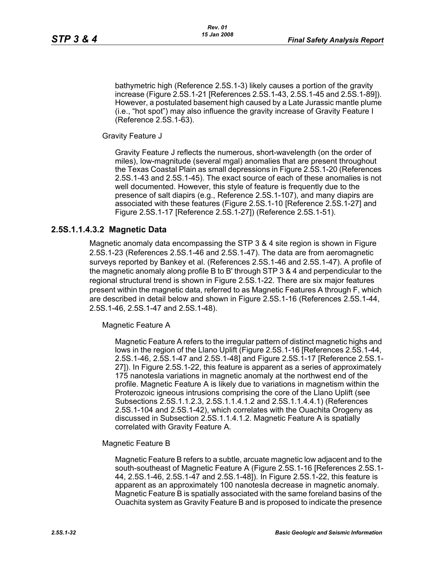bathymetric high (Reference 2.5S.1-3) likely causes a portion of the gravity increase (Figure 2.5S.1-21 [References 2.5S.1-43, 2.5S.1-45 and 2.5S.1-89]). However, a postulated basement high caused by a Late Jurassic mantle plume (i.e., "hot spot") may also influence the gravity increase of Gravity Feature I (Reference 2.5S.1-63).

Gravity Feature J

Gravity Feature J reflects the numerous, short-wavelength (on the order of miles), low-magnitude (several mgal) anomalies that are present throughout the Texas Coastal Plain as small depressions in Figure 2.5S.1-20 (References 2.5S.1-43 and 2.5S.1-45). The exact source of each of these anomalies is not well documented. However, this style of feature is frequently due to the presence of salt diapirs (e.g., Reference 2.5S.1-107), and many diapirs are associated with these features (Figure 2.5S.1-10 [Reference 2.5S.1-27] and Figure 2.5S.1-17 [Reference 2.5S.1-27]) (Reference 2.5S.1-51).

### **2.5S.1.1.4.3.2 Magnetic Data**

Magnetic anomaly data encompassing the STP 3 & 4 site region is shown in Figure 2.5S.1-23 (References 2.5S.1-46 and 2.5S.1-47). The data are from aeromagnetic surveys reported by Bankey et al. (References 2.5S.1-46 and 2.5S.1-47). A profile of the magnetic anomaly along profile B to B' through STP 3 & 4 and perpendicular to the regional structural trend is shown in Figure 2.5S.1-22. There are six major features present within the magnetic data, referred to as Magnetic Features A through F, which are described in detail below and shown in Figure 2.5S.1-16 (References 2.5S.1-44, 2.5S.1-46, 2.5S.1-47 and 2.5S.1-48).

Magnetic Feature A

Magnetic Feature A refers to the irregular pattern of distinct magnetic highs and lows in the region of the Llano Uplift (Figure 2.5S.1-16 [References 2.5S.1-44, 2.5S.1-46, 2.5S.1-47 and 2.5S.1-48] and Figure 2.5S.1-17 [Reference 2.5S.1- 27]). In Figure 2.5S.1-22, this feature is apparent as a series of approximately 175 nanotesla variations in magnetic anomaly at the northwest end of the profile. Magnetic Feature A is likely due to variations in magnetism within the Proterozoic igneous intrusions comprising the core of the Llano Uplift (see Subsections 2.5S.1.1.2.3, 2.5S.1.1.4.1.2 and 2.5S.1.1.4.4.1) (References 2.5S.1-104 and 2.5S.1-42), which correlates with the Ouachita Orogeny as discussed in Subsection 2.5S.1.1.4.1.2. Magnetic Feature A is spatially correlated with Gravity Feature A.

Magnetic Feature B

Magnetic Feature B refers to a subtle, arcuate magnetic low adjacent and to the south-southeast of Magnetic Feature A (Figure 2.5S.1-16 [References 2.5S.1- 44, 2.5S.1-46, 2.5S.1-47 and 2.5S.1-48]). In Figure 2.5S.1-22, this feature is apparent as an approximately 100 nanotesla decrease in magnetic anomaly. Magnetic Feature B is spatially associated with the same foreland basins of the Ouachita system as Gravity Feature B and is proposed to indicate the presence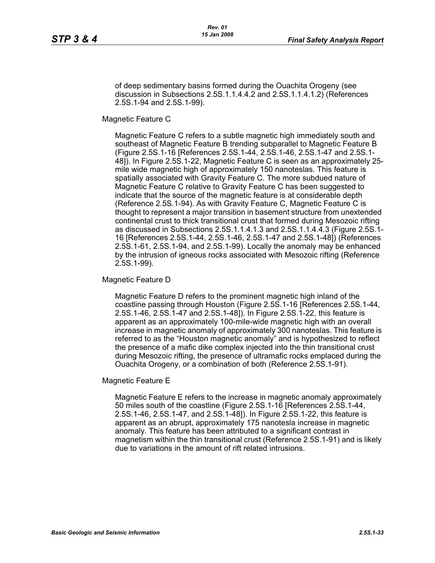of deep sedimentary basins formed during the Ouachita Orogeny (see discussion in Subsections 2.5S.1.1.4.4.2 and 2.5S.1.1.4.1.2) (References 2.5S.1-94 and 2.5S.1-99).

Magnetic Feature C

Magnetic Feature C refers to a subtle magnetic high immediately south and southeast of Magnetic Feature B trending subparallel to Magnetic Feature B (Figure 2.5S.1-16 [References 2.5S.1-44, 2.5S.1-46, 2.5S.1-47 and 2.5S.1- 48]). In Figure 2.5S.1-22, Magnetic Feature C is seen as an approximately 25 mile wide magnetic high of approximately 150 nanoteslas. This feature is spatially associated with Gravity Feature C. The more subdued nature of Magnetic Feature C relative to Gravity Feature C has been suggested to indicate that the source of the magnetic feature is at considerable depth (Reference 2.5S.1-94). As with Gravity Feature C, Magnetic Feature C is thought to represent a major transition in basement structure from unextended continental crust to thick transitional crust that formed during Mesozoic rifting as discussed in Subsections 2.5S.1.1.4.1.3 and 2.5S.1.1.4.4.3 (Figure 2.5S.1- 16 [References 2.5S.1-44, 2.5S.1-46, 2.5S.1-47 and 2.5S.1-48]) (References 2.5S.1-61, 2.5S.1-94, and 2.5S.1-99). Locally the anomaly may be enhanced by the intrusion of igneous rocks associated with Mesozoic rifting (Reference 2.5S.1-99).

Magnetic Feature D

Magnetic Feature D refers to the prominent magnetic high inland of the coastline passing through Houston (Figure 2.5S.1-16 [References 2.5S.1-44, 2.5S.1-46, 2.5S.1-47 and 2.5S.1-48]). In Figure 2.5S.1-22, this feature is apparent as an approximately 100-mile-wide magnetic high with an overall increase in magnetic anomaly of approximately 300 nanoteslas. This feature is referred to as the "Houston magnetic anomaly" and is hypothesized to reflect the presence of a mafic dike complex injected into the thin transitional crust during Mesozoic rifting, the presence of ultramafic rocks emplaced during the Ouachita Orogeny, or a combination of both (Reference 2.5S.1-91).

Magnetic Feature E

Magnetic Feature E refers to the increase in magnetic anomaly approximately 50 miles south of the coastline (Figure 2.5S.1-16 [References 2.5S.1-44, 2.5S.1-46, 2.5S.1-47, and 2.5S.1-48]). In Figure 2.5S.1-22, this feature is apparent as an abrupt, approximately 175 nanotesla increase in magnetic anomaly. This feature has been attributed to a significant contrast in magnetism within the thin transitional crust (Reference 2.5S.1-91) and is likely due to variations in the amount of rift related intrusions.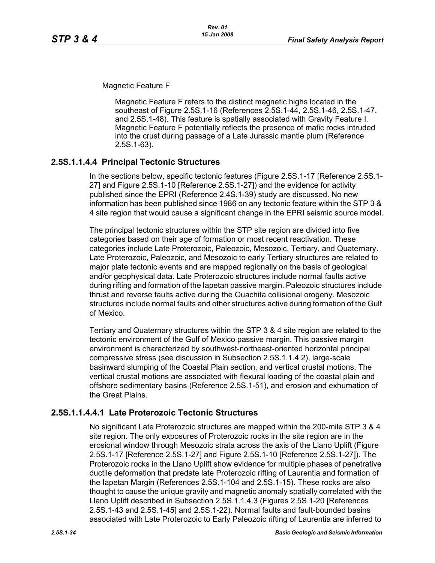Magnetic Feature F

Magnetic Feature F refers to the distinct magnetic highs located in the southeast of Figure 2.5S.1-16 (References 2.5S.1-44, 2.5S.1-46, 2.5S.1-47, and 2.5S.1-48). This feature is spatially associated with Gravity Feature I. Magnetic Feature F potentially reflects the presence of mafic rocks intruded into the crust during passage of a Late Jurassic mantle plum (Reference 2.5S.1-63).

## **2.5S.1.1.4.4 Principal Tectonic Structures**

In the sections below, specific tectonic features (Figure 2.5S.1-17 [Reference 2.5S.1- 27] and Figure 2.5S.1-10 [Reference 2.5S.1-27]) and the evidence for activity published since the EPRI (Reference 2.4S.1-39) study are discussed. No new information has been published since 1986 on any tectonic feature within the STP 3 & 4 site region that would cause a significant change in the EPRI seismic source model.

The principal tectonic structures within the STP site region are divided into five categories based on their age of formation or most recent reactivation. These categories include Late Proterozoic, Paleozoic, Mesozoic, Tertiary, and Quaternary. Late Proterozoic, Paleozoic, and Mesozoic to early Tertiary structures are related to major plate tectonic events and are mapped regionally on the basis of geological and/or geophysical data. Late Proterozoic structures include normal faults active during rifting and formation of the Iapetan passive margin. Paleozoic structures include thrust and reverse faults active during the Ouachita collisional orogeny. Mesozoic structures include normal faults and other structures active during formation of the Gulf of Mexico.

Tertiary and Quaternary structures within the STP 3 & 4 site region are related to the tectonic environment of the Gulf of Mexico passive margin. This passive margin environment is characterized by southwest-northeast-oriented horizontal principal compressive stress (see discussion in Subsection 2.5S.1.1.4.2), large-scale basinward slumping of the Coastal Plain section, and vertical crustal motions. The vertical crustal motions are associated with flexural loading of the coastal plain and offshore sedimentary basins (Reference 2.5S.1-51), and erosion and exhumation of the Great Plains.

## **2.5S.1.1.4.4.1 Late Proterozoic Tectonic Structures**

No significant Late Proterozoic structures are mapped within the 200-mile STP 3 & 4 site region. The only exposures of Proterozoic rocks in the site region are in the erosional window through Mesozoic strata across the axis of the Llano Uplift (Figure 2.5S.1-17 [Reference 2.5S.1-27] and Figure 2.5S.1-10 [Reference 2.5S.1-27]). The Proterozoic rocks in the Llano Uplift show evidence for multiple phases of penetrative ductile deformation that predate late Proterozoic rifting of Laurentia and formation of the Iapetan Margin (References 2.5S.1-104 and 2.5S.1-15). These rocks are also thought to cause the unique gravity and magnetic anomaly spatially correlated with the Llano Uplift described in Subsection 2.5S.1.1.4.3 (Figures 2.5S.1-20 [References 2.5S.1-43 and 2.5S.1-45] and 2.5S.1-22). Normal faults and fault-bounded basins associated with Late Proterozoic to Early Paleozoic rifting of Laurentia are inferred to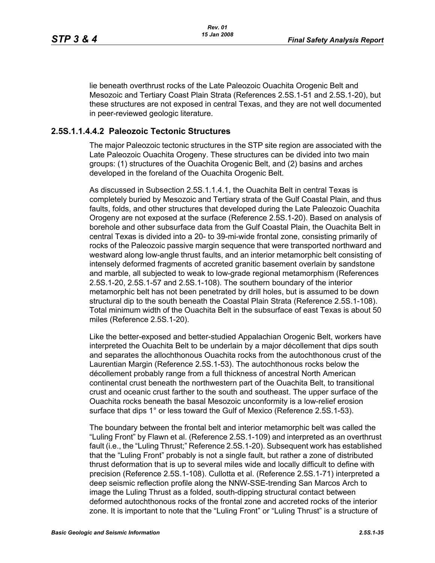lie beneath overthrust rocks of the Late Paleozoic Ouachita Orogenic Belt and Mesozoic and Tertiary Coast Plain Strata (References 2.5S.1-51 and 2.5S.1-20), but these structures are not exposed in central Texas, and they are not well documented in peer-reviewed geologic literature.

### **2.5S.1.1.4.4.2 Paleozoic Tectonic Structures**

The major Paleozoic tectonic structures in the STP site region are associated with the Late Paleozoic Ouachita Orogeny. These structures can be divided into two main groups: (1) structures of the Ouachita Orogenic Belt, and (2) basins and arches developed in the foreland of the Ouachita Orogenic Belt.

As discussed in Subsection 2.5S.1.1.4.1, the Ouachita Belt in central Texas is completely buried by Mesozoic and Tertiary strata of the Gulf Coastal Plain, and thus faults, folds, and other structures that developed during the Late Paleozoic Ouachita Orogeny are not exposed at the surface (Reference 2.5S.1-20). Based on analysis of borehole and other subsurface data from the Gulf Coastal Plain, the Ouachita Belt in central Texas is divided into a 20- to 39-mi-wide frontal zone, consisting primarily of rocks of the Paleozoic passive margin sequence that were transported northward and westward along low-angle thrust faults, and an interior metamorphic belt consisting of intensely deformed fragments of accreted granitic basement overlain by sandstone and marble, all subjected to weak to low-grade regional metamorphism (References 2.5S.1-20, 2.5S.1-57 and 2.5S.1-108). The southern boundary of the interior metamorphic belt has not been penetrated by drill holes, but is assumed to be down structural dip to the south beneath the Coastal Plain Strata (Reference 2.5S.1-108). Total minimum width of the Ouachita Belt in the subsurface of east Texas is about 50 miles (Reference 2.5S.1-20).

Like the better-exposed and better-studied Appalachian Orogenic Belt, workers have interpreted the Ouachita Belt to be underlain by a major décollement that dips south and separates the allochthonous Ouachita rocks from the autochthonous crust of the Laurentian Margin (Reference 2.5S.1-53). The autochthonous rocks below the décollement probably range from a full thickness of ancestral North American continental crust beneath the northwestern part of the Ouachita Belt, to transitional crust and oceanic crust farther to the south and southeast. The upper surface of the Ouachita rocks beneath the basal Mesozoic unconformity is a low-relief erosion surface that dips 1° or less toward the Gulf of Mexico (Reference 2.5S.1-53).

The boundary between the frontal belt and interior metamorphic belt was called the "Luling Front" by Flawn et al. (Reference 2.5S.1-109) and interpreted as an overthrust fault (i.e., the "Luling Thrust;" Reference 2.5S.1-20). Subsequent work has established that the "Luling Front" probably is not a single fault, but rather a zone of distributed thrust deformation that is up to several miles wide and locally difficult to define with precision (Reference 2.5S.1-108). Cullotta et al. (Reference 2.5S.1-71) interpreted a deep seismic reflection profile along the NNW-SSE-trending San Marcos Arch to image the Luling Thrust as a folded, south-dipping structural contact between deformed autochthonous rocks of the frontal zone and accreted rocks of the interior zone. It is important to note that the "Luling Front" or "Luling Thrust" is a structure of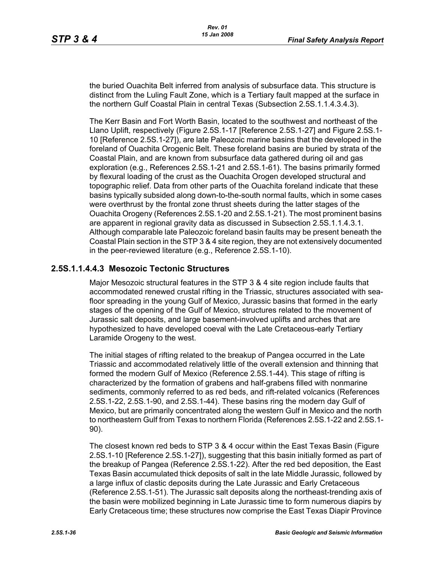the buried Ouachita Belt inferred from analysis of subsurface data. This structure is distinct from the Luling Fault Zone, which is a Tertiary fault mapped at the surface in the northern Gulf Coastal Plain in central Texas (Subsection 2.5S.1.1.4.3.4.3).

The Kerr Basin and Fort Worth Basin, located to the southwest and northeast of the Llano Uplift, respectively (Figure 2.5S.1-17 [Reference 2.5S.1-27] and Figure 2.5S.1- 10 [Reference 2.5S.1-27]), are late Paleozoic marine basins that the developed in the foreland of Ouachita Orogenic Belt. These foreland basins are buried by strata of the Coastal Plain, and are known from subsurface data gathered during oil and gas exploration (e.g., References 2.5S.1-21 and 2.5S.1-61). The basins primarily formed by flexural loading of the crust as the Ouachita Orogen developed structural and topographic relief. Data from other parts of the Ouachita foreland indicate that these basins typically subsided along down-to-the-south normal faults, which in some cases were overthrust by the frontal zone thrust sheets during the latter stages of the Ouachita Orogeny (References 2.5S.1-20 and 2.5S.1-21). The most prominent basins are apparent in regional gravity data as discussed in Subsection 2.5S.1.1.4.3.1. Although comparable late Paleozoic foreland basin faults may be present beneath the Coastal Plain section in the STP 3 & 4 site region, they are not extensively documented in the peer-reviewed literature (e.g., Reference 2.5S.1-10).

### **2.5S.1.1.4.4.3 Mesozoic Tectonic Structures**

Major Mesozoic structural features in the STP 3 & 4 site region include faults that accommodated renewed crustal rifting in the Triassic, structures associated with seafloor spreading in the young Gulf of Mexico, Jurassic basins that formed in the early stages of the opening of the Gulf of Mexico, structures related to the movement of Jurassic salt deposits, and large basement-involved uplifts and arches that are hypothesized to have developed coeval with the Late Cretaceous-early Tertiary Laramide Orogeny to the west.

The initial stages of rifting related to the breakup of Pangea occurred in the Late Triassic and accommodated relatively little of the overall extension and thinning that formed the modern Gulf of Mexico (Reference 2.5S.1-44). This stage of rifting is characterized by the formation of grabens and half-grabens filled with nonmarine sediments, commonly referred to as red beds, and rift-related volcanics (References 2.5S.1-22, 2.5S.1-90, and 2.5S.1-44). These basins ring the modern day Gulf of Mexico, but are primarily concentrated along the western Gulf in Mexico and the north to northeastern Gulf from Texas to northern Florida (References 2.5S.1-22 and 2.5S.1- 90).

The closest known red beds to STP 3 & 4 occur within the East Texas Basin (Figure 2.5S.1-10 [Reference 2.5S.1-27]), suggesting that this basin initially formed as part of the breakup of Pangea (Reference 2.5S.1-22). After the red bed deposition, the East Texas Basin accumulated thick deposits of salt in the late Middle Jurassic, followed by a large influx of clastic deposits during the Late Jurassic and Early Cretaceous (Reference 2.5S.1-51). The Jurassic salt deposits along the northeast-trending axis of the basin were mobilized beginning in Late Jurassic time to form numerous diapirs by Early Cretaceous time; these structures now comprise the East Texas Diapir Province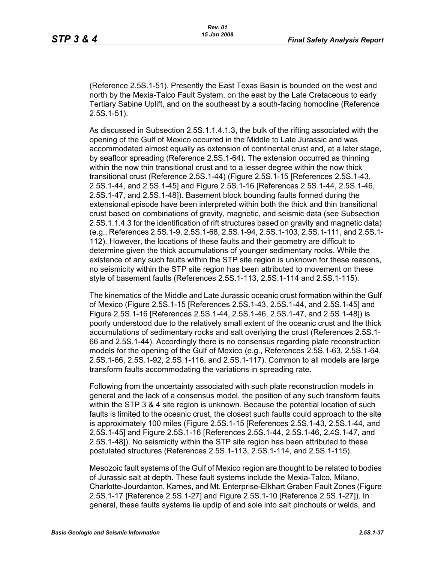(Reference 2.5S.1-51). Presently the East Texas Basin is bounded on the west and north by the Mexia-Talco Fault System, on the east by the Late Cretaceous to early Tertiary Sabine Uplift, and on the southeast by a south-facing homocline (Reference 2.5S.1-51).

As discussed in Subsection 2.5S.1.1.4.1.3, the bulk of the rifting associated with the opening of the Gulf of Mexico occurred in the Middle to Late Jurassic and was accommodated almost equally as extension of continental crust and, at a later stage, by seafloor spreading (Reference 2.5S.1-64). The extension occurred as thinning within the now thin transitional crust and to a lesser degree within the now thick transitional crust (Reference 2.5S.1-44) (Figure 2.5S.1-15 [References 2.5S.1-43, 2.5S.1-44, and 2.5S.1-45] and Figure 2.5S.1-16 [References 2.5S.1-44, 2.5S.1-46, 2.5S.1-47, and 2.5S.1-48]). Basement block bounding faults formed during the extensional episode have been interpreted within both the thick and thin transitional crust based on combinations of gravity, magnetic, and seismic data (see Subsection 2.5S.1.1.4.3 for the identification of rift structures based on gravity and magnetic data) (e.g., References 2.5S.1-9, 2.5S.1-68, 2.5S.1-94, 2.5S.1-103, 2.5S.1-111, and 2.5S.1- 112). However, the locations of these faults and their geometry are difficult to determine given the thick accumulations of younger sedimentary rocks. While the existence of any such faults within the STP site region is unknown for these reasons, no seismicity within the STP site region has been attributed to movement on these style of basement faults (References 2.5S.1-113, 2.5S.1-114 and 2.5S.1-115).

The kinematics of the Middle and Late Jurassic oceanic crust formation within the Gulf of Mexico (Figure 2.5S.1-15 [References 2.5S.1-43, 2.5S.1-44, and 2.5S.1-45] and Figure 2.5S.1-16 [References 2.5S.1-44, 2.5S.1-46, 2.5S.1-47, and 2.5S.1-48]) is poorly understood due to the relatively small extent of the oceanic crust and the thick accumulations of sedimentary rocks and salt overlying the crust (References 2.5S.1- 66 and 2.5S.1-44). Accordingly there is no consensus regarding plate reconstruction models for the opening of the Gulf of Mexico (e.g., References 2.5S.1-63, 2.5S.1-64, 2.5S.1-66, 2.5S.1-92, 2.5S.1-116, and 2.5S.1-117). Common to all models are large transform faults accommodating the variations in spreading rate.

Following from the uncertainty associated with such plate reconstruction models in general and the lack of a consensus model, the position of any such transform faults within the STP 3 & 4 site region is unknown. Because the potential location of such faults is limited to the oceanic crust, the closest such faults could approach to the site is approximately 100 miles (Figure 2.5S.1-15 [References 2.5S.1-43, 2.5S.1-44, and 2.5S.1-45] and Figure 2.5S.1-16 [References 2.5S.1-44, 2.5S.1-46, 2.4S.1-47, and 2.5S.1-48]). No seismicity within the STP site region has been attributed to these postulated structures (References 2.5S.1-113, 2.5S.1-114, and 2.5S.1-115).

Mesozoic fault systems of the Gulf of Mexico region are thought to be related to bodies of Jurassic salt at depth. These fault systems include the Mexia-Talco, Milano, Charlotte-Jourdanton, Karnes, and Mt. Enterprise-Elkhart Graben Fault Zones (Figure 2.5S.1-17 [Reference 2.5S.1-27] and Figure 2.5S.1-10 [Reference 2.5S.1-27]). In general, these faults systems lie updip of and sole into salt pinchouts or welds, and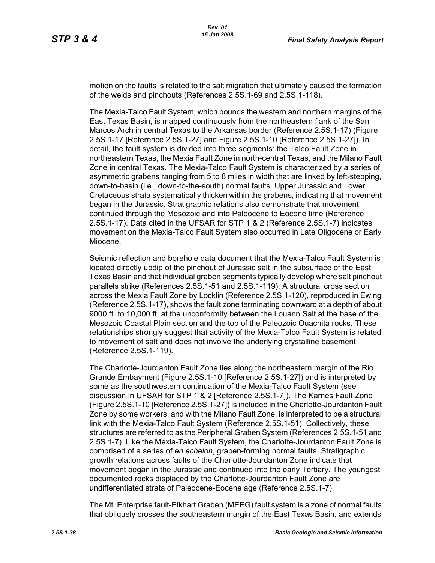motion on the faults is related to the salt migration that ultimately caused the formation of the welds and pinchouts (References 2.5S.1-69 and 2.5S.1-118).

The Mexia-Talco Fault System, which bounds the western and northern margins of the East Texas Basin, is mapped continuously from the northeastern flank of the San Marcos Arch in central Texas to the Arkansas border (Reference 2.5S.1-17) (Figure 2.5S.1-17 [Reference 2.5S.1-27] and Figure 2.5S.1-10 [Reference 2.5S.1-27]). In detail, the fault system is divided into three segments: the Talco Fault Zone in northeastern Texas, the Mexia Fault Zone in north-central Texas, and the Milano Fault Zone in central Texas. The Mexia-Talco Fault System is characterized by a series of asymmetric grabens ranging from 5 to 8 miles in width that are linked by left-stepping, down-to-basin (i.e., down-to-the-south) normal faults. Upper Jurassic and Lower Cretaceous strata systematically thicken within the grabens, indicating that movement began in the Jurassic. Stratigraphic relations also demonstrate that movement continued through the Mesozoic and into Paleocene to Eocene time (Reference 2.5S.1-17). Data cited in the UFSAR for STP 1 & 2 (Reference 2.5S.1-7) indicates movement on the Mexia-Talco Fault System also occurred in Late Oligocene or Early Miocene.

Seismic reflection and borehole data document that the Mexia-Talco Fault System is located directly updip of the pinchout of Jurassic salt in the subsurface of the East Texas Basin and that individual graben segments typically develop where salt pinchout parallels strike (References 2.5S.1-51 and 2.5S.1-119). A structural cross section across the Mexia Fault Zone by Locklin (Reference 2.5S.1-120), reproduced in Ewing (Reference 2.5S.1-17), shows the fault zone terminating downward at a depth of about 9000 ft. to 10,000 ft. at the unconformity between the Louann Salt at the base of the Mesozoic Coastal Plain section and the top of the Paleozoic Ouachita rocks. These relationships strongly suggest that activity of the Mexia-Talco Fault System is related to movement of salt and does not involve the underlying crystalline basement (Reference 2.5S.1-119).

The Charlotte-Jourdanton Fault Zone lies along the northeastern margin of the Rio Grande Embayment (Figure 2.5S.1-10 [Reference 2.5S.1-27]) and is interpreted by some as the southwestern continuation of the Mexia-Talco Fault System (see discussion in UFSAR for STP 1 & 2 [Reference 2.5S.1-7]). The Karnes Fault Zone (Figure 2.5S.1-10 [Reference 2.5S.1-27]) is included in the Charlotte-Jourdanton Fault Zone by some workers, and with the Milano Fault Zone, is interpreted to be a structural link with the Mexia-Talco Fault System (Reference 2.5S.1-51). Collectively, these structures are referred to as the Peripheral Graben System (References 2.5S.1-51 and 2.5S.1-7). Like the Mexia-Talco Fault System, the Charlotte-Jourdanton Fault Zone is comprised of a series of *en echelon*, graben-forming normal faults. Stratigraphic growth relations across faults of the Charlotte-Jourdanton Zone indicate that movement began in the Jurassic and continued into the early Tertiary. The youngest documented rocks displaced by the Charlotte-Jourdanton Fault Zone are undifferentiated strata of Paleocene-Eocene age (Reference 2.5S.1-7).

The Mt. Enterprise fault-Elkhart Graben (MEEG) fault system is a zone of normal faults that obliquely crosses the southeastern margin of the East Texas Basin, and extends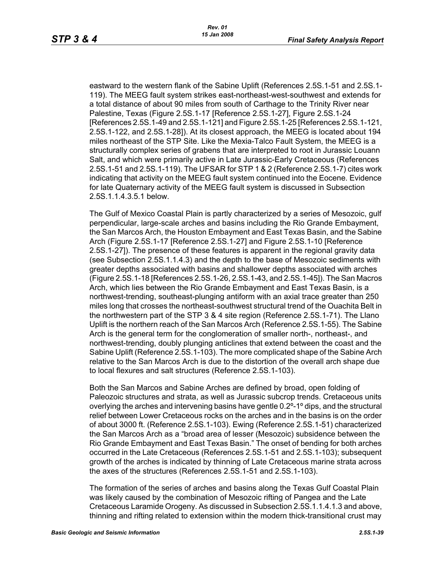eastward to the western flank of the Sabine Uplift (References 2.5S.1-51 and 2.5S.1- 119). The MEEG fault system strikes east-northeast-west-southwest and extends for a total distance of about 90 miles from south of Carthage to the Trinity River near Palestine, Texas (Figure 2.5S.1-17 [Reference 2.5S.1-27], Figure 2.5S.1-24 [References 2.5S.1-49 and 2.5S.1-121] and Figure 2.5S.1-25 [References 2.5S.1-121, 2.5S.1-122, and 2.5S.1-28]). At its closest approach, the MEEG is located about 194 miles northeast of the STP Site. Like the Mexia-Talco Fault System, the MEEG is a structurally complex series of grabens that are interpreted to root in Jurassic Louann Salt, and which were primarily active in Late Jurassic-Early Cretaceous (References 2.5S.1-51 and 2.5S.1-119). The UFSAR for STP 1 & 2 (Reference 2.5S.1-7) cites work indicating that activity on the MEEG fault system continued into the Eocene. Evidence for late Quaternary activity of the MEEG fault system is discussed in Subsection 2.5S.1.1.4.3.5.1 below.

The Gulf of Mexico Coastal Plain is partly characterized by a series of Mesozoic, gulf perpendicular, large-scale arches and basins including the Rio Grande Embayment, the San Marcos Arch, the Houston Embayment and East Texas Basin, and the Sabine Arch (Figure 2.5S.1-17 [Reference 2.5S.1-27] and Figure 2.5S.1-10 [Reference 2.5S.1-27]). The presence of these features is apparent in the regional gravity data (see Subsection 2.5S.1.1.4.3) and the depth to the base of Mesozoic sediments with greater depths associated with basins and shallower depths associated with arches (Figure 2.5S.1-18 [References 2.5S.1-26, 2.5S.1-43, and 2.5S.1-45]). The San Macros Arch, which lies between the Rio Grande Embayment and East Texas Basin, is a northwest-trending, southeast-plunging antiform with an axial trace greater than 250 miles long that crosses the northeast-southwest structural trend of the Ouachita Belt in the northwestern part of the STP 3 & 4 site region (Reference 2.5S.1-71). The Llano Uplift is the northern reach of the San Marcos Arch (Reference 2.5S.1-55). The Sabine Arch is the general term for the conglomeration of smaller north-, northeast-, and northwest-trending, doubly plunging anticlines that extend between the coast and the Sabine Uplift (Reference 2.5S.1-103). The more complicated shape of the Sabine Arch relative to the San Marcos Arch is due to the distortion of the overall arch shape due to local flexures and salt structures (Reference 2.5S.1-103).

Both the San Marcos and Sabine Arches are defined by broad, open folding of Paleozoic structures and strata, as well as Jurassic subcrop trends. Cretaceous units overlying the arches and intervening basins have gentle 0.2º-1º dips, and the structural relief between Lower Cretaceous rocks on the arches and in the basins is on the order of about 3000 ft. (Reference 2.5S.1-103). Ewing (Reference 2.5S.1-51) characterized the San Marcos Arch as a "broad area of lesser (Mesozoic) subsidence between the Rio Grande Embayment and East Texas Basin." The onset of bending for both arches occurred in the Late Cretaceous (References 2.5S.1-51 and 2.5S.1-103); subsequent growth of the arches is indicated by thinning of Late Cretaceous marine strata across the axes of the structures (References 2.5S.1-51 and 2.5S.1-103).

The formation of the series of arches and basins along the Texas Gulf Coastal Plain was likely caused by the combination of Mesozoic rifting of Pangea and the Late Cretaceous Laramide Orogeny. As discussed in Subsection 2.5S.1.1.4.1.3 and above, thinning and rifting related to extension within the modern thick-transitional crust may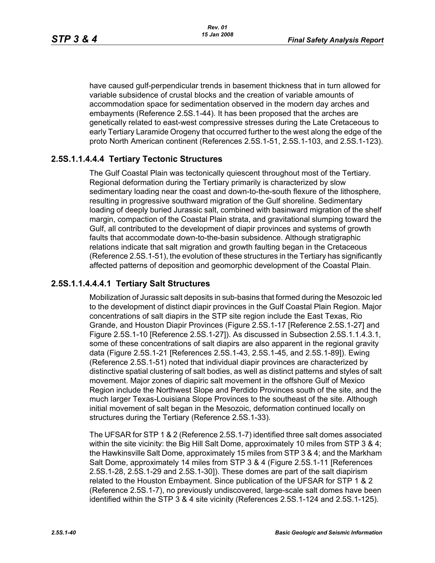have caused gulf-perpendicular trends in basement thickness that in turn allowed for variable subsidence of crustal blocks and the creation of variable amounts of accommodation space for sedimentation observed in the modern day arches and embayments (Reference 2.5S.1-44). It has been proposed that the arches are genetically related to east-west compressive stresses during the Late Cretaceous to early Tertiary Laramide Orogeny that occurred further to the west along the edge of the proto North American continent (References 2.5S.1-51, 2.5S.1-103, and 2.5S.1-123).

## **2.5S.1.1.4.4.4 Tertiary Tectonic Structures**

The Gulf Coastal Plain was tectonically quiescent throughout most of the Tertiary. Regional deformation during the Tertiary primarily is characterized by slow sedimentary loading near the coast and down-to-the-south flexure of the lithosphere, resulting in progressive southward migration of the Gulf shoreline. Sedimentary loading of deeply buried Jurassic salt, combined with basinward migration of the shelf margin, compaction of the Coastal Plain strata, and gravitational slumping toward the Gulf, all contributed to the development of diapir provinces and systems of growth faults that accommodate down-to-the-basin subsidence. Although stratigraphic relations indicate that salt migration and growth faulting began in the Cretaceous (Reference 2.5S.1-51), the evolution of these structures in the Tertiary has significantly affected patterns of deposition and geomorphic development of the Coastal Plain.

## **2.5S.1.1.4.4.4.1 Tertiary Salt Structures**

Mobilization of Jurassic salt deposits in sub-basins that formed during the Mesozoic led to the development of distinct diapir provinces in the Gulf Coastal Plain Region. Major concentrations of salt diapirs in the STP site region include the East Texas, Rio Grande, and Houston Diapir Provinces (Figure 2.5S.1-17 [Reference 2.5S.1-27] and Figure 2.5S.1-10 [Reference 2.5S.1-27]). As discussed in Subsection 2.5S.1.1.4.3.1, some of these concentrations of salt diapirs are also apparent in the regional gravity data (Figure 2.5S.1-21 [References 2.5S.1-43, 2.5S.1-45, and 2.5S.1-89]). Ewing (Reference 2.5S.1-51) noted that individual diapir provinces are characterized by distinctive spatial clustering of salt bodies, as well as distinct patterns and styles of salt movement. Major zones of diapiric salt movement in the offshore Gulf of Mexico Region include the Northwest Slope and Perdido Provinces south of the site, and the much larger Texas-Louisiana Slope Provinces to the southeast of the site. Although initial movement of salt began in the Mesozoic, deformation continued locally on structures during the Tertiary (Reference 2.5S.1-33).

The UFSAR for STP 1 & 2 (Reference 2.5S.1-7) identified three salt domes associated within the site vicinity: the Big Hill Salt Dome, approximately 10 miles from STP 3 & 4; the Hawkinsville Salt Dome, approximately 15 miles from STP 3 & 4; and the Markham Salt Dome, approximately 14 miles from STP 3 & 4 (Figure 2.5S.1-11 [References 2.5S.1-28, 2.5S.1-29 and 2.5S.1-30]). These domes are part of the salt diapirism related to the Houston Embayment. Since publication of the UFSAR for STP 1 & 2 (Reference 2.5S.1-7), no previously undiscovered, large-scale salt domes have been identified within the STP 3 & 4 site vicinity (References 2.5S.1-124 and 2.5S.1-125).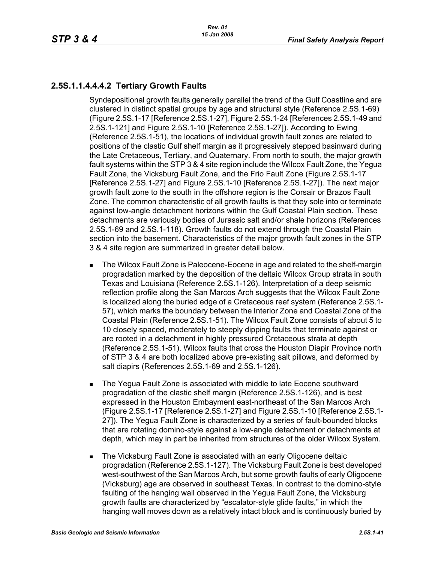# **2.5S.1.1.4.4.4.2 Tertiary Growth Faults**

Syndepositional growth faults generally parallel the trend of the Gulf Coastline and are clustered in distinct spatial groups by age and structural style (Reference 2.5S.1-69) (Figure 2.5S.1-17 [Reference 2.5S.1-27], Figure 2.5S.1-24 [References 2.5S.1-49 and 2.5S.1-121] and Figure 2.5S.1-10 [Reference 2.5S.1-27]). According to Ewing (Reference 2.5S.1-51), the locations of individual growth fault zones are related to positions of the clastic Gulf shelf margin as it progressively stepped basinward during the Late Cretaceous, Tertiary, and Quaternary. From north to south, the major growth fault systems within the STP 3 & 4 site region include the Wilcox Fault Zone, the Yegua Fault Zone, the Vicksburg Fault Zone, and the Frio Fault Zone (Figure 2.5S.1-17 [Reference 2.5S.1-27] and Figure 2.5S.1-10 [Reference 2.5S.1-27]). The next major growth fault zone to the south in the offshore region is the Corsair or Brazos Fault Zone. The common characteristic of all growth faults is that they sole into or terminate against low-angle detachment horizons within the Gulf Coastal Plain section. These detachments are variously bodies of Jurassic salt and/or shale horizons (References 2.5S.1-69 and 2.5S.1-118). Growth faults do not extend through the Coastal Plain section into the basement. Characteristics of the major growth fault zones in the STP 3 & 4 site region are summarized in greater detail below.

- **The Wilcox Fault Zone is Paleocene-Eocene in age and related to the shelf-margin** progradation marked by the deposition of the deltaic Wilcox Group strata in south Texas and Louisiana (Reference 2.5S.1-126). Interpretation of a deep seismic reflection profile along the San Marcos Arch suggests that the Wilcox Fault Zone is localized along the buried edge of a Cretaceous reef system (Reference 2.5S.1- 57), which marks the boundary between the Interior Zone and Coastal Zone of the Coastal Plain (Reference 2.5S.1-51). The Wilcox Fault Zone consists of about 5 to 10 closely spaced, moderately to steeply dipping faults that terminate against or are rooted in a detachment in highly pressured Cretaceous strata at depth (Reference 2.5S.1-51). Wilcox faults that cross the Houston Diapir Province north of STP 3 & 4 are both localized above pre-existing salt pillows, and deformed by salt diapirs (References 2.5S.1-69 and 2.5S.1-126).
- **The Yegua Fault Zone is associated with middle to late Eocene southward** progradation of the clastic shelf margin (Reference 2.5S.1-126), and is best expressed in the Houston Embayment east-northeast of the San Marcos Arch (Figure 2.5S.1-17 [Reference 2.5S.1-27] and Figure 2.5S.1-10 [Reference 2.5S.1- 27]). The Yegua Fault Zone is characterized by a series of fault-bounded blocks that are rotating domino-style against a low-angle detachment or detachments at depth, which may in part be inherited from structures of the older Wilcox System.
- The Vicksburg Fault Zone is associated with an early Oligocene deltaic progradation (Reference 2.5S.1-127). The Vicksburg Fault Zone is best developed west-southwest of the San Marcos Arch, but some growth faults of early Oligocene (Vicksburg) age are observed in southeast Texas. In contrast to the domino-style faulting of the hanging wall observed in the Yegua Fault Zone, the Vicksburg growth faults are characterized by "escalator-style glide faults," in which the hanging wall moves down as a relatively intact block and is continuously buried by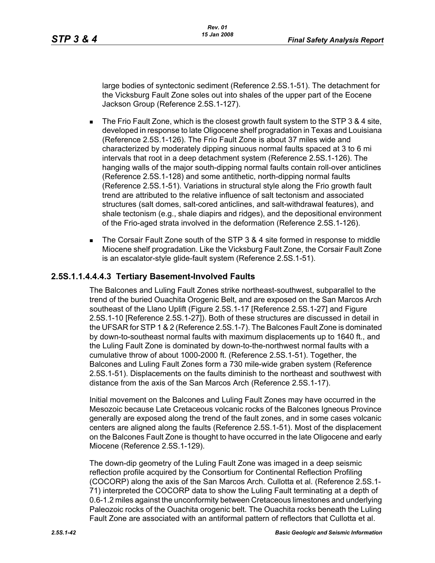large bodies of syntectonic sediment (Reference 2.5S.1-51). The detachment for the Vicksburg Fault Zone soles out into shales of the upper part of the Eocene Jackson Group (Reference 2.5S.1-127).

- $\blacksquare$  The Frio Fault Zone, which is the closest growth fault system to the STP 3 & 4 site, developed in response to late Oligocene shelf progradation in Texas and Louisiana (Reference 2.5S.1-126). The Frio Fault Zone is about 37 miles wide and characterized by moderately dipping sinuous normal faults spaced at 3 to 6 mi intervals that root in a deep detachment system (Reference 2.5S.1-126). The hanging walls of the major south-dipping normal faults contain roll-over anticlines (Reference 2.5S.1-128) and some antithetic, north-dipping normal faults (Reference 2.5S.1-51). Variations in structural style along the Frio growth fault trend are attributed to the relative influence of salt tectonism and associated structures (salt domes, salt-cored anticlines, and salt-withdrawal features), and shale tectonism (e.g., shale diapirs and ridges), and the depositional environment of the Frio-aged strata involved in the deformation (Reference 2.5S.1-126).
- The Corsair Fault Zone south of the STP 3 & 4 site formed in response to middle Miocene shelf progradation. Like the Vicksburg Fault Zone, the Corsair Fault Zone is an escalator-style glide-fault system (Reference 2.5S.1-51).

#### **2.5S.1.1.4.4.4.3 Tertiary Basement-Involved Faults**

The Balcones and Luling Fault Zones strike northeast-southwest, subparallel to the trend of the buried Ouachita Orogenic Belt, and are exposed on the San Marcos Arch southeast of the Llano Uplift (Figure 2.5S.1-17 [Reference 2.5S.1-27] and Figure 2.5S.1-10 [Reference 2.5S.1-27]). Both of these structures are discussed in detail in the UFSAR for STP 1 & 2 (Reference 2.5S.1-7). The Balcones Fault Zone is dominated by down-to-southeast normal faults with maximum displacements up to 1640 ft., and the Luling Fault Zone is dominated by down-to-the-northwest normal faults with a cumulative throw of about 1000-2000 ft. (Reference 2.5S.1-51). Together, the Balcones and Luling Fault Zones form a 730 mile-wide graben system (Reference 2.5S.1-51). Displacements on the faults diminish to the northeast and southwest with distance from the axis of the San Marcos Arch (Reference 2.5S.1-17).

Initial movement on the Balcones and Luling Fault Zones may have occurred in the Mesozoic because Late Cretaceous volcanic rocks of the Balcones Igneous Province generally are exposed along the trend of the fault zones, and in some cases volcanic centers are aligned along the faults (Reference 2.5S.1-51). Most of the displacement on the Balcones Fault Zone is thought to have occurred in the late Oligocene and early Miocene (Reference 2.5S.1-129).

The down-dip geometry of the Luling Fault Zone was imaged in a deep seismic reflection profile acquired by the Consortium for Continental Reflection Profiling (COCORP) along the axis of the San Marcos Arch. Cullotta et al. (Reference 2.5S.1- 71) interpreted the COCORP data to show the Luling Fault terminating at a depth of 0.6-1.2 miles against the unconformity between Cretaceous limestones and underlying Paleozoic rocks of the Ouachita orogenic belt. The Ouachita rocks beneath the Luling Fault Zone are associated with an antiformal pattern of reflectors that Cullotta et al.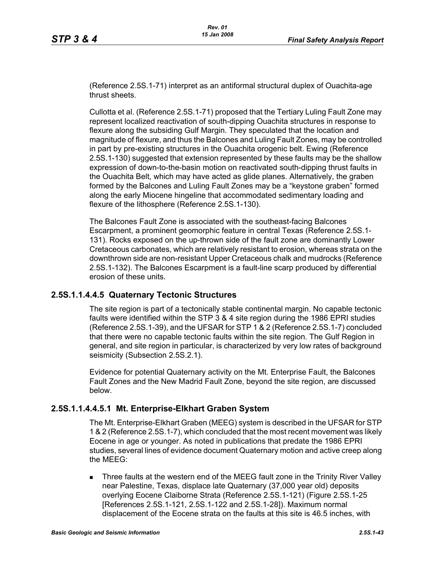(Reference 2.5S.1-71) interpret as an antiformal structural duplex of Ouachita-age thrust sheets.

Cullotta et al. (Reference 2.5S.1-71) proposed that the Tertiary Luling Fault Zone may represent localized reactivation of south-dipping Ouachita structures in response to flexure along the subsiding Gulf Margin. They speculated that the location and magnitude of flexure, and thus the Balcones and Luling Fault Zones, may be controlled in part by pre-existing structures in the Ouachita orogenic belt. Ewing (Reference 2.5S.1-130) suggested that extension represented by these faults may be the shallow expression of down-to-the-basin motion on reactivated south-dipping thrust faults in the Ouachita Belt, which may have acted as glide planes. Alternatively, the graben formed by the Balcones and Luling Fault Zones may be a "keystone graben" formed along the early Miocene hingeline that accommodated sedimentary loading and flexure of the lithosphere (Reference 2.5S.1-130).

The Balcones Fault Zone is associated with the southeast-facing Balcones Escarpment, a prominent geomorphic feature in central Texas (Reference 2.5S.1- 131). Rocks exposed on the up-thrown side of the fault zone are dominantly Lower Cretaceous carbonates, which are relatively resistant to erosion, whereas strata on the downthrown side are non-resistant Upper Cretaceous chalk and mudrocks (Reference 2.5S.1-132). The Balcones Escarpment is a fault-line scarp produced by differential erosion of these units.

#### **2.5S.1.1.4.4.5 Quaternary Tectonic Structures**

The site region is part of a tectonically stable continental margin. No capable tectonic faults were identified within the STP 3 & 4 site region during the 1986 EPRI studies (Reference 2.5S.1-39), and the UFSAR for STP 1 & 2 (Reference 2.5S.1-7) concluded that there were no capable tectonic faults within the site region. The Gulf Region in general, and site region in particular, is characterized by very low rates of background seismicity (Subsection 2.5S.2.1).

Evidence for potential Quaternary activity on the Mt. Enterprise Fault, the Balcones Fault Zones and the New Madrid Fault Zone, beyond the site region, are discussed below.

#### **2.5S.1.1.4.4.5.1 Mt. Enterprise-Elkhart Graben System**

The Mt. Enterprise-Elkhart Graben (MEEG) system is described in the UFSAR for STP 1 & 2 (Reference 2.5S.1-7), which concluded that the most recent movement was likely Eocene in age or younger. As noted in publications that predate the 1986 EPRI studies, several lines of evidence document Quaternary motion and active creep along the MEEG:

 Three faults at the western end of the MEEG fault zone in the Trinity River Valley near Palestine, Texas, displace late Quaternary (37,000 year old) deposits overlying Eocene Claiborne Strata (Reference 2.5S.1-121) (Figure 2.5S.1-25 [References 2.5S.1-121, 2.5S.1-122 and 2.5S.1-28]). Maximum normal displacement of the Eocene strata on the faults at this site is 46.5 inches, with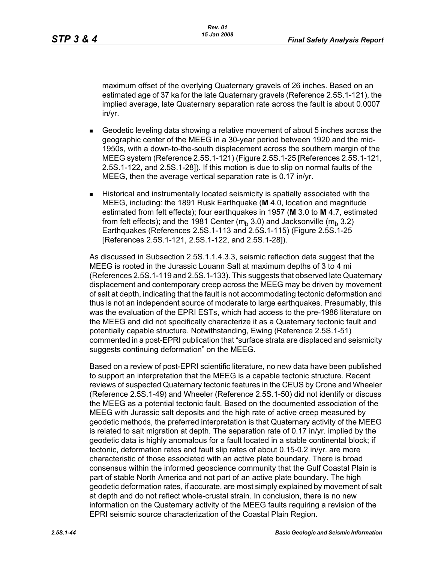maximum offset of the overlying Quaternary gravels of 26 inches. Based on an estimated age of 37 ka for the late Quaternary gravels (Reference 2.5S.1-121), the implied average, late Quaternary separation rate across the fault is about 0.0007 in/yr.

- Geodetic leveling data showing a relative movement of about 5 inches across the geographic center of the MEEG in a 30-year period between 1920 and the mid-1950s, with a down-to-the-south displacement across the southern margin of the MEEG system (Reference 2.5S.1-121) (Figure 2.5S.1-25 [References 2.5S.1-121, 2.5S.1-122, and 2.5S.1-28]). If this motion is due to slip on normal faults of the MEEG, then the average vertical separation rate is 0.17 in/yr.
- Historical and instrumentally located seismicity is spatially associated with the MEEG, including: the 1891 Rusk Earthquake (**M** 4.0, location and magnitude estimated from felt effects); four earthquakes in 1957 (**M** 3.0 to **M** 4.7, estimated from felt effects); and the 1981 Center ( $m_b$  3.0) and Jacksonville ( $m_b$  3.2) Earthquakes (References 2.5S.1-113 and 2.5S.1-115) (Figure 2.5S.1-25 [References 2.5S.1-121, 2.5S.1-122, and 2.5S.1-28]).

As discussed in Subsection 2.5S.1.1.4.3.3, seismic reflection data suggest that the MEEG is rooted in the Jurassic Louann Salt at maximum depths of 3 to 4 mi (References 2.5S.1-119 and 2.5S.1-133). This suggests that observed late Quaternary displacement and contemporary creep across the MEEG may be driven by movement of salt at depth, indicating that the fault is not accommodating tectonic deformation and thus is not an independent source of moderate to large earthquakes. Presumably, this was the evaluation of the EPRI ESTs, which had access to the pre-1986 literature on the MEEG and did not specifically characterize it as a Quaternary tectonic fault and potentially capable structure. Notwithstanding, Ewing (Reference 2.5S.1-51) commented in a post-EPRI publication that "surface strata are displaced and seismicity suggests continuing deformation" on the MEEG.

Based on a review of post-EPRI scientific literature, no new data have been published to support an interpretation that the MEEG is a capable tectonic structure. Recent reviews of suspected Quaternary tectonic features in the CEUS by Crone and Wheeler (Reference 2.5S.1-49) and Wheeler (Reference 2.5S.1-50) did not identify or discuss the MEEG as a potential tectonic fault. Based on the documented association of the MEEG with Jurassic salt deposits and the high rate of active creep measured by geodetic methods, the preferred interpretation is that Quaternary activity of the MEEG is related to salt migration at depth. The separation rate of 0.17 in/yr. implied by the geodetic data is highly anomalous for a fault located in a stable continental block; if tectonic, deformation rates and fault slip rates of about 0.15-0.2 in/yr. are more characteristic of those associated with an active plate boundary. There is broad consensus within the informed geoscience community that the Gulf Coastal Plain is part of stable North America and not part of an active plate boundary. The high geodetic deformation rates, if accurate, are most simply explained by movement of salt at depth and do not reflect whole-crustal strain. In conclusion, there is no new information on the Quaternary activity of the MEEG faults requiring a revision of the EPRI seismic source characterization of the Coastal Plain Region.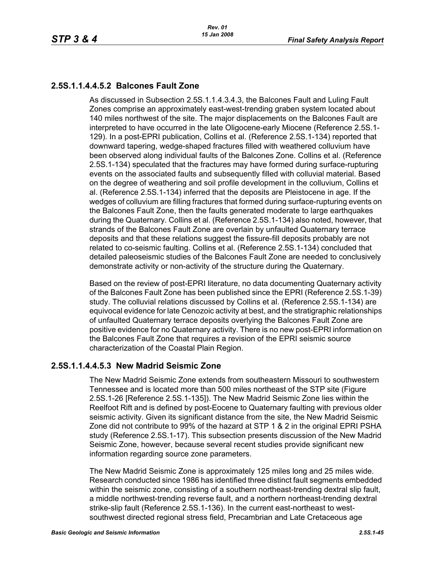# **2.5S.1.1.4.4.5.2 Balcones Fault Zone**

As discussed in Subsection 2.5S.1.1.4.3.4.3, the Balcones Fault and Luling Fault Zones comprise an approximately east-west-trending graben system located about 140 miles northwest of the site. The major displacements on the Balcones Fault are interpreted to have occurred in the late Oligocene-early Miocene (Reference 2.5S.1- 129). In a post-EPRI publication, Collins et al. (Reference 2.5S.1-134) reported that downward tapering, wedge-shaped fractures filled with weathered colluvium have been observed along individual faults of the Balcones Zone. Collins et al. (Reference 2.5S.1-134) speculated that the fractures may have formed during surface-rupturing events on the associated faults and subsequently filled with colluvial material. Based on the degree of weathering and soil profile development in the colluvium, Collins et al. (Reference 2.5S.1-134) inferred that the deposits are Pleistocene in age. If the wedges of colluvium are filling fractures that formed during surface-rupturing events on the Balcones Fault Zone, then the faults generated moderate to large earthquakes during the Quaternary. Collins et al. (Reference 2.5S.1-134) also noted, however, that strands of the Balcones Fault Zone are overlain by unfaulted Quaternary terrace deposits and that these relations suggest the fissure-fill deposits probably are not related to co-seismic faulting. Collins et al. (Reference 2.5S.1-134) concluded that detailed paleoseismic studies of the Balcones Fault Zone are needed to conclusively demonstrate activity or non-activity of the structure during the Quaternary.

Based on the review of post-EPRI literature, no data documenting Quaternary activity of the Balcones Fault Zone has been published since the EPRI (Reference 2.5S.1-39) study. The colluvial relations discussed by Collins et al. (Reference 2.5S.1-134) are equivocal evidence for late Cenozoic activity at best, and the stratigraphic relationships of unfaulted Quaternary terrace deposits overlying the Balcones Fault Zone are positive evidence for no Quaternary activity. There is no new post-EPRI information on the Balcones Fault Zone that requires a revision of the EPRI seismic source characterization of the Coastal Plain Region.

## **2.5S.1.1.4.4.5.3 New Madrid Seismic Zone**

The New Madrid Seismic Zone extends from southeastern Missouri to southwestern Tennessee and is located more than 500 miles northeast of the STP site (Figure 2.5S.1-26 [Reference 2.5S.1-135]). The New Madrid Seismic Zone lies within the Reelfoot Rift and is defined by post-Eocene to Quaternary faulting with previous older seismic activity. Given its significant distance from the site, the New Madrid Seismic Zone did not contribute to 99% of the hazard at STP 1 & 2 in the original EPRI PSHA study (Reference 2.5S.1-17). This subsection presents discussion of the New Madrid Seismic Zone, however, because several recent studies provide significant new information regarding source zone parameters.

The New Madrid Seismic Zone is approximately 125 miles long and 25 miles wide. Research conducted since 1986 has identified three distinct fault segments embedded within the seismic zone, consisting of a southern northeast-trending dextral slip fault, a middle northwest-trending reverse fault, and a northern northeast-trending dextral strike-slip fault (Reference 2.5S.1-136). In the current east-northeast to westsouthwest directed regional stress field, Precambrian and Late Cretaceous age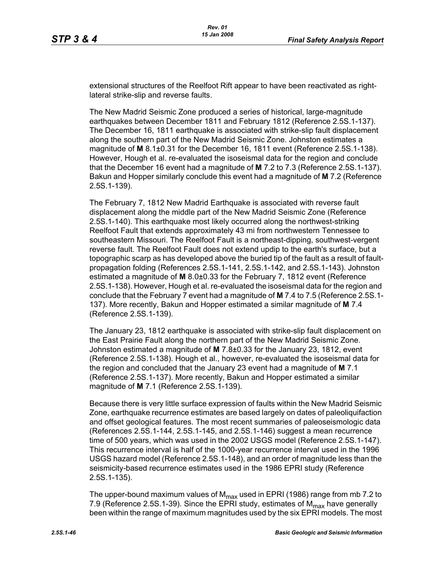extensional structures of the Reelfoot Rift appear to have been reactivated as rightlateral strike-slip and reverse faults.

The New Madrid Seismic Zone produced a series of historical, large-magnitude earthquakes between December 1811 and February 1812 (Reference 2.5S.1-137). The December 16, 1811 earthquake is associated with strike-slip fault displacement along the southern part of the New Madrid Seismic Zone. Johnston estimates a magnitude of **M** 8.1±0.31 for the December 16, 1811 event (Reference 2.5S.1-138). However, Hough et al. re-evaluated the isoseismal data for the region and conclude that the December 16 event had a magnitude of **M** 7.2 to 7.3 (Reference 2.5S.1-137). Bakun and Hopper similarly conclude this event had a magnitude of **M** 7.2 (Reference 2.5S.1-139).

The February 7, 1812 New Madrid Earthquake is associated with reverse fault displacement along the middle part of the New Madrid Seismic Zone (Reference 2.5S.1-140). This earthquake most likely occurred along the northwest-striking Reelfoot Fault that extends approximately 43 mi from northwestern Tennessee to southeastern Missouri. The Reelfoot Fault is a northeast-dipping, southwest-vergent reverse fault. The Reelfoot Fault does not extend updip to the earth's surface, but a topographic scarp as has developed above the buried tip of the fault as a result of faultpropagation folding (References 2.5S.1-141, 2.5S.1-142, and 2.5S.1-143). Johnston estimated a magnitude of **M** 8.0±0.33 for the February 7, 1812 event (Reference 2.5S.1-138). However, Hough et al. re-evaluated the isoseismal data for the region and conclude that the February 7 event had a magnitude of **M** 7.4 to 7.5 (Reference 2.5S.1- 137). More recently, Bakun and Hopper estimated a similar magnitude of **M** 7.4 (Reference 2.5S.1-139).

The January 23, 1812 earthquake is associated with strike-slip fault displacement on the East Prairie Fault along the northern part of the New Madrid Seismic Zone. Johnston estimated a magnitude of **M** 7.8±0.33 for the January 23, 1812, event (Reference 2.5S.1-138). Hough et al., however, re-evaluated the isoseismal data for the region and concluded that the January 23 event had a magnitude of **M** 7.1 (Reference 2.5S.1-137). More recently, Bakun and Hopper estimated a similar magnitude of **M** 7.1 (Reference 2.5S.1-139).

Because there is very little surface expression of faults within the New Madrid Seismic Zone, earthquake recurrence estimates are based largely on dates of paleoliquifaction and offset geological features. The most recent summaries of paleoseismologic data (References 2.5S.1-144, 2.5S.1-145, and 2.5S.1-146) suggest a mean recurrence time of 500 years, which was used in the 2002 USGS model (Reference 2.5S.1-147). This recurrence interval is half of the 1000-year recurrence interval used in the 1996 USGS hazard model (Reference 2.5S.1-148), and an order of magnitude less than the seismicity-based recurrence estimates used in the 1986 EPRI study (Reference 2.5S.1-135).

The upper-bound maximum values of  $M_{\text{max}}$  used in EPRI (1986) range from mb 7.2 to 7.9 (Reference 2.5S.1-39). Since the EPRI study, estimates of  $M_{\text{max}}$  have generally been within the range of maximum magnitudes used by the six EPRI models. The most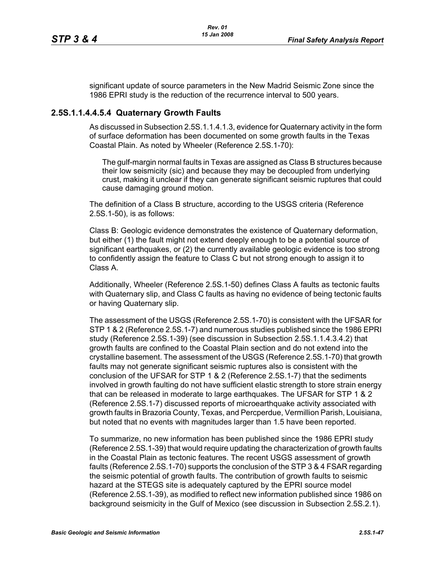significant update of source parameters in the New Madrid Seismic Zone since the 1986 EPRI study is the reduction of the recurrence interval to 500 years.

#### **2.5S.1.1.4.4.5.4 Quaternary Growth Faults**

As discussed in Subsection 2.5S.1.1.4.1.3, evidence for Quaternary activity in the form of surface deformation has been documented on some growth faults in the Texas Coastal Plain. As noted by Wheeler (Reference 2.5S.1-70):

The gulf-margin normal faults in Texas are assigned as Class B structures because their low seismicity (sic) and because they may be decoupled from underlying crust, making it unclear if they can generate significant seismic ruptures that could cause damaging ground motion.

The definition of a Class B structure, according to the USGS criteria (Reference 2.5S.1-50), is as follows:

Class B: Geologic evidence demonstrates the existence of Quaternary deformation, but either (1) the fault might not extend deeply enough to be a potential source of significant earthquakes, or (2) the currently available geologic evidence is too strong to confidently assign the feature to Class C but not strong enough to assign it to Class A.

Additionally, Wheeler (Reference 2.5S.1-50) defines Class A faults as tectonic faults with Quaternary slip, and Class C faults as having no evidence of being tectonic faults or having Quaternary slip.

The assessment of the USGS (Reference 2.5S.1-70) is consistent with the UFSAR for STP 1 & 2 (Reference 2.5S.1-7) and numerous studies published since the 1986 EPRI study (Reference 2.5S.1-39) (see discussion in Subsection 2.5S.1.1.4.3.4.2) that growth faults are confined to the Coastal Plain section and do not extend into the crystalline basement. The assessment of the USGS (Reference 2.5S.1-70) that growth faults may not generate significant seismic ruptures also is consistent with the conclusion of the UFSAR for STP 1 & 2 (Reference 2.5S.1-7) that the sediments involved in growth faulting do not have sufficient elastic strength to store strain energy that can be released in moderate to large earthquakes. The UFSAR for STP 1 & 2 (Reference 2.5S.1-7) discussed reports of microearthquake activity associated with growth faults in Brazoria County, Texas, and Percperdue, Vermillion Parish, Louisiana, but noted that no events with magnitudes larger than 1.5 have been reported.

To summarize, no new information has been published since the 1986 EPRI study (Reference 2.5S.1-39) that would require updating the characterization of growth faults in the Coastal Plain as tectonic features. The recent USGS assessment of growth faults (Reference 2.5S.1-70) supports the conclusion of the STP 3 & 4 FSAR regarding the seismic potential of growth faults. The contribution of growth faults to seismic hazard at the STEGS site is adequately captured by the EPRI source model (Reference 2.5S.1-39), as modified to reflect new information published since 1986 on background seismicity in the Gulf of Mexico (see discussion in Subsection 2.5S.2.1).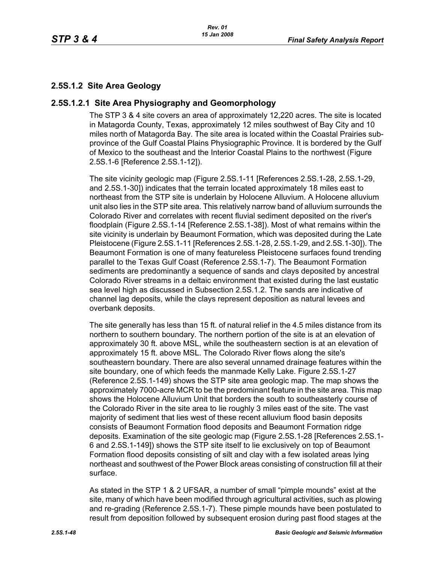# **2.5S.1.2 Site Area Geology**

#### **2.5S.1.2.1 Site Area Physiography and Geomorphology**

The STP 3 & 4 site covers an area of approximately 12,220 acres. The site is located in Matagorda County, Texas, approximately 12 miles southwest of Bay City and 10 miles north of Matagorda Bay. The site area is located within the Coastal Prairies subprovince of the Gulf Coastal Plains Physiographic Province. It is bordered by the Gulf of Mexico to the southeast and the Interior Coastal Plains to the northwest (Figure 2.5S.1-6 [Reference 2.5S.1-12]).

The site vicinity geologic map (Figure 2.5S.1-11 [References 2.5S.1-28, 2.5S.1-29, and 2.5S.1-30]) indicates that the terrain located approximately 18 miles east to northeast from the STP site is underlain by Holocene Alluvium. A Holocene alluvium unit also lies in the STP site area. This relatively narrow band of alluvium surrounds the Colorado River and correlates with recent fluvial sediment deposited on the river's floodplain (Figure 2.5S.1-14 [Reference 2.5S.1-38]). Most of what remains within the site vicinity is underlain by Beaumont Formation, which was deposited during the Late Pleistocene (Figure 2.5S.1-11 [References 2.5S.1-28, 2.5S.1-29, and 2.5S.1-30]). The Beaumont Formation is one of many featureless Pleistocene surfaces found trending parallel to the Texas Gulf Coast (Reference 2.5S.1-7). The Beaumont Formation sediments are predominantly a sequence of sands and clays deposited by ancestral Colorado River streams in a deltaic environment that existed during the last eustatic sea level high as discussed in Subsection 2.5S.1.2. The sands are indicative of channel lag deposits, while the clays represent deposition as natural levees and overbank deposits.

The site generally has less than 15 ft. of natural relief in the 4.5 miles distance from its northern to southern boundary. The northern portion of the site is at an elevation of approximately 30 ft. above MSL, while the southeastern section is at an elevation of approximately 15 ft. above MSL. The Colorado River flows along the site's southeastern boundary. There are also several unnamed drainage features within the site boundary, one of which feeds the manmade Kelly Lake. Figure 2.5S.1-27 (Reference 2.5S.1-149) shows the STP site area geologic map. The map shows the approximately 7000-acre MCR to be the predominant feature in the site area. This map shows the Holocene Alluvium Unit that borders the south to southeasterly course of the Colorado River in the site area to lie roughly 3 miles east of the site. The vast majority of sediment that lies west of these recent alluvium flood basin deposits consists of Beaumont Formation flood deposits and Beaumont Formation ridge deposits. Examination of the site geologic map (Figure 2.5S.1-28 [References 2.5S.1- 6 and 2.5S.1-149]) shows the STP site itself to lie exclusively on top of Beaumont Formation flood deposits consisting of silt and clay with a few isolated areas lying northeast and southwest of the Power Block areas consisting of construction fill at their surface.

As stated in the STP 1 & 2 UFSAR, a number of small "pimple mounds" exist at the site, many of which have been modified through agricultural activities, such as plowing and re-grading (Reference 2.5S.1-7). These pimple mounds have been postulated to result from deposition followed by subsequent erosion during past flood stages at the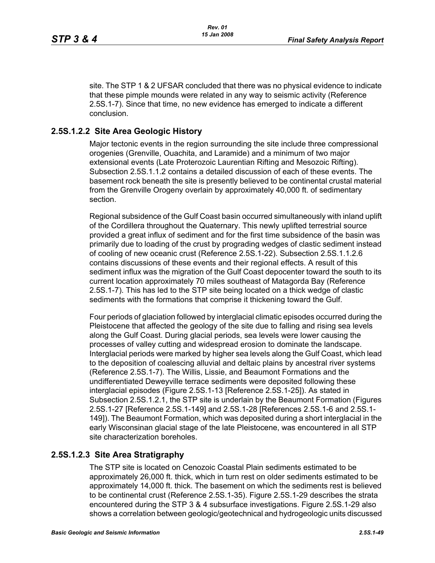site. The STP 1 & 2 UFSAR concluded that there was no physical evidence to indicate that these pimple mounds were related in any way to seismic activity (Reference 2.5S.1-7). Since that time, no new evidence has emerged to indicate a different conclusion.

### **2.5S.1.2.2 Site Area Geologic History**

Major tectonic events in the region surrounding the site include three compressional orogenies (Grenville, Ouachita, and Laramide) and a minimum of two major extensional events (Late Proterozoic Laurentian Rifting and Mesozoic Rifting). Subsection 2.5S.1.1.2 contains a detailed discussion of each of these events. The basement rock beneath the site is presently believed to be continental crustal material from the Grenville Orogeny overlain by approximately 40,000 ft. of sedimentary section.

Regional subsidence of the Gulf Coast basin occurred simultaneously with inland uplift of the Cordillera throughout the Quaternary. This newly uplifted terrestrial source provided a great influx of sediment and for the first time subsidence of the basin was primarily due to loading of the crust by prograding wedges of clastic sediment instead of cooling of new oceanic crust (Reference 2.5S.1-22). Subsection 2.5S.1.1.2.6 contains discussions of these events and their regional effects. A result of this sediment influx was the migration of the Gulf Coast depocenter toward the south to its current location approximately 70 miles southeast of Matagorda Bay (Reference 2.5S.1-7). This has led to the STP site being located on a thick wedge of clastic sediments with the formations that comprise it thickening toward the Gulf.

Four periods of glaciation followed by interglacial climatic episodes occurred during the Pleistocene that affected the geology of the site due to falling and rising sea levels along the Gulf Coast. During glacial periods, sea levels were lower causing the processes of valley cutting and widespread erosion to dominate the landscape. Interglacial periods were marked by higher sea levels along the Gulf Coast, which lead to the deposition of coalescing alluvial and deltaic plains by ancestral river systems (Reference 2.5S.1-7). The Willis, Lissie, and Beaumont Formations and the undifferentiated Deweyville terrace sediments were deposited following these interglacial episodes (Figure 2.5S.1-13 [Reference 2.5S.1-25]). As stated in Subsection 2.5S.1.2.1, the STP site is underlain by the Beaumont Formation (Figures 2.5S.1-27 [Reference 2.5S.1-149] and 2.5S.1-28 [References 2.5S.1-6 and 2.5S.1- 149]). The Beaumont Formation, which was deposited during a short interglacial in the early Wisconsinan glacial stage of the late Pleistocene, was encountered in all STP site characterization boreholes.

#### **2.5S.1.2.3 Site Area Stratigraphy**

The STP site is located on Cenozoic Coastal Plain sediments estimated to be approximately 26,000 ft. thick, which in turn rest on older sediments estimated to be approximately 14,000 ft. thick. The basement on which the sediments rest is believed to be continental crust (Reference 2.5S.1-35). Figure 2.5S.1-29 describes the strata encountered during the STP 3 & 4 subsurface investigations. Figure 2.5S.1-29 also shows a correlation between geologic/geotechnical and hydrogeologic units discussed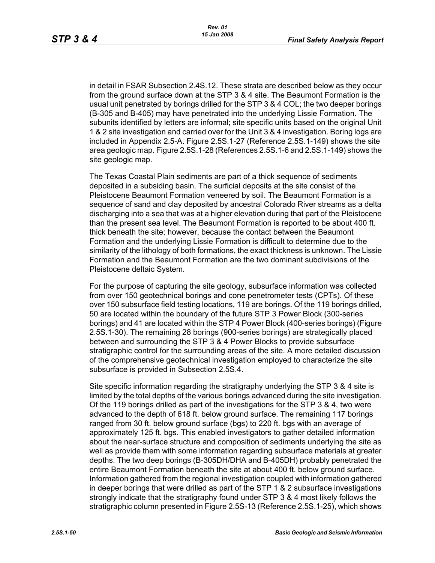in detail in FSAR Subsection 2.4S.12. These strata are described below as they occur from the ground surface down at the STP 3 & 4 site. The Beaumont Formation is the usual unit penetrated by borings drilled for the STP 3 & 4 COL; the two deeper borings (B-305 and B-405) may have penetrated into the underlying Lissie Formation. The subunits identified by letters are informal; site specific units based on the original Unit 1 & 2 site investigation and carried over for the Unit 3 & 4 investigation. Boring logs are included in Appendix 2.5-A. Figure 2.5S.1-27 (Reference 2.5S.1-149) shows the site area geologic map. Figure 2.5S.1-28 (References 2.5S.1-6 and 2.5S.1-149) shows the site geologic map.

The Texas Coastal Plain sediments are part of a thick sequence of sediments deposited in a subsiding basin. The surficial deposits at the site consist of the Pleistocene Beaumont Formation veneered by soil. The Beaumont Formation is a sequence of sand and clay deposited by ancestral Colorado River streams as a delta discharging into a sea that was at a higher elevation during that part of the Pleistocene than the present sea level. The Beaumont Formation is reported to be about 400 ft. thick beneath the site; however, because the contact between the Beaumont Formation and the underlying Lissie Formation is difficult to determine due to the similarity of the lithology of both formations, the exact thickness is unknown. The Lissie Formation and the Beaumont Formation are the two dominant subdivisions of the Pleistocene deltaic System.

For the purpose of capturing the site geology, subsurface information was collected from over 150 geotechnical borings and cone penetrometer tests (CPTs). Of these over 150 subsurface field testing locations, 119 are borings. Of the 119 borings drilled, 50 are located within the boundary of the future STP 3 Power Block (300-series borings) and 41 are located within the STP 4 Power Block (400-series borings) (Figure 2.5S.1-30). The remaining 28 borings (900-series borings) are strategically placed between and surrounding the STP 3 & 4 Power Blocks to provide subsurface stratigraphic control for the surrounding areas of the site. A more detailed discussion of the comprehensive geotechnical investigation employed to characterize the site subsurface is provided in Subsection 2.5S.4.

Site specific information regarding the stratigraphy underlying the STP 3 & 4 site is limited by the total depths of the various borings advanced during the site investigation. Of the 119 borings drilled as part of the investigations for the STP 3 & 4, two were advanced to the depth of 618 ft. below ground surface. The remaining 117 borings ranged from 30 ft. below ground surface (bgs) to 220 ft. bgs with an average of approximately 125 ft. bgs. This enabled investigators to gather detailed information about the near-surface structure and composition of sediments underlying the site as well as provide them with some information regarding subsurface materials at greater depths. The two deep borings (B-305DH/DHA and B-405DH) probably penetrated the entire Beaumont Formation beneath the site at about 400 ft. below ground surface. Information gathered from the regional investigation coupled with information gathered in deeper borings that were drilled as part of the STP 1 & 2 subsurface investigations strongly indicate that the stratigraphy found under STP 3 & 4 most likely follows the stratigraphic column presented in Figure 2.5S-13 (Reference 2.5S.1-25), which shows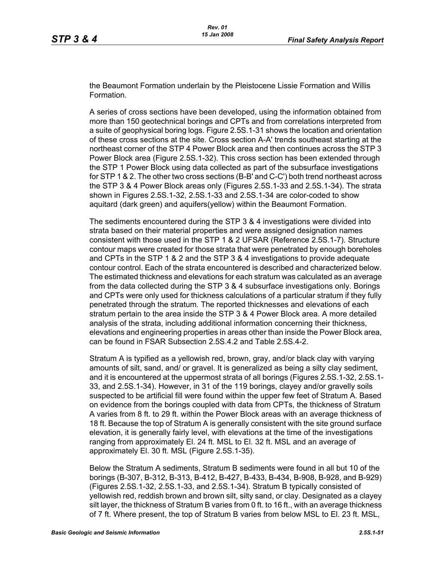the Beaumont Formation underlain by the Pleistocene Lissie Formation and Willis Formation.

A series of cross sections have been developed, using the information obtained from more than 150 geotechnical borings and CPTs and from correlations interpreted from a suite of geophysical boring logs. Figure 2.5S.1-31 shows the location and orientation of these cross sections at the site. Cross section A-A' trends southeast starting at the northeast corner of the STP 4 Power Block area and then continues across the STP 3 Power Block area (Figure 2.5S.1-32). This cross section has been extended through the STP 1 Power Block using data collected as part of the subsurface investigations for STP 1 & 2. The other two cross sections (B-B' and C-C') both trend northeast across the STP 3 & 4 Power Block areas only (Figures 2.5S.1-33 and 2.5S.1-34). The strata shown in Figures 2.5S.1-32, 2.5S.1-33 and 2.5S.1-34 are color-coded to show aquitard (dark green) and aquifers(yellow) within the Beaumont Formation.

The sediments encountered during the STP 3 & 4 investigations were divided into strata based on their material properties and were assigned designation names consistent with those used in the STP 1 & 2 UFSAR (Reference 2.5S.1-7). Structure contour maps were created for those strata that were penetrated by enough boreholes and CPTs in the STP 1 & 2 and the STP 3 & 4 investigations to provide adequate contour control. Each of the strata encountered is described and characterized below. The estimated thickness and elevations for each stratum was calculated as an average from the data collected during the STP 3 & 4 subsurface investigations only. Borings and CPTs were only used for thickness calculations of a particular stratum if they fully penetrated through the stratum. The reported thicknesses and elevations of each stratum pertain to the area inside the STP 3 & 4 Power Block area. A more detailed analysis of the strata, including additional information concerning their thickness, elevations and engineering properties in areas other than inside the Power Block area, can be found in FSAR Subsection 2.5S.4.2 and Table 2.5S.4-2.

Stratum A is typified as a yellowish red, brown, gray, and/or black clay with varying amounts of silt, sand, and/ or gravel. It is generalized as being a silty clay sediment, and it is encountered at the uppermost strata of all borings (Figures 2.5S.1-32, 2.5S.1- 33, and 2.5S.1-34). However, in 31 of the 119 borings, clayey and/or gravelly soils suspected to be artificial fill were found within the upper few feet of Stratum A. Based on evidence from the borings coupled with data from CPTs, the thickness of Stratum A varies from 8 ft. to 29 ft. within the Power Block areas with an average thickness of 18 ft. Because the top of Stratum A is generally consistent with the site ground surface elevation, it is generally fairly level, with elevations at the time of the investigations ranging from approximately El. 24 ft. MSL to El. 32 ft. MSL and an average of approximately El. 30 ft. MSL (Figure 2.5S.1-35).

Below the Stratum A sediments, Stratum B sediments were found in all but 10 of the borings (B-307, B-312, B-313, B-412, B-427, B-433, B-434, B-908, B-928, and B-929) (Figures 2.5S.1-32, 2.5S.1-33, and 2.5S.1-34). Stratum B typically consisted of yellowish red, reddish brown and brown silt, silty sand, or clay. Designated as a clayey silt layer, the thickness of Stratum B varies from 0 ft. to 16 ft., with an average thickness of 7 ft. Where present, the top of Stratum B varies from below MSL to El. 23 ft. MSL,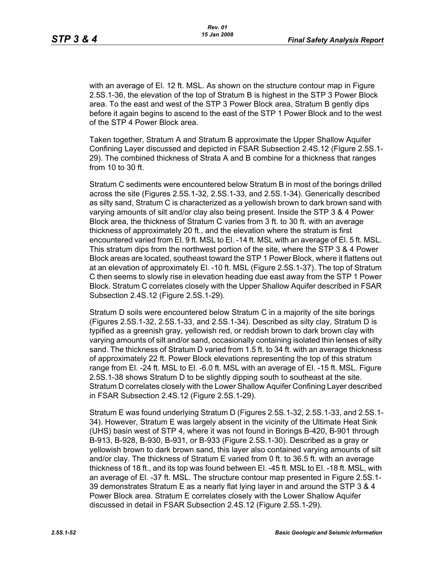with an average of El. 12 ft. MSL. As shown on the structure contour map in Figure 2.5S.1-36, the elevation of the top of Stratum B is highest in the STP 3 Power Block area. To the east and west of the STP 3 Power Block area, Stratum B gently dips before it again begins to ascend to the east of the STP 1 Power Block and to the west of the STP 4 Power Block area.

Taken together, Stratum A and Stratum B approximate the Upper Shallow Aquifer Confining Layer discussed and depicted in FSAR Subsection 2.4S.12 (Figure 2.5S.1- 29). The combined thickness of Strata A and B combine for a thickness that ranges from 10 to 30 ft.

Stratum C sediments were encountered below Stratum B in most of the borings drilled across the site (Figures 2.5S.1-32, 2.5S.1-33, and 2.5S.1-34). Generically described as silty sand, Stratum C is characterized as a yellowish brown to dark brown sand with varying amounts of silt and/or clay also being present. Inside the STP 3 & 4 Power Block area, the thickness of Stratum C varies from 3 ft. to 30 ft. with an average thickness of approximately 20 ft., and the elevation where the stratum is first encountered varied from El. 9 ft. MSL to El. -14 ft. MSL with an average of El. 5 ft. MSL. This stratum dips from the northwest portion of the site, where the STP 3 & 4 Power Block areas are located, southeast toward the STP 1 Power Block, where it flattens out at an elevation of approximately El. -10 ft. MSL (Figure 2.5S.1-37). The top of Stratum C then seems to slowly rise in elevation heading due east away from the STP 1 Power Block. Stratum C correlates closely with the Upper Shallow Aquifer described in FSAR Subsection 2.4S.12 (Figure 2.5S.1-29).

Stratum D soils were encountered below Stratum C in a majority of the site borings (Figures 2.5S.1-32, 2.5S.1-33, and 2.5S.1-34). Described as silty clay, Stratum D is typified as a greenish gray, yellowish red, or reddish brown to dark brown clay with varying amounts of silt and/or sand, occasionally containing isolated thin lenses of silty sand. The thickness of Stratum D varied from 1.5 ft. to 34 ft. with an average thickness of approximately 22 ft. Power Block elevations representing the top of this stratum range from El. -24 ft. MSL to El. -6.0 ft. MSL with an average of El. -15 ft. MSL. Figure 2.5S.1-38 shows Stratum D to be slightly dipping south to southeast at the site. Stratum D correlates closely with the Lower Shallow Aquifer Confining Layer described in FSAR Subsection 2.4S.12 (Figure 2.5S.1-29).

Stratum E was found underlying Stratum D (Figures 2.5S.1-32, 2.5S.1-33, and 2.5S.1- 34). However, Stratum E was largely absent in the vicinity of the Ultimate Heat Sink (UHS) basin west of STP 4, where it was not found in Borings B-420, B-901 through B-913, B-928, B-930, B-931, or B-933 (Figure 2.5S.1-30). Described as a gray or yellowish brown to dark brown sand, this layer also contained varying amounts of silt and/or clay. The thickness of Stratum E varied from 0 ft. to 36.5 ft. with an average thickness of 18 ft., and its top was found between El. -45 ft. MSL to El. -18 ft. MSL, with an average of El. -37 ft. MSL. The structure contour map presented in Figure 2.5S.1- 39 demonstrates Stratum E as a nearly flat lying layer in and around the STP 3 & 4 Power Block area. Stratum E correlates closely with the Lower Shallow Aquifer discussed in detail in FSAR Subsection 2.4S.12 (Figure 2.5S.1-29).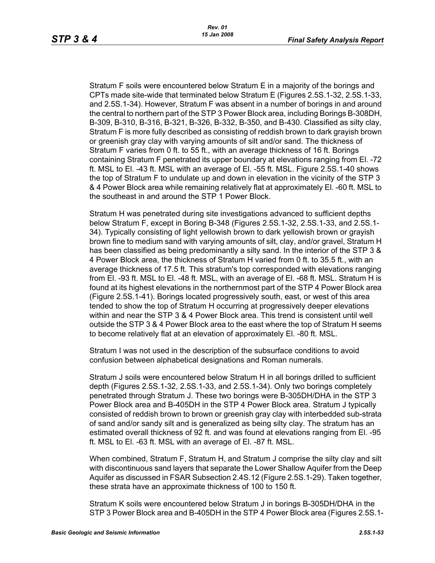Stratum F soils were encountered below Stratum E in a majority of the borings and CPTs made site-wide that terminated below Stratum E (Figures 2.5S.1-32, 2.5S.1-33, and 2.5S.1-34). However, Stratum F was absent in a number of borings in and around the central to northern part of the STP 3 Power Block area, including Borings B-308DH, B-309, B-310, B-316, B-321, B-326, B-332, B-350, and B-430. Classified as silty clay, Stratum F is more fully described as consisting of reddish brown to dark grayish brown or greenish gray clay with varying amounts of silt and/or sand. The thickness of Stratum F varies from 0 ft. to 55 ft., with an average thickness of 16 ft. Borings containing Stratum F penetrated its upper boundary at elevations ranging from El. -72 ft. MSL to El. -43 ft. MSL with an average of El. -55 ft. MSL. Figure 2.5S.1-40 shows the top of Stratum F to undulate up and down in elevation in the vicinity of the STP 3 & 4 Power Block area while remaining relatively flat at approximately El. -60 ft. MSL to the southeast in and around the STP 1 Power Block.

Stratum H was penetrated during site investigations advanced to sufficient depths below Stratum F, except in Boring B-348 (Figures 2.5S.1-32, 2.5S.1-33, and 2.5S.1- 34). Typically consisting of light yellowish brown to dark yellowish brown or grayish brown fine to medium sand with varying amounts of silt, clay, and/or gravel, Stratum H has been classified as being predominantly a silty sand. In the interior of the STP 3 & 4 Power Block area, the thickness of Stratum H varied from 0 ft. to 35.5 ft., with an average thickness of 17.5 ft. This stratum's top corresponded with elevations ranging from El. -93 ft. MSL to El. -48 ft. MSL, with an average of El. -68 ft. MSL. Stratum H is found at its highest elevations in the northernmost part of the STP 4 Power Block area (Figure 2.5S.1-41). Borings located progressively south, east, or west of this area tended to show the top of Stratum H occurring at progressively deeper elevations within and near the STP 3 & 4 Power Block area. This trend is consistent until well outside the STP 3 & 4 Power Block area to the east where the top of Stratum H seems to become relatively flat at an elevation of approximately El. -80 ft. MSL.

Stratum I was not used in the description of the subsurface conditions to avoid confusion between alphabetical designations and Roman numerals.

Stratum J soils were encountered below Stratum H in all borings drilled to sufficient depth (Figures 2.5S.1-32, 2.5S.1-33, and 2.5S.1-34). Only two borings completely penetrated through Stratum J. These two borings were B-305DH/DHA in the STP 3 Power Block area and B-405DH in the STP 4 Power Block area. Stratum J typically consisted of reddish brown to brown or greenish gray clay with interbedded sub-strata of sand and/or sandy silt and is generalized as being silty clay. The stratum has an estimated overall thickness of 92 ft. and was found at elevations ranging from El. -95 ft. MSL to El. -63 ft. MSL with an average of El. -87 ft. MSL.

When combined, Stratum F, Stratum H, and Stratum J comprise the silty clay and silt with discontinuous sand layers that separate the Lower Shallow Aquifer from the Deep Aquifer as discussed in FSAR Subsection 2.4S.12 (Figure 2.5S.1-29). Taken together, these strata have an approximate thickness of 100 to 150 ft.

Stratum K soils were encountered below Stratum J in borings B-305DH/DHA in the STP 3 Power Block area and B-405DH in the STP 4 Power Block area (Figures 2.5S.1-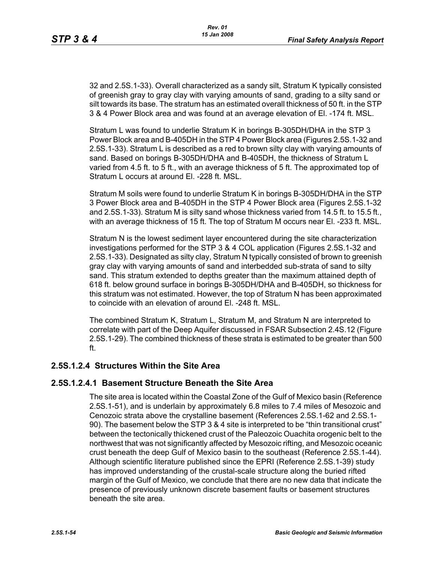32 and 2.5S.1-33). Overall characterized as a sandy silt, Stratum K typically consisted of greenish gray to gray clay with varying amounts of sand, grading to a silty sand or silt towards its base. The stratum has an estimated overall thickness of 50 ft. in the STP 3 & 4 Power Block area and was found at an average elevation of El. -174 ft. MSL.

Stratum L was found to underlie Stratum K in borings B-305DH/DHA in the STP 3 Power Block area and B-405DH in the STP 4 Power Block area (Figures 2.5S.1-32 and 2.5S.1-33). Stratum L is described as a red to brown silty clay with varying amounts of sand. Based on borings B-305DH/DHA and B-405DH, the thickness of Stratum L varied from 4.5 ft. to 5 ft., with an average thickness of 5 ft. The approximated top of Stratum L occurs at around El. -228 ft. MSL.

Stratum M soils were found to underlie Stratum K in borings B-305DH/DHA in the STP 3 Power Block area and B-405DH in the STP 4 Power Block area (Figures 2.5S.1-32 and 2.5S.1-33). Stratum M is silty sand whose thickness varied from 14.5 ft. to 15.5 ft., with an average thickness of 15 ft. The top of Stratum M occurs near El. -233 ft. MSL.

Stratum N is the lowest sediment layer encountered during the site characterization investigations performed for the STP 3 & 4 COL application (Figures 2.5S.1-32 and 2.5S.1-33). Designated as silty clay, Stratum N typically consisted of brown to greenish gray clay with varying amounts of sand and interbedded sub-strata of sand to silty sand. This stratum extended to depths greater than the maximum attained depth of 618 ft. below ground surface in borings B-305DH/DHA and B-405DH, so thickness for this stratum was not estimated. However, the top of Stratum N has been approximated to coincide with an elevation of around El. -248 ft. MSL.

The combined Stratum K, Stratum L, Stratum M, and Stratum N are interpreted to correlate with part of the Deep Aquifer discussed in FSAR Subsection 2.4S.12 (Figure 2.5S.1-29). The combined thickness of these strata is estimated to be greater than 500 ft.

## **2.5S.1.2.4 Structures Within the Site Area**

#### **2.5S.1.2.4.1 Basement Structure Beneath the Site Area**

The site area is located within the Coastal Zone of the Gulf of Mexico basin (Reference 2.5S.1-51), and is underlain by approximately 6.8 miles to 7.4 miles of Mesozoic and Cenozoic strata above the crystalline basement (References 2.5S.1-62 and 2.5S.1- 90). The basement below the STP 3 & 4 site is interpreted to be "thin transitional crust" between the tectonically thickened crust of the Paleozoic Ouachita orogenic belt to the northwest that was not significantly affected by Mesozoic rifting, and Mesozoic oceanic crust beneath the deep Gulf of Mexico basin to the southeast (Reference 2.5S.1-44). Although scientific literature published since the EPRI (Reference 2.5S.1-39) study has improved understanding of the crustal-scale structure along the buried rifted margin of the Gulf of Mexico, we conclude that there are no new data that indicate the presence of previously unknown discrete basement faults or basement structures beneath the site area.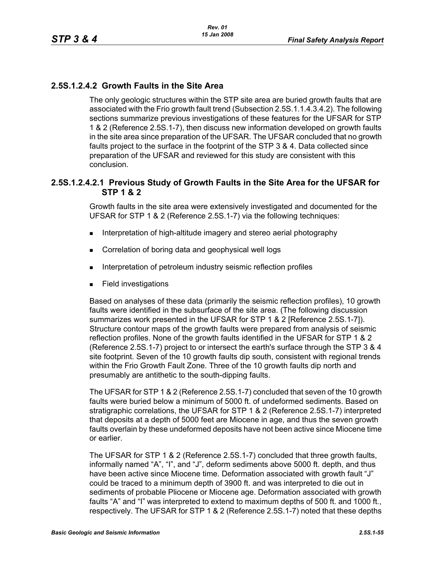## **2.5S.1.2.4.2 Growth Faults in the Site Area**

The only geologic structures within the STP site area are buried growth faults that are associated with the Frio growth fault trend (Subsection 2.5S.1.1.4.3.4.2). The following sections summarize previous investigations of these features for the UFSAR for STP 1 & 2 (Reference 2.5S.1-7), then discuss new information developed on growth faults in the site area since preparation of the UFSAR. The UFSAR concluded that no growth faults project to the surface in the footprint of the STP 3 & 4. Data collected since preparation of the UFSAR and reviewed for this study are consistent with this conclusion.

### **2.5S.1.2.4.2.1 Previous Study of Growth Faults in the Site Area for the UFSAR for STP 1 & 2**

Growth faults in the site area were extensively investigated and documented for the UFSAR for STP 1 & 2 (Reference 2.5S.1-7) via the following techniques:

- **Interpretation of high-altitude imagery and stereo aerial photography**
- **Correlation of boring data and geophysical well logs**
- **Interpretation of petroleum industry seismic reflection profiles**
- **Field investigations**

Based on analyses of these data (primarily the seismic reflection profiles), 10 growth faults were identified in the subsurface of the site area. (The following discussion summarizes work presented in the UFSAR for STP 1 & 2 [Reference 2.5S.1-7]). Structure contour maps of the growth faults were prepared from analysis of seismic reflection profiles. None of the growth faults identified in the UFSAR for STP 1 & 2 (Reference 2.5S.1-7) project to or intersect the earth's surface through the STP 3 & 4 site footprint. Seven of the 10 growth faults dip south, consistent with regional trends within the Frio Growth Fault Zone. Three of the 10 growth faults dip north and presumably are antithetic to the south-dipping faults.

The UFSAR for STP 1 & 2 (Reference 2.5S.1-7) concluded that seven of the 10 growth faults were buried below a minimum of 5000 ft. of undeformed sediments. Based on stratigraphic correlations, the UFSAR for STP 1 & 2 (Reference 2.5S.1-7) interpreted that deposits at a depth of 5000 feet are Miocene in age, and thus the seven growth faults overlain by these undeformed deposits have not been active since Miocene time or earlier.

The UFSAR for STP 1 & 2 (Reference 2.5S.1-7) concluded that three growth faults, informally named "A", "I", and "J", deform sediments above 5000 ft. depth, and thus have been active since Miocene time. Deformation associated with growth fault "J" could be traced to a minimum depth of 3900 ft. and was interpreted to die out in sediments of probable Pliocene or Miocene age. Deformation associated with growth faults "A" and "I" was interpreted to extend to maximum depths of 500 ft. and 1000 ft., respectively. The UFSAR for STP 1 & 2 (Reference 2.5S.1-7) noted that these depths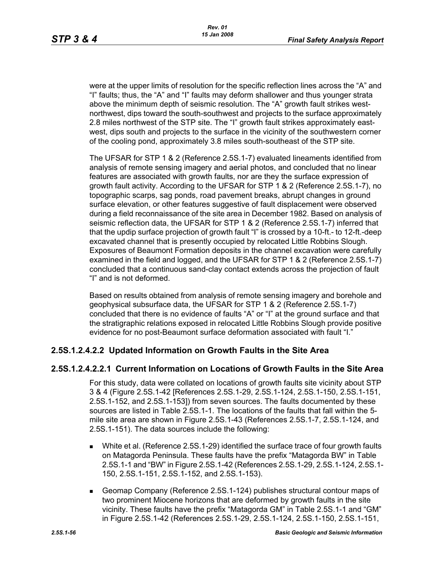were at the upper limits of resolution for the specific reflection lines across the "A" and "I" faults; thus, the "A" and "I" faults may deform shallower and thus younger strata above the minimum depth of seismic resolution. The "A" growth fault strikes westnorthwest, dips toward the south-southwest and projects to the surface approximately 2.8 miles northwest of the STP site. The "I" growth fault strikes approximately eastwest, dips south and projects to the surface in the vicinity of the southwestern corner of the cooling pond, approximately 3.8 miles south-southeast of the STP site.

The UFSAR for STP 1 & 2 (Reference 2.5S.1-7) evaluated lineaments identified from analysis of remote sensing imagery and aerial photos, and concluded that no linear features are associated with growth faults, nor are they the surface expression of growth fault activity. According to the UFSAR for STP 1 & 2 (Reference 2.5S.1-7), no topographic scarps, sag ponds, road pavement breaks, abrupt changes in ground surface elevation, or other features suggestive of fault displacement were observed during a field reconnaissance of the site area in December 1982. Based on analysis of seismic reflection data, the UFSAR for STP 1 & 2 (Reference 2.5S.1-7) inferred that that the updip surface projection of growth fault "I" is crossed by a 10-ft.- to 12-ft.-deep excavated channel that is presently occupied by relocated Little Robbins Slough. Exposures of Beaumont Formation deposits in the channel excavation were carefully examined in the field and logged, and the UFSAR for STP 1 & 2 (Reference 2.5S.1-7) concluded that a continuous sand-clay contact extends across the projection of fault "I" and is not deformed.

Based on results obtained from analysis of remote sensing imagery and borehole and geophysical subsurface data, the UFSAR for STP 1 & 2 (Reference 2.5S.1-7) concluded that there is no evidence of faults "A" or "I" at the ground surface and that the stratigraphic relations exposed in relocated Little Robbins Slough provide positive evidence for no post-Beaumont surface deformation associated with fault "I."

## **2.5S.1.2.4.2.2 Updated Information on Growth Faults in the Site Area**

## **2.5S.1.2.4.2.2.1 Current Information on Locations of Growth Faults in the Site Area**

For this study, data were collated on locations of growth faults site vicinity about STP 3 & 4 (Figure 2.5S.1-42 [References 2.5S.1-29, 2.5S.1-124, 2.5S.1-150, 2.5S.1-151, 2.5S.1-152, and 2.5S.1-153]) from seven sources. The faults documented by these sources are listed in Table 2.5S.1-1. The locations of the faults that fall within the 5 mile site area are shown in Figure 2.5S.1-43 (References 2.5S.1-7, 2.5S.1-124, and 2.5S.1-151). The data sources include the following:

- White et al. (Reference 2.5S.1-29) identified the surface trace of four growth faults on Matagorda Peninsula. These faults have the prefix "Matagorda BW" in Table 2.5S.1-1 and "BW" in Figure 2.5S.1-42 (References 2.5S.1-29, 2.5S.1-124, 2.5S.1- 150, 2.5S.1-151, 2.5S.1-152, and 2.5S.1-153).
- Geomap Company (Reference 2.5S.1-124) publishes structural contour maps of two prominent Miocene horizons that are deformed by growth faults in the site vicinity. These faults have the prefix "Matagorda GM" in Table 2.5S.1-1 and "GM" in Figure 2.5S.1-42 (References 2.5S.1-29, 2.5S.1-124, 2.5S.1-150, 2.5S.1-151,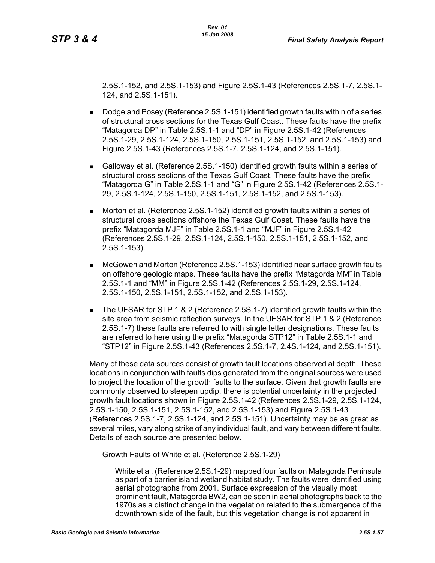2.5S.1-152, and 2.5S.1-153) and Figure 2.5S.1-43 (References 2.5S.1-7, 2.5S.1- 124, and 2.5S.1-151).

- Dodge and Posey (Reference 2.5S.1-151) identified growth faults within of a series of structural cross sections for the Texas Gulf Coast. These faults have the prefix "Matagorda DP" in Table 2.5S.1-1 and "DP" in Figure 2.5S.1-42 (References 2.5S.1-29, 2.5S.1-124, 2.5S.1-150, 2.5S.1-151, 2.5S.1-152, and 2.5S.1-153) and Figure 2.5S.1-43 (References 2.5S.1-7, 2.5S.1-124, and 2.5S.1-151).
- Galloway et al. (Reference 2.5S.1-150) identified growth faults within a series of structural cross sections of the Texas Gulf Coast. These faults have the prefix "Matagorda G" in Table 2.5S.1-1 and "G" in Figure 2.5S.1-42 (References 2.5S.1- 29, 2.5S.1-124, 2.5S.1-150, 2.5S.1-151, 2.5S.1-152, and 2.5S.1-153).
- **Morton et al. (Reference 2.5S.1-152) identified growth faults within a series of** structural cross sections offshore the Texas Gulf Coast. These faults have the prefix "Matagorda MJF" in Table 2.5S.1-1 and "MJF" in Figure 2.5S.1-42 (References 2.5S.1-29, 2.5S.1-124, 2.5S.1-150, 2.5S.1-151, 2.5S.1-152, and 2.5S.1-153).
- McGowen and Morton (Reference 2.5S.1-153) identified near surface growth faults on offshore geologic maps. These faults have the prefix "Matagorda MM" in Table 2.5S.1-1 and "MM" in Figure 2.5S.1-42 (References 2.5S.1-29, 2.5S.1-124, 2.5S.1-150, 2.5S.1-151, 2.5S.1-152, and 2.5S.1-153).
- The UFSAR for STP 1 & 2 (Reference 2.5S.1-7) identified growth faults within the site area from seismic reflection surveys. In the UFSAR for STP 1 & 2 (Reference 2.5S.1-7) these faults are referred to with single letter designations. These faults are referred to here using the prefix "Matagorda STP12" in Table 2.5S.1-1 and "STP12" in Figure 2.5S.1-43 (References 2.5S.1-7, 2.4S.1-124, and 2.5S.1-151).

Many of these data sources consist of growth fault locations observed at depth. These locations in conjunction with faults dips generated from the original sources were used to project the location of the growth faults to the surface. Given that growth faults are commonly observed to steepen updip, there is potential uncertainty in the projected growth fault locations shown in Figure 2.5S.1-42 (References 2.5S.1-29, 2.5S.1-124, 2.5S.1-150, 2.5S.1-151, 2.5S.1-152, and 2.5S.1-153) and Figure 2.5S.1-43 (References 2.5S.1-7, 2.5S.1-124, and 2.5S.1-151). Uncertainty may be as great as several miles, vary along strike of any individual fault, and vary between different faults. Details of each source are presented below.

Growth Faults of White et al. (Reference 2.5S.1-29)

White et al. (Reference 2.5S.1-29) mapped four faults on Matagorda Peninsula as part of a barrier island wetland habitat study. The faults were identified using aerial photographs from 2001. Surface expression of the visually most prominent fault, Matagorda BW2, can be seen in aerial photographs back to the 1970s as a distinct change in the vegetation related to the submergence of the downthrown side of the fault, but this vegetation change is not apparent in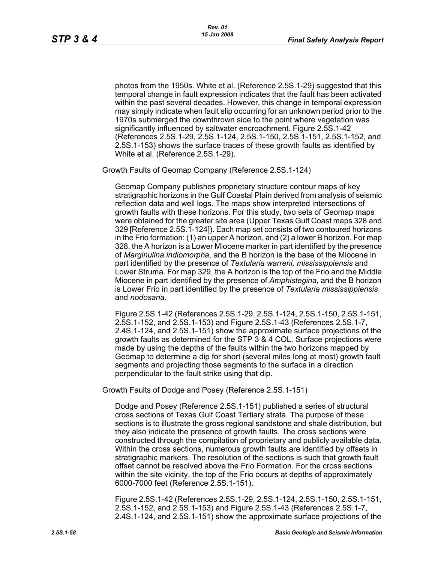photos from the 1950s. White et al. (Reference 2.5S.1-29) suggested that this temporal change in fault expression indicates that the fault has been activated within the past several decades. However, this change in temporal expression may simply indicate when fault slip occurring for an unknown period prior to the 1970s submerged the downthrown side to the point where vegetation was significantly influenced by saltwater encroachment. Figure 2.5S.1-42 (References 2.5S.1-29, 2.5S.1-124, 2.5S.1-150, 2.5S.1-151, 2.5S.1-152, and 2.5S.1-153) shows the surface traces of these growth faults as identified by White et al. (Reference 2.5S.1-29).

Growth Faults of Geomap Company (Reference 2.5S.1-124)

Geomap Company publishes proprietary structure contour maps of key stratigraphic horizons in the Gulf Coastal Plain derived from analysis of seismic reflection data and well logs. The maps show interpreted intersections of growth faults with these horizons. For this study, two sets of Geomap maps were obtained for the greater site area (Upper Texas Gulf Coast maps 328 and 329 [Reference 2.5S.1-124]). Each map set consists of two contoured horizons in the Frio formation: (1) an upper A horizon, and (2) a lower B horizon. For map 328, the A horizon is a Lower Miocene marker in part identified by the presence of *Marginulina indiomorpha*, and the B horizon is the base of the Miocene in part identified by the presence of *Textularia warreni, mississippiensis* and Lower Struma. For map 329, the A horizon is the top of the Frio and the Middle Miocene in part identified by the presence of *Amphistegina*, and the B horizon is Lower Frio in part identified by the presence of *Textularia mississippiensis* and *nodosaria*.

Figure 2.5S.1-42 (References 2.5S.1-29, 2.5S.1-124, 2.5S.1-150, 2.5S.1-151, 2.5S.1-152, and 2.5S.1-153) and Figure 2.5S.1-43 (References 2.5S.1-7, 2.4S.1-124, and 2.5S.1-151) show the approximate surface projections of the growth faults as determined for the STP 3 & 4 COL. Surface projections were made by using the depths of the faults within the two horizons mapped by Geomap to determine a dip for short (several miles long at most) growth fault segments and projecting those segments to the surface in a direction perpendicular to the fault strike using that dip.

Growth Faults of Dodge and Posey (Reference 2.5S.1-151)

Dodge and Posey (Reference 2.5S.1-151) published a series of structural cross sections of Texas Gulf Coast Tertiary strata. The purpose of these sections is to illustrate the gross regional sandstone and shale distribution, but they also indicate the presence of growth faults. The cross sections were constructed through the compilation of proprietary and publicly available data. Within the cross sections, numerous growth faults are identified by offsets in stratigraphic markers. The resolution of the sections is such that growth fault offset cannot be resolved above the Frio Formation. For the cross sections within the site vicinity, the top of the Frio occurs at depths of approximately 6000-7000 feet (Reference 2.5S.1-151).

Figure 2.5S.1-42 (References 2.5S.1-29, 2.5S.1-124, 2.5S.1-150, 2.5S.1-151, 2.5S.1-152, and 2.5S.1-153) and Figure 2.5S.1-43 (References 2.5S.1-7, 2.4S.1-124, and 2.5S.1-151) show the approximate surface projections of the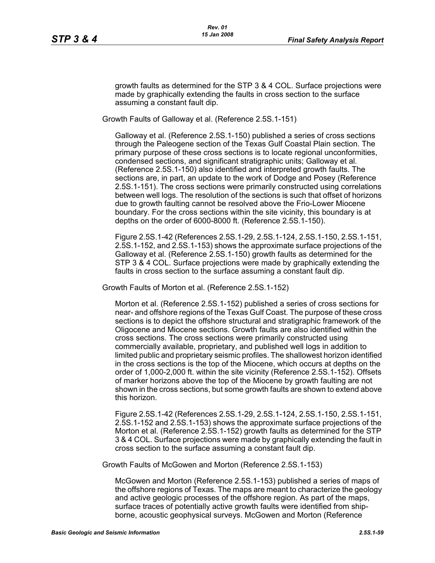growth faults as determined for the STP 3 & 4 COL. Surface projections were made by graphically extending the faults in cross section to the surface assuming a constant fault dip.

Growth Faults of Galloway et al. (Reference 2.5S.1-151)

Galloway et al. (Reference 2.5S.1-150) published a series of cross sections through the Paleogene section of the Texas Gulf Coastal Plain section. The primary purpose of these cross sections is to locate regional unconformities, condensed sections, and significant stratigraphic units; Galloway et al. (Reference 2.5S.1-150) also identified and interpreted growth faults. The sections are, in part, an update to the work of Dodge and Posey (Reference 2.5S.1-151). The cross sections were primarily constructed using correlations between well logs. The resolution of the sections is such that offset of horizons due to growth faulting cannot be resolved above the Frio-Lower Miocene boundary. For the cross sections within the site vicinity, this boundary is at depths on the order of 6000-8000 ft. (Reference 2.5S.1-150).

Figure 2.5S.1-42 (References 2.5S.1-29, 2.5S.1-124, 2.5S.1-150, 2.5S.1-151, 2.5S.1-152, and 2.5S.1-153) shows the approximate surface projections of the Galloway et al. (Reference 2.5S.1-150) growth faults as determined for the STP 3 & 4 COL. Surface projections were made by graphically extending the faults in cross section to the surface assuming a constant fault dip.

Growth Faults of Morton et al. (Reference 2.5S.1-152)

Morton et al. (Reference 2.5S.1-152) published a series of cross sections for near- and offshore regions of the Texas Gulf Coast. The purpose of these cross sections is to depict the offshore structural and stratigraphic framework of the Oligocene and Miocene sections. Growth faults are also identified within the cross sections. The cross sections were primarily constructed using commercially available, proprietary, and published well logs in addition to limited public and proprietary seismic profiles. The shallowest horizon identified in the cross sections is the top of the Miocene, which occurs at depths on the order of 1,000-2,000 ft. within the site vicinity (Reference 2.5S.1-152). Offsets of marker horizons above the top of the Miocene by growth faulting are not shown in the cross sections, but some growth faults are shown to extend above this horizon.

Figure 2.5S.1-42 (References 2.5S.1-29, 2.5S.1-124, 2.5S.1-150, 2.5S.1-151, 2.5S.1-152 and 2.5S.1-153) shows the approximate surface projections of the Morton et al. (Reference 2.5S.1-152) growth faults as determined for the STP 3 & 4 COL. Surface projections were made by graphically extending the fault in cross section to the surface assuming a constant fault dip.

Growth Faults of McGowen and Morton (Reference 2.5S.1-153)

McGowen and Morton (Reference 2.5S.1-153) published a series of maps of the offshore regions of Texas. The maps are meant to characterize the geology and active geologic processes of the offshore region. As part of the maps, surface traces of potentially active growth faults were identified from shipborne, acoustic geophysical surveys. McGowen and Morton (Reference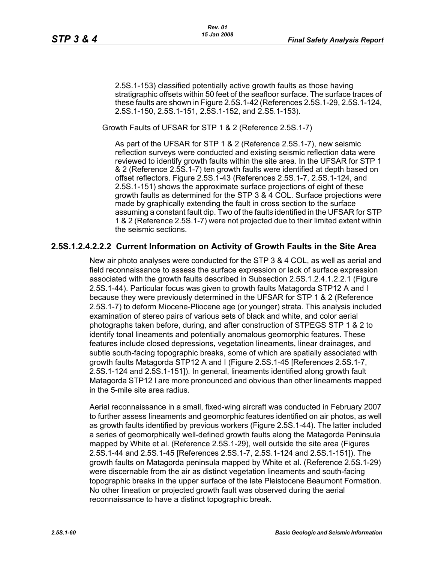2.5S.1-153) classified potentially active growth faults as those having stratigraphic offsets within 50 feet of the seafloor surface. The surface traces of these faults are shown in Figure 2.5S.1-42 (References 2.5S.1-29, 2.5S.1-124, 2.5S.1-150, 2.5S.1-151, 2.5S.1-152, and 2.S5.1-153).

Growth Faults of UFSAR for STP 1 & 2 (Reference 2.5S.1-7)

As part of the UFSAR for STP 1 & 2 (Reference 2.5S.1-7), new seismic reflection surveys were conducted and existing seismic reflection data were reviewed to identify growth faults within the site area. In the UFSAR for STP 1 & 2 (Reference 2.5S.1-7) ten growth faults were identified at depth based on offset reflectors. Figure 2.5S.1-43 (References 2.5S.1-7, 2.5S.1-124, and 2.5S.1-151) shows the approximate surface projections of eight of these growth faults as determined for the STP 3 & 4 COL. Surface projections were made by graphically extending the fault in cross section to the surface assuming a constant fault dip. Two of the faults identified in the UFSAR for STP 1 & 2 (Reference 2.5S.1-7) were not projected due to their limited extent within the seismic sections.

#### **2.5S.1.2.4.2.2.2 Current Information on Activity of Growth Faults in the Site Area**

New air photo analyses were conducted for the STP 3 & 4 COL, as well as aerial and field reconnaissance to assess the surface expression or lack of surface expression associated with the growth faults described in Subsection 2.5S.1.2.4.1.2.2.1 (Figure 2.5S.1-44). Particular focus was given to growth faults Matagorda STP12 A and I because they were previously determined in the UFSAR for STP 1 & 2 (Reference 2.5S.1-7) to deform Miocene-Pliocene age (or younger) strata. This analysis included examination of stereo pairs of various sets of black and white, and color aerial photographs taken before, during, and after construction of STPEGS STP 1 & 2 to identify tonal lineaments and potentially anomalous geomorphic features. These features include closed depressions, vegetation lineaments, linear drainages, and subtle south-facing topographic breaks, some of which are spatially associated with growth faults Matagorda STP12 A and I (Figure 2.5S.1-45 [References 2.5S.1-7, 2.5S.1-124 and 2.5S.1-151]). In general, lineaments identified along growth fault Matagorda STP12 I are more pronounced and obvious than other lineaments mapped in the 5-mile site area radius.

Aerial reconnaissance in a small, fixed-wing aircraft was conducted in February 2007 to further assess lineaments and geomorphic features identified on air photos, as well as growth faults identified by previous workers (Figure 2.5S.1-44). The latter included a series of geomorphically well-defined growth faults along the Matagorda Peninsula mapped by White et al. (Reference 2.5S.1-29), well outside the site area (Figures 2.5S.1-44 and 2.5S.1-45 [References 2.5S.1-7, 2.5S.1-124 and 2.5S.1-151]). The growth faults on Matagorda peninsula mapped by White et al. (Reference 2.5S.1-29) were discernable from the air as distinct vegetation lineaments and south-facing topographic breaks in the upper surface of the late Pleistocene Beaumont Formation. No other lineation or projected growth fault was observed during the aerial reconnaissance to have a distinct topographic break.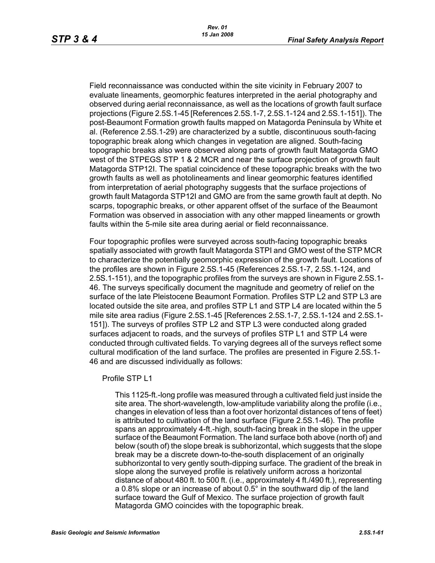Field reconnaissance was conducted within the site vicinity in February 2007 to evaluate lineaments, geomorphic features interpreted in the aerial photography and observed during aerial reconnaissance, as well as the locations of growth fault surface projections (Figure 2.5S.1-45 [References 2.5S.1-7, 2.5S.1-124 and 2.5S.1-151]). The post-Beaumont Formation growth faults mapped on Matagorda Peninsula by White et al. (Reference 2.5S.1-29) are characterized by a subtle, discontinuous south-facing topographic break along which changes in vegetation are aligned. South-facing topographic breaks also were observed along parts of growth fault Matagorda GMO west of the STPEGS STP 1 & 2 MCR and near the surface projection of growth fault Matagorda STP12I. The spatial coincidence of these topographic breaks with the two growth faults as well as photolineaments and linear geomorphic features identified from interpretation of aerial photography suggests that the surface projections of growth fault Matagorda STP12I and GMO are from the same growth fault at depth. No scarps, topographic breaks, or other apparent offset of the surface of the Beaumont Formation was observed in association with any other mapped lineaments or growth faults within the 5-mile site area during aerial or field reconnaissance.

Four topographic profiles were surveyed across south-facing topographic breaks spatially associated with growth fault Matagorda STPI and GMO west of the STP MCR to characterize the potentially geomorphic expression of the growth fault. Locations of the profiles are shown in Figure 2.5S.1-45 (References 2.5S.1-7, 2.5S.1-124, and 2.5S.1-151), and the topographic profiles from the surveys are shown in Figure 2.5S.1- 46. The surveys specifically document the magnitude and geometry of relief on the surface of the late Pleistocene Beaumont Formation. Profiles STP L2 and STP L3 are located outside the site area, and profiles STP L1 and STP L4 are located within the 5 mile site area radius (Figure 2.5S.1-45 [References 2.5S.1-7, 2.5S.1-124 and 2.5S.1- 151]). The surveys of profiles STP L2 and STP L3 were conducted along graded surfaces adjacent to roads, and the surveys of profiles STP L1 and STP L4 were conducted through cultivated fields. To varying degrees all of the surveys reflect some cultural modification of the land surface. The profiles are presented in Figure 2.5S.1- 46 and are discussed individually as follows:

#### Profile STP L1

This 1125-ft.-long profile was measured through a cultivated field just inside the site area. The short-wavelength, low-amplitude variability along the profile (i.e., changes in elevation of less than a foot over horizontal distances of tens of feet) is attributed to cultivation of the land surface (Figure 2.5S.1-46). The profile spans an approximately 4-ft.-high, south-facing break in the slope in the upper surface of the Beaumont Formation. The land surface both above (north of) and below (south of) the slope break is subhorizontal, which suggests that the slope break may be a discrete down-to-the-south displacement of an originally subhorizontal to very gently south-dipping surface. The gradient of the break in slope along the surveyed profile is relatively uniform across a horizontal distance of about 480 ft. to 500 ft. (i.e., approximately 4 ft./490 ft.), representing a 0.8% slope or an increase of about 0.5° in the southward dip of the land surface toward the Gulf of Mexico. The surface projection of growth fault Matagorda GMO coincides with the topographic break.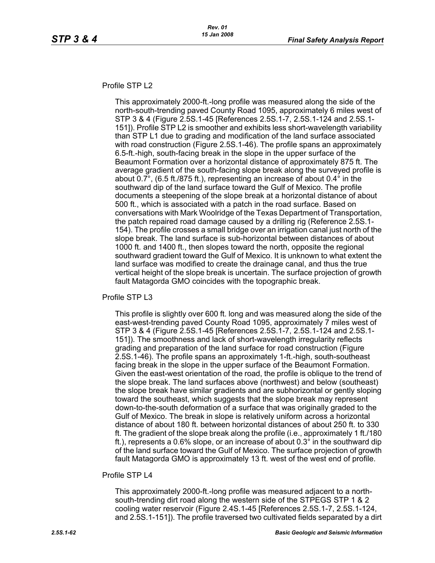#### Profile STP L2

This approximately 2000-ft.-long profile was measured along the side of the north-south-trending paved County Road 1095, approximately 6 miles west of STP 3 & 4 (Figure 2.5S.1-45 [References 2.5S.1-7, 2.5S.1-124 and 2.5S.1- 151]). Profile STP L2 is smoother and exhibits less short-wavelength variability than STP L1 due to grading and modification of the land surface associated with road construction (Figure 2.5S.1-46). The profile spans an approximately 6.5-ft.-high, south-facing break in the slope in the upper surface of the Beaumont Formation over a horizontal distance of approximately 875 ft. The average gradient of the south-facing slope break along the surveyed profile is about 0.7°, (6.5 ft./875 ft.), representing an increase of about 0.4° in the southward dip of the land surface toward the Gulf of Mexico. The profile documents a steepening of the slope break at a horizontal distance of about 500 ft., which is associated with a patch in the road surface. Based on conversations with Mark Woolridge of the Texas Department of Transportation, the patch repaired road damage caused by a drilling rig (Reference 2.5S.1- 154). The profile crosses a small bridge over an irrigation canal just north of the slope break. The land surface is sub-horizontal between distances of about 1000 ft. and 1400 ft., then slopes toward the north, opposite the regional southward gradient toward the Gulf of Mexico. It is unknown to what extent the land surface was modified to create the drainage canal, and thus the true vertical height of the slope break is uncertain. The surface projection of growth fault Matagorda GMO coincides with the topographic break.

Profile STP L3

This profile is slightly over 600 ft. long and was measured along the side of the east-west-trending paved County Road 1095, approximately 7 miles west of STP 3 & 4 (Figure 2.5S.1-45 [References 2.5S.1-7, 2.5S.1-124 and 2.5S.1- 151]). The smoothness and lack of short-wavelength irregularity reflects grading and preparation of the land surface for road construction (Figure 2.5S.1-46). The profile spans an approximately 1-ft.-high, south-southeast facing break in the slope in the upper surface of the Beaumont Formation. Given the east-west orientation of the road, the profile is oblique to the trend of the slope break. The land surfaces above (northwest) and below (southeast) the slope break have similar gradients and are subhorizontal or gently sloping toward the southeast, which suggests that the slope break may represent down-to-the-south deformation of a surface that was originally graded to the Gulf of Mexico. The break in slope is relatively uniform across a horizontal distance of about 180 ft. between horizontal distances of about 250 ft. to 330 ft. The gradient of the slope break along the profile (i.e., approximately 1 ft./180 ft.), represents a 0.6% slope, or an increase of about 0.3° in the southward dip of the land surface toward the Gulf of Mexico. The surface projection of growth fault Matagorda GMO is approximately 13 ft. west of the west end of profile.

#### Profile STP I 4

This approximately 2000-ft.-long profile was measured adjacent to a northsouth-trending dirt road along the western side of the STPEGS STP 1 & 2 cooling water reservoir (Figure 2.4S.1-45 [References 2.5S.1-7, 2.5S.1-124, and 2.5S.1-151]). The profile traversed two cultivated fields separated by a dirt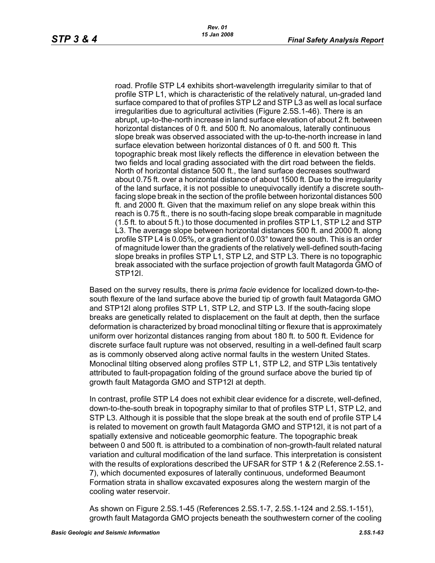road. Profile STP L4 exhibits short-wavelength irregularity similar to that of profile STP L1, which is characteristic of the relatively natural, un-graded land surface compared to that of profiles STP L2 and STP L3 as well as local surface irregularities due to agricultural activities (Figure 2.5S.1-46). There is an abrupt, up-to-the-north increase in land surface elevation of about 2 ft. between horizontal distances of 0 ft. and 500 ft. No anomalous, laterally continuous slope break was observed associated with the up-to-the-north increase in land surface elevation between horizontal distances of 0 ft. and 500 ft. This topographic break most likely reflects the difference in elevation between the two fields and local grading associated with the dirt road between the fields. North of horizontal distance 500 ft., the land surface decreases southward about 0.75 ft. over a horizontal distance of about 1500 ft. Due to the irregularity of the land surface, it is not possible to unequivocally identify a discrete southfacing slope break in the section of the profile between horizontal distances 500 ft. and 2000 ft. Given that the maximum relief on any slope break within this reach is 0.75 ft., there is no south-facing slope break comparable in magnitude (1.5 ft. to about 5 ft.) to those documented in profiles STP L1, STP L2 and STP L3. The average slope between horizontal distances 500 ft. and 2000 ft. along profile STP L4 is 0.05%, or a gradient of 0.03° toward the south. This is an order of magnitude lower than the gradients of the relatively well-defined south-facing slope breaks in profiles STP L1, STP L2, and STP L3. There is no topographic break associated with the surface projection of growth fault Matagorda GMO of STP12I.

Based on the survey results, there is *prima facie* evidence for localized down-to-thesouth flexure of the land surface above the buried tip of growth fault Matagorda GMO and STP12I along profiles STP L1, STP L2, and STP L3. If the south-facing slope breaks are genetically related to displacement on the fault at depth, then the surface deformation is characterized by broad monoclinal tilting or flexure that is approximately uniform over horizontal distances ranging from about 180 ft. to 500 ft. Evidence for discrete surface fault rupture was not observed, resulting in a well-defined fault scarp as is commonly observed along active normal faults in the western United States. Monoclinal tilting observed along profiles STP L1, STP L2, and STP L3is tentatively attributed to fault-propagation folding of the ground surface above the buried tip of growth fault Matagorda GMO and STP12I at depth.

In contrast, profile STP L4 does not exhibit clear evidence for a discrete, well-defined, down-to-the-south break in topography similar to that of profiles STP L1, STP L2, and STP L3. Although it is possible that the slope break at the south end of profile STP L4 is related to movement on growth fault Matagorda GMO and STP12I, it is not part of a spatially extensive and noticeable geomorphic feature. The topographic break between 0 and 500 ft. is attributed to a combination of non-growth-fault related natural variation and cultural modification of the land surface. This interpretation is consistent with the results of explorations described the UFSAR for STP 1 & 2 (Reference 2.5S.1- 7), which documented exposures of laterally continuous, undeformed Beaumont Formation strata in shallow excavated exposures along the western margin of the cooling water reservoir.

As shown on Figure 2.5S.1-45 (References 2.5S.1-7, 2.5S.1-124 and 2.5S.1-151), growth fault Matagorda GMO projects beneath the southwestern corner of the cooling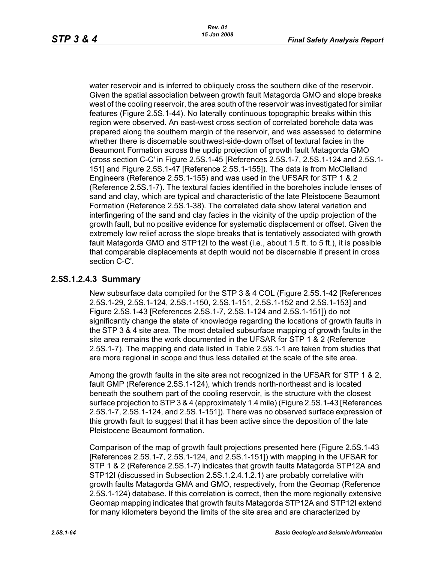water reservoir and is inferred to obliquely cross the southern dike of the reservoir. Given the spatial association between growth fault Matagorda GMO and slope breaks west of the cooling reservoir, the area south of the reservoir was investigated for similar features (Figure 2.5S.1-44). No laterally continuous topographic breaks within this region were observed. An east-west cross section of correlated borehole data was prepared along the southern margin of the reservoir, and was assessed to determine whether there is discernable southwest-side-down offset of textural facies in the Beaumont Formation across the updip projection of growth fault Matagorda GMO (cross section C-C' in Figure 2.5S.1-45 [References 2.5S.1-7, 2.5S.1-124 and 2.5S.1- 151] and Figure 2.5S.1-47 [Reference 2.5S.1-155]). The data is from McClelland Engineers (Reference 2.5S.1-155) and was used in the UFSAR for STP 1 & 2 (Reference 2.5S.1-7). The textural facies identified in the boreholes include lenses of sand and clay, which are typical and characteristic of the late Pleistocene Beaumont Formation (Reference 2.5S.1-38). The correlated data show lateral variation and interfingering of the sand and clay facies in the vicinity of the updip projection of the growth fault, but no positive evidence for systematic displacement or offset. Given the extremely low relief across the slope breaks that is tentatively associated with growth fault Matagorda GMO and STP12I to the west (i.e., about 1.5 ft. to 5 ft.), it is possible that comparable displacements at depth would not be discernable if present in cross section C-C'.

#### **2.5S.1.2.4.3 Summary**

New subsurface data compiled for the STP 3 & 4 COL (Figure 2.5S.1-42 [References 2.5S.1-29, 2.5S.1-124, 2.5S.1-150, 2.5S.1-151, 2.5S.1-152 and 2.5S.1-153] and Figure 2.5S.1-43 [References 2.5S.1-7, 2.5S.1-124 and 2.5S.1-151]) do not significantly change the state of knowledge regarding the locations of growth faults in the STP 3 & 4 site area. The most detailed subsurface mapping of growth faults in the site area remains the work documented in the UFSAR for STP 1 & 2 (Reference 2.5S.1-7). The mapping and data listed in Table 2.5S.1-1 are taken from studies that are more regional in scope and thus less detailed at the scale of the site area.

Among the growth faults in the site area not recognized in the UFSAR for STP 1 & 2, fault GMP (Reference 2.5S.1-124), which trends north-northeast and is located beneath the southern part of the cooling reservoir, is the structure with the closest surface projection to STP 3 & 4 (approximately 1.4 mile) (Figure 2.5S.1-43 [References 2.5S.1-7, 2.5S.1-124, and 2.5S.1-151]). There was no observed surface expression of this growth fault to suggest that it has been active since the deposition of the late Pleistocene Beaumont formation.

Comparison of the map of growth fault projections presented here (Figure 2.5S.1-43 [References 2.5S.1-7, 2.5S.1-124, and 2.5S.1-151]) with mapping in the UFSAR for STP 1 & 2 (Reference 2.5S.1-7) indicates that growth faults Matagorda STP12A and STP12I (discussed in Subsection 2.5S.1.2.4.1.2.1) are probably correlative with growth faults Matagorda GMA and GMO, respectively, from the Geomap (Reference 2.5S.1-124) database. If this correlation is correct, then the more regionally extensive Geomap mapping indicates that growth faults Matagorda STP12A and STP12I extend for many kilometers beyond the limits of the site area and are characterized by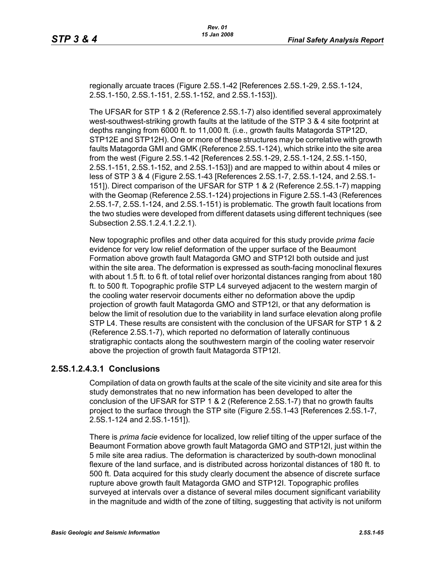regionally arcuate traces (Figure 2.5S.1-42 [References 2.5S.1-29, 2.5S.1-124, 2.5S.1-150, 2.5S.1-151, 2.5S.1-152, and 2.5S.1-153]).

The UFSAR for STP 1 & 2 (Reference 2.5S.1-7) also identified several approximately west-southwest-striking growth faults at the latitude of the STP 3 & 4 site footprint at depths ranging from 6000 ft. to 11,000 ft. (i.e., growth faults Matagorda STP12D, STP12E and STP12H). One or more of these structures may be correlative with growth faults Matagorda GMI and GMK (Reference 2.5S.1-124), which strike into the site area from the west (Figure 2.5S.1-42 [References 2.5S.1-29, 2.5S.1-124, 2.5S.1-150, 2.5S.1-151, 2.5S.1-152, and 2.5S.1-153]) and are mapped to within about 4 miles or less of STP 3 & 4 (Figure 2.5S.1-43 [References 2.5S.1-7, 2.5S.1-124, and 2.5S.1- 151]). Direct comparison of the UFSAR for STP 1 & 2 (Reference 2.5S.1-7) mapping with the Geomap (Reference 2.5S.1-124) projections in Figure 2.5S.1-43 (References 2.5S.1-7, 2.5S.1-124, and 2.5S.1-151) is problematic. The growth fault locations from the two studies were developed from different datasets using different techniques (see Subsection 2.5S.1.2.4.1.2.2.1).

New topographic profiles and other data acquired for this study provide *prima facie* evidence for very low relief deformation of the upper surface of the Beaumont Formation above growth fault Matagorda GMO and STP12I both outside and just within the site area. The deformation is expressed as south-facing monoclinal flexures with about 1.5 ft. to 6 ft. of total relief over horizontal distances ranging from about 180 ft. to 500 ft. Topographic profile STP L4 surveyed adjacent to the western margin of the cooling water reservoir documents either no deformation above the updip projection of growth fault Matagorda GMO and STP12I, or that any deformation is below the limit of resolution due to the variability in land surface elevation along profile STP L4. These results are consistent with the conclusion of the UFSAR for STP 1 & 2 (Reference 2.5S.1-7), which reported no deformation of laterally continuous stratigraphic contacts along the southwestern margin of the cooling water reservoir above the projection of growth fault Matagorda STP12I.

## **2.5S.1.2.4.3.1 Conclusions**

Compilation of data on growth faults at the scale of the site vicinity and site area for this study demonstrates that no new information has been developed to alter the conclusion of the UFSAR for STP 1 & 2 (Reference 2.5S.1-7) that no growth faults project to the surface through the STP site (Figure 2.5S.1-43 [References 2.5S.1-7, 2.5S.1-124 and 2.5S.1-151]).

There is *prima facie* evidence for localized, low relief tilting of the upper surface of the Beaumont Formation above growth fault Matagorda GMO and STP12I, just within the 5 mile site area radius. The deformation is characterized by south-down monoclinal flexure of the land surface, and is distributed across horizontal distances of 180 ft. to 500 ft. Data acquired for this study clearly document the absence of discrete surface rupture above growth fault Matagorda GMO and STP12I. Topographic profiles surveyed at intervals over a distance of several miles document significant variability in the magnitude and width of the zone of tilting, suggesting that activity is not uniform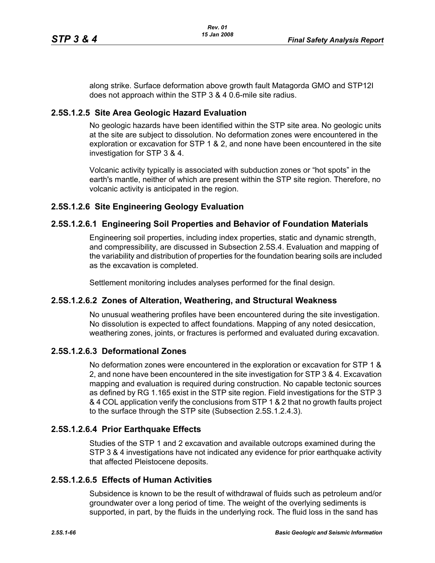along strike. Surface deformation above growth fault Matagorda GMO and STP12I does not approach within the STP 3 & 4 0.6-mile site radius.

### **2.5S.1.2.5 Site Area Geologic Hazard Evaluation**

No geologic hazards have been identified within the STP site area. No geologic units at the site are subject to dissolution. No deformation zones were encountered in the exploration or excavation for STP 1 & 2, and none have been encountered in the site investigation for STP 3 & 4.

Volcanic activity typically is associated with subduction zones or "hot spots" in the earth's mantle, neither of which are present within the STP site region. Therefore, no volcanic activity is anticipated in the region.

# **2.5S.1.2.6 Site Engineering Geology Evaluation**

## **2.5S.1.2.6.1 Engineering Soil Properties and Behavior of Foundation Materials**

Engineering soil properties, including index properties, static and dynamic strength, and compressibility, are discussed in Subsection 2.5S.4. Evaluation and mapping of the variability and distribution of properties for the foundation bearing soils are included as the excavation is completed.

Settlement monitoring includes analyses performed for the final design.

## **2.5S.1.2.6.2 Zones of Alteration, Weathering, and Structural Weakness**

No unusual weathering profiles have been encountered during the site investigation. No dissolution is expected to affect foundations. Mapping of any noted desiccation, weathering zones, joints, or fractures is performed and evaluated during excavation.

#### **2.5S.1.2.6.3 Deformational Zones**

No deformation zones were encountered in the exploration or excavation for STP 1 & 2, and none have been encountered in the site investigation for STP 3 & 4. Excavation mapping and evaluation is required during construction. No capable tectonic sources as defined by RG 1.165 exist in the STP site region. Field investigations for the STP 3 & 4 COL application verify the conclusions from STP 1 & 2 that no growth faults project to the surface through the STP site (Subsection 2.5S.1.2.4.3).

## **2.5S.1.2.6.4 Prior Earthquake Effects**

Studies of the STP 1 and 2 excavation and available outcrops examined during the STP 3 & 4 investigations have not indicated any evidence for prior earthquake activity that affected Pleistocene deposits.

#### **2.5S.1.2.6.5 Effects of Human Activities**

Subsidence is known to be the result of withdrawal of fluids such as petroleum and/or groundwater over a long period of time. The weight of the overlying sediments is supported, in part, by the fluids in the underlying rock. The fluid loss in the sand has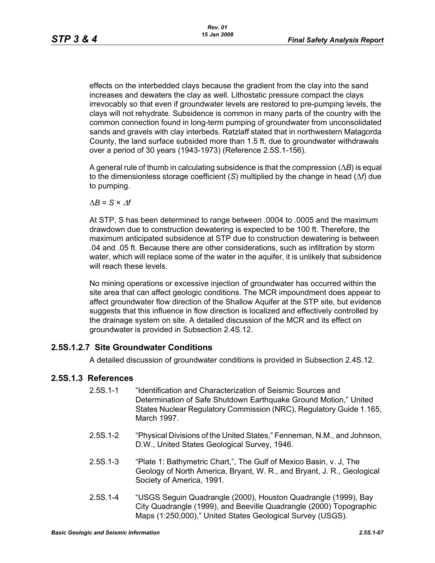effects on the interbedded clays because the gradient from the clay into the sand increases and dewaters the clay as well. Lithostatic pressure compact the clays irrevocably so that even if groundwater levels are restored to pre-pumping levels, the clays will not rehydrate. Subsidence is common in many parts of the country with the common connection found in long-term pumping of groundwater from unconsolidated sands and gravels with clay interbeds. Ratzlaff stated that in northwestern Matagorda County, the land surface subsided more than 1.5 ft. due to groundwater withdrawals over a period of 30 years (1943-1973) (Reference 2.5S.1-156).

A general rule of thumb in calculating subsidence is that the compression (Δ*B*) is equal to the dimensionless storage coefficient (*S*) multiplied by the change in head (Δ*f*) due to pumping.

 $\Delta B = S \times \Delta f$ 

At STP, S has been determined to range between .0004 to .0005 and the maximum drawdown due to construction dewatering is expected to be 100 ft. Therefore, the maximum anticipated subsidence at STP due to construction dewatering is between .04 and .05 ft. Because there are other considerations, such as infiltration by storm water, which will replace some of the water in the aquifer, it is unlikely that subsidence will reach these levels.

No mining operations or excessive injection of groundwater has occurred within the site area that can affect geologic conditions. The MCR impoundment does appear to affect groundwater flow direction of the Shallow Aquifer at the STP site, but evidence suggests that this influence in flow direction is localized and effectively controlled by the drainage system on site. A detailed discussion of the MCR and its effect on groundwater is provided in Subsection 2.4S.12.

## **2.5S.1.2.7 Site Groundwater Conditions**

A detailed discussion of groundwater conditions is provided in Subsection 2.4S.12.

#### **2.5S.1.3 References**

- 2.5S.1-1 "Identification and Characterization of Seismic Sources and Determination of Safe Shutdown Earthquake Ground Motion," United States Nuclear Regulatory Commission (NRC), Regulatory Guide 1.165, March 1997.
- 2.5S.1-2 "Physical Divisions of the United States," Fenneman, N.M., and Johnson, D.W., United States Geological Survey, 1946.
- 2.5S.1-3 "Plate 1: Bathymetric Chart,", The Gulf of Mexico Basin, v. J, The Geology of North America, Bryant, W. R., and Bryant, J. R., Geological Society of America, 1991.
- 2.5S.1-4 "USGS Seguin Quadrangle (2000), Houston Quadrangle (1999), Bay City Quadrangle (1999), and Beeville Quadrangle (2000) Topographic Maps (1:250,000)," United States Geological Survey (USGS).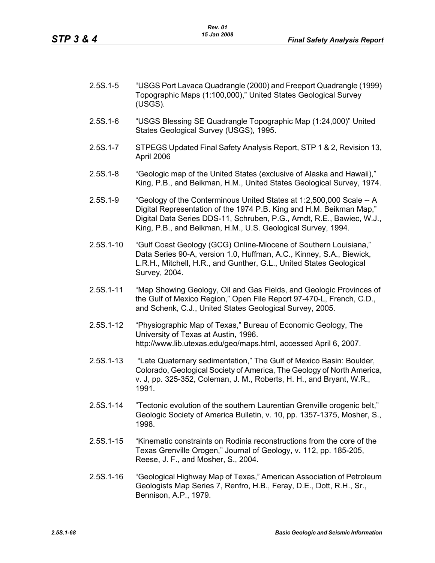| $2.5S.1 - 5$ | "USGS Port Lavaca Quadrangle (2000) and Freeport Quadrangle (1999) |
|--------------|--------------------------------------------------------------------|
|              | Topographic Maps (1:100,000)," United States Geological Survey     |
|              | (USGS).                                                            |

- 2.5S.1-6 "USGS Blessing SE Quadrangle Topographic Map (1:24,000)" United States Geological Survey (USGS), 1995.
- 2.5S.1-7 STPEGS Updated Final Safety Analysis Report, STP 1 & 2, Revision 13, April 2006
- 2.5S.1-8 "Geologic map of the United States (exclusive of Alaska and Hawaii)," King, P.B., and Beikman, H.M., United States Geological Survey, 1974.
- 2.5S.1-9 "Geology of the Conterminous United States at 1:2,500,000 Scale -- A Digital Representation of the 1974 P.B. King and H.M. Beikman Map," Digital Data Series DDS-11, Schruben, P.G., Arndt, R.E., Bawiec, W.J., King, P.B., and Beikman, H.M., U.S. Geological Survey, 1994.
- 2.5S.1-10 "Gulf Coast Geology (GCG) Online-Miocene of Southern Louisiana," Data Series 90-A, version 1.0, Huffman, A.C., Kinney, S.A., Biewick, L.R.H., Mitchell, H.R., and Gunther, G.L., United States Geological Survey, 2004.
- 2.5S.1-11 "Map Showing Geology, Oil and Gas Fields, and Geologic Provinces of the Gulf of Mexico Region," Open File Report 97-470-L, French, C.D., and Schenk, C.J., United States Geological Survey, 2005.
- 2.5S.1-12 "Physiographic Map of Texas," Bureau of Economic Geology, The University of Texas at Austin, 1996. http://www.lib.utexas.edu/geo/maps.html, accessed April 6, 2007.
- 2.5S.1-13 "Late Quaternary sedimentation," The Gulf of Mexico Basin: Boulder, Colorado, Geological Society of America, The Geology of North America, v. J, pp. 325-352, Coleman, J. M., Roberts, H. H., and Bryant, W.R., 1991.
- 2.5S.1-14 "Tectonic evolution of the southern Laurentian Grenville orogenic belt," Geologic Society of America Bulletin, v. 10, pp. 1357-1375, Mosher, S., 1998.
- 2.5S.1-15 "Kinematic constraints on Rodinia reconstructions from the core of the Texas Grenville Orogen," Journal of Geology, v. 112, pp. 185-205, Reese, J. F., and Mosher, S., 2004.
- 2.5S.1-16 "Geological Highway Map of Texas," American Association of Petroleum Geologists Map Series 7, Renfro, H.B., Feray, D.E., Dott, R.H., Sr., Bennison, A.P., 1979.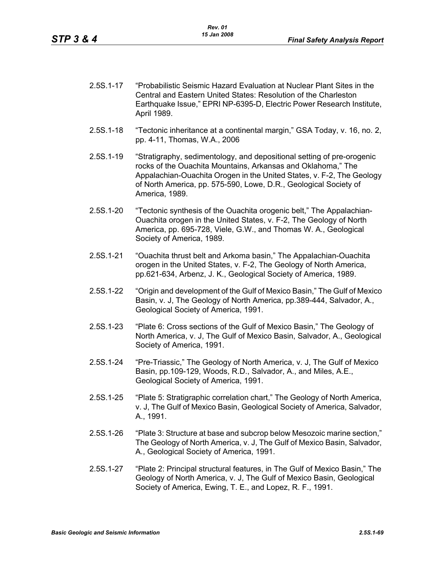- 2.5S.1-17 "Probabilistic Seismic Hazard Evaluation at Nuclear Plant Sites in the Central and Eastern United States: Resolution of the Charleston Earthquake Issue," EPRI NP-6395-D, Electric Power Research Institute, April 1989.
- 2.5S.1-18 "Tectonic inheritance at a continental margin," GSA Today, v. 16, no. 2, pp. 4-11, Thomas, W.A., 2006
- 2.5S.1-19 "Stratigraphy, sedimentology, and depositional setting of pre-orogenic rocks of the Ouachita Mountains, Arkansas and Oklahoma," The Appalachian-Ouachita Orogen in the United States, v. F-2, The Geology of North America, pp. 575-590, Lowe, D.R., Geological Society of America, 1989.
- 2.5S.1-20 "Tectonic synthesis of the Ouachita orogenic belt," The Appalachian-Ouachita orogen in the United States, v. F-2, The Geology of North America, pp. 695-728, Viele, G.W., and Thomas W. A., Geological Society of America, 1989.
- 2.5S.1-21 "Ouachita thrust belt and Arkoma basin," The Appalachian-Ouachita orogen in the United States, v. F-2, The Geology of North America, pp.621-634, Arbenz, J. K., Geological Society of America, 1989.
- 2.5S.1-22 "Origin and development of the Gulf of Mexico Basin," The Gulf of Mexico Basin, v. J, The Geology of North America, pp.389-444, Salvador, A., Geological Society of America, 1991.
- 2.5S.1-23 "Plate 6: Cross sections of the Gulf of Mexico Basin," The Geology of North America, v. J, The Gulf of Mexico Basin, Salvador, A., Geological Society of America, 1991.
- 2.5S.1-24 "Pre-Triassic," The Geology of North America, v. J, The Gulf of Mexico Basin, pp.109-129, Woods, R.D., Salvador, A., and Miles, A.E., Geological Society of America, 1991.
- 2.5S.1-25 "Plate 5: Stratigraphic correlation chart," The Geology of North America, v. J, The Gulf of Mexico Basin, Geological Society of America, Salvador, A., 1991.
- 2.5S.1-26 "Plate 3: Structure at base and subcrop below Mesozoic marine section," The Geology of North America, v. J, The Gulf of Mexico Basin, Salvador, A., Geological Society of America, 1991.
- 2.5S.1-27 "Plate 2: Principal structural features, in The Gulf of Mexico Basin," The Geology of North America, v. J, The Gulf of Mexico Basin, Geological Society of America, Ewing, T. E., and Lopez, R. F., 1991.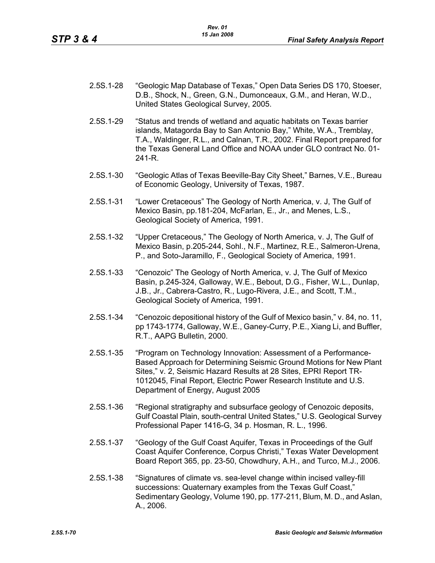- 2.5S.1-28 "Geologic Map Database of Texas," Open Data Series DS 170, Stoeser, D.B., Shock, N., Green, G.N., Dumonceaux, G.M., and Heran, W.D., United States Geological Survey, 2005.
- 2.5S.1-29 "Status and trends of wetland and aquatic habitats on Texas barrier islands, Matagorda Bay to San Antonio Bay," White, W.A., Tremblay, T.A., Waldinger, R.L., and Calnan, T.R., 2002. Final Report prepared for the Texas General Land Office and NOAA under GLO contract No. 01- 241-R.
- 2.5S.1-30 "Geologic Atlas of Texas Beeville-Bay City Sheet," Barnes, V.E., Bureau of Economic Geology, University of Texas, 1987.
- 2.5S.1-31 "Lower Cretaceous" The Geology of North America, v. J, The Gulf of Mexico Basin, pp.181-204, McFarlan, E., Jr., and Menes, L.S., Geological Society of America, 1991.
- 2.5S.1-32 "Upper Cretaceous," The Geology of North America, v. J, The Gulf of Mexico Basin, p.205-244, Sohl., N.F., Martinez, R.E., Salmeron-Urena, P., and Soto-Jaramillo, F., Geological Society of America, 1991.
- 2.5S.1-33 "Cenozoic" The Geology of North America, v. J, The Gulf of Mexico Basin, p.245-324, Galloway, W.E., Bebout, D.G., Fisher, W.L., Dunlap, J.B., Jr., Cabrera-Castro, R., Lugo-Rivera, J.E., and Scott, T.M., Geological Society of America, 1991.
- 2.5S.1-34 "Cenozoic depositional history of the Gulf of Mexico basin," v. 84, no. 11, pp 1743-1774, Galloway, W.E., Ganey-Curry, P.E., Xiang Li, and Buffler, R.T., AAPG Bulletin, 2000.
- 2.5S.1-35 "Program on Technology Innovation: Assessment of a Performance-Based Approach for Determining Seismic Ground Motions for New Plant Sites," v. 2, Seismic Hazard Results at 28 Sites, EPRI Report TR-1012045, Final Report, Electric Power Research Institute and U.S. Department of Energy, August 2005
- 2.5S.1-36 "Regional stratigraphy and subsurface geology of Cenozoic deposits, Gulf Coastal Plain, south-central United States," U.S. Geological Survey Professional Paper 1416-G, 34 p. Hosman, R. L., 1996.
- 2.5S.1-37 "Geology of the Gulf Coast Aquifer, Texas in Proceedings of the Gulf Coast Aquifer Conference, Corpus Christi," Texas Water Development Board Report 365, pp. 23-50, Chowdhury, A.H., and Turco, M.J., 2006.
- 2.5S.1-38 "Signatures of climate vs. sea-level change within incised valley-fill successions: Quaternary examples from the Texas Gulf Coast," Sedimentary Geology, Volume 190, pp. 177-211, Blum, M. D., and Aslan, A., 2006.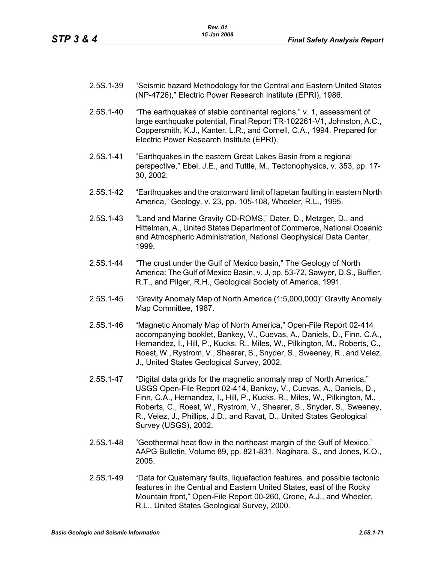| 2.5S.1-39 | "Seismic hazard Methodology for the Central and Eastern United States |
|-----------|-----------------------------------------------------------------------|
|           | (NP-4726)," Electric Power Research Institute (EPRI), 1986.           |

- 2.5S.1-40 "The earthquakes of stable continental regions," v. 1, assessment of large earthquake potential, Final Report TR-102261-V1, Johnston, A.C., Coppersmith, K.J., Kanter, L.R., and Cornell, C.A., 1994. Prepared for Electric Power Research Institute (EPRI).
- 2.5S.1-41 "Earthquakes in the eastern Great Lakes Basin from a regional perspective," Ebel, J.E., and Tuttle, M., Tectonophysics, v. 353, pp. 17- 30, 2002.
- 2.5S.1-42 "Earthquakes and the cratonward limit of Iapetan faulting in eastern North America," Geology, v. 23, pp. 105-108, Wheeler, R.L., 1995.
- 2.5S.1-43 "Land and Marine Gravity CD-ROMS," Dater, D., Metzger, D., and Hittelman, A., United States Department of Commerce, National Oceanic and Atmospheric Administration, National Geophysical Data Center, 1999.
- 2.5S.1-44 "The crust under the Gulf of Mexico basin," The Geology of North America: The Gulf of Mexico Basin, v. J, pp. 53-72, Sawyer, D.S., Buffler, R.T., and Pilger, R.H., Geological Society of America, 1991.
- 2.5S.1-45 "Gravity Anomaly Map of North America (1:5,000,000)" Gravity Anomaly Map Committee, 1987.
- 2.5S.1-46 "Magnetic Anomaly Map of North America," Open-File Report 02-414 accompanying booklet, Bankey, V., Cuevas, A., Daniels, D., Finn, C.A., Hernandez, I., Hill, P., Kucks, R., Miles, W., Pilkington, M., Roberts, C., Roest, W., Rystrom, V., Shearer, S., Snyder, S., Sweeney, R., and Velez, J., United States Geological Survey, 2002.
- 2.5S.1-47 "Digital data grids for the magnetic anomaly map of North America," USGS Open-File Report 02-414, Bankey, V., Cuevas, A., Daniels, D., Finn, C.A., Hernandez, I., Hill, P., Kucks, R., Miles, W., Pilkington, M., Roberts, C., Roest, W., Rystrom, V., Shearer, S., Snyder, S., Sweeney, R., Velez, J., Phillips, J.D., and Ravat, D., United States Geological Survey (USGS), 2002.
- 2.5S.1-48 "Geothermal heat flow in the northeast margin of the Gulf of Mexico," AAPG Bulletin, Volume 89, pp. 821-831, Nagihara, S., and Jones, K.O., 2005.
- 2.5S.1-49 "Data for Quaternary faults, liquefaction features, and possible tectonic features in the Central and Eastern United States, east of the Rocky Mountain front," Open-File Report 00-260, Crone, A.J., and Wheeler, R.L., United States Geological Survey, 2000.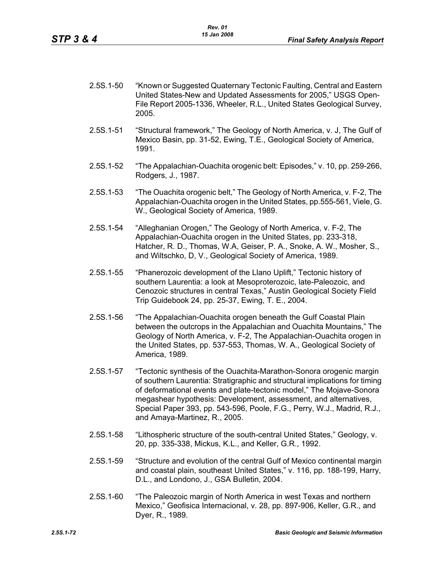- 2.5S.1-50 "Known or Suggested Quaternary Tectonic Faulting, Central and Eastern United States-New and Updated Assessments for 2005," USGS Open-File Report 2005-1336, Wheeler, R.L., United States Geological Survey, 2005.
- 2.5S.1-51 "Structural framework," The Geology of North America, v. J, The Gulf of Mexico Basin, pp. 31-52, Ewing, T.E., Geological Society of America, 1991.
- 2.5S.1-52 "The Appalachian-Ouachita orogenic belt: Episodes," v. 10, pp. 259-266, Rodgers, J., 1987.
- 2.5S.1-53 "The Ouachita orogenic belt," The Geology of North America, v. F-2, The Appalachian-Ouachita orogen in the United States, pp.555-561, Viele, G. W., Geological Society of America, 1989.
- 2.5S.1-54 "Alleghanian Orogen," The Geology of North America, v. F-2, The Appalachian-Ouachita orogen in the United States, pp. 233-318, Hatcher, R. D., Thomas, W.A, Geiser, P. A., Snoke, A. W., Mosher, S., and Wiltschko, D, V., Geological Society of America, 1989.
- 2.5S.1-55 "Phanerozoic development of the Llano Uplift," Tectonic history of southern Laurentia: a look at Mesoproterozoic, late-Paleozoic, and Cenozoic structures in central Texas," Austin Geological Society Field Trip Guidebook 24, pp. 25-37, Ewing, T. E., 2004.
- 2.5S.1-56 "The Appalachian-Ouachita orogen beneath the Gulf Coastal Plain between the outcrops in the Appalachian and Ouachita Mountains," The Geology of North America, v. F-2, The Appalachian-Ouachita orogen in the United States, pp. 537-553, Thomas, W. A., Geological Society of America, 1989.
- 2.5S.1-57 "Tectonic synthesis of the Ouachita-Marathon-Sonora orogenic margin of southern Laurentia: Stratigraphic and structural implications for timing of deformational events and plate-tectonic model," The Mojave-Sonora megashear hypothesis: Development, assessment, and alternatives, Special Paper 393, pp. 543-596, Poole, F.G., Perry, W.J., Madrid, R.J., and Amaya-Martinez, R., 2005.
- 2.5S.1-58 "Lithospheric structure of the south-central United States," Geology, v. 20, pp. 335-338, Mickus, K.L., and Keller, G.R., 1992.
- 2.5S.1-59 "Structure and evolution of the central Gulf of Mexico continental margin and coastal plain, southeast United States," v. 116, pp. 188-199, Harry, D.L., and Londono, J., GSA Bulletin, 2004.
- 2.5S.1-60 "The Paleozoic margin of North America in west Texas and northern Mexico," Geofisica Internacional, v. 28, pp. 897-906, Keller, G.R., and Dyer, R., 1989.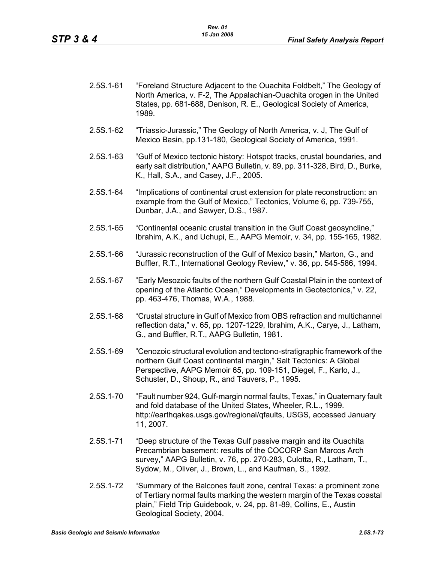- 2.5S.1-61 "Foreland Structure Adjacent to the Ouachita Foldbelt," The Geology of North America, v. F-2, The Appalachian-Ouachita orogen in the United States, pp. 681-688, Denison, R. E., Geological Society of America, 1989.
- 2.5S.1-62 "Triassic-Jurassic," The Geology of North America, v. J, The Gulf of Mexico Basin, pp.131-180, Geological Society of America, 1991.
- 2.5S.1-63 "Gulf of Mexico tectonic history: Hotspot tracks, crustal boundaries, and early salt distribution," AAPG Bulletin, v. 89, pp. 311-328, Bird, D., Burke, K., Hall, S.A., and Casey, J.F., 2005.
- 2.5S.1-64 "Implications of continental crust extension for plate reconstruction: an example from the Gulf of Mexico," Tectonics, Volume 6, pp. 739-755, Dunbar, J.A., and Sawyer, D.S., 1987.
- 2.5S.1-65 "Continental oceanic crustal transition in the Gulf Coast geosyncline," Ibrahim, A.K., and Uchupi, E., AAPG Memoir, v. 34, pp. 155-165, 1982.
- 2.5S.1-66 "Jurassic reconstruction of the Gulf of Mexico basin," Marton, G., and Buffler, R.T., International Geology Review," v. 36, pp. 545-586, 1994.
- 2.5S.1-67 "Early Mesozoic faults of the northern Gulf Coastal Plain in the context of opening of the Atlantic Ocean," Developments in Geotectonics," v. 22, pp. 463-476, Thomas, W.A., 1988.
- 2.5S.1-68 "Crustal structure in Gulf of Mexico from OBS refraction and multichannel reflection data," v. 65, pp. 1207-1229, Ibrahim, A.K., Carye, J., Latham, G., and Buffler, R.T., AAPG Bulletin, 1981.
- 2.5S.1-69 "Cenozoic structural evolution and tectono-stratigraphic framework of the northern Gulf Coast continental margin," Salt Tectonics: A Global Perspective, AAPG Memoir 65, pp. 109-151, Diegel, F., Karlo, J., Schuster, D., Shoup, R., and Tauvers, P., 1995.
- 2.5S.1-70 "Fault number 924, Gulf-margin normal faults, Texas," in Quaternary fault and fold database of the United States, Wheeler, R.L., 1999. http://earthqakes.usgs.gov/regional/qfaults, USGS, accessed January 11, 2007.
- 2.5S.1-71 "Deep structure of the Texas Gulf passive margin and its Ouachita Precambrian basement: results of the COCORP San Marcos Arch survey," AAPG Bulletin, v. 76, pp. 270-283, Culotta, R., Latham, T., Sydow, M., Oliver, J., Brown, L., and Kaufman, S., 1992.
- 2.5S.1-72 "Summary of the Balcones fault zone, central Texas: a prominent zone of Tertiary normal faults marking the western margin of the Texas coastal plain," Field Trip Guidebook, v. 24, pp. 81-89, Collins, E., Austin Geological Society, 2004.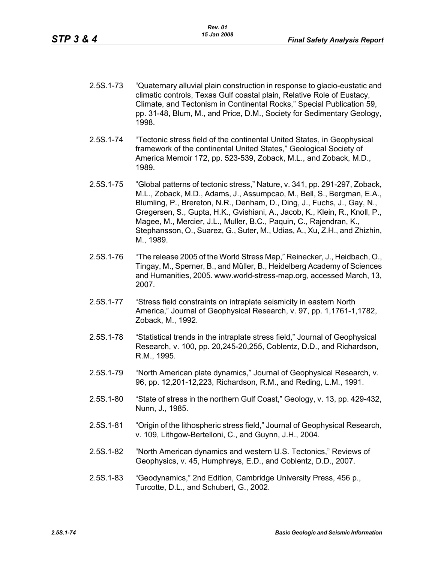- 2.5S.1-73 "Quaternary alluvial plain construction in response to glacio-eustatic and climatic controls, Texas Gulf coastal plain, Relative Role of Eustacy, Climate, and Tectonism in Continental Rocks," Special Publication 59, pp. 31-48, Blum, M., and Price, D.M., Society for Sedimentary Geology, 1998.
- 2.5S.1-74 "Tectonic stress field of the continental United States, in Geophysical framework of the continental United States," Geological Society of America Memoir 172, pp. 523-539, Zoback, M.L., and Zoback, M.D., 1989.
- 2.5S.1-75 "Global patterns of tectonic stress," Nature, v. 341, pp. 291-297, Zoback, M.L., Zoback, M.D., Adams, J., Assumpcao, M., Bell, S., Bergman, E.A., Blumling, P., Brereton, N.R., Denham, D., Ding, J., Fuchs, J., Gay, N., Gregersen, S., Gupta, H.K., Gvishiani, A., Jacob, K., Klein, R., Knoll, P., Magee, M., Mercier, J.L., Muller, B.C., Paquin, C., Rajendran, K., Stephansson, O., Suarez, G., Suter, M., Udias, A., Xu, Z.H., and Zhizhin, M., 1989.
- 2.5S.1-76 "The release 2005 of the World Stress Map," Reinecker, J., Heidbach, O., Tingay, M., Sperner, B., and Müller, B., Heidelberg Academy of Sciences and Humanities, 2005. www.world-stress-map.org, accessed March, 13, 2007.
- 2.5S.1-77 "Stress field constraints on intraplate seismicity in eastern North America," Journal of Geophysical Research, v. 97, pp. 1,1761-1,1782, Zoback, M., 1992.
- 2.5S.1-78 "Statistical trends in the intraplate stress field," Journal of Geophysical Research, v. 100, pp. 20,245-20,255, Coblentz, D.D., and Richardson, R.M., 1995.
- 2.5S.1-79 "North American plate dynamics," Journal of Geophysical Research, v. 96, pp. 12,201-12,223, Richardson, R.M., and Reding, L.M., 1991.
- 2.5S.1-80 "State of stress in the northern Gulf Coast," Geology, v. 13, pp. 429-432, Nunn, J., 1985.
- 2.5S.1-81 "Origin of the lithospheric stress field," Journal of Geophysical Research, v. 109, Lithgow-Bertelloni, C., and Guynn, J.H., 2004.
- 2.5S.1-82 "North American dynamics and western U.S. Tectonics," Reviews of Geophysics, v. 45, Humphreys, E.D., and Coblentz, D.D., 2007.
- 2.5S.1-83 "Geodynamics," 2nd Edition, Cambridge University Press, 456 p., Turcotte, D.L., and Schubert, G., 2002.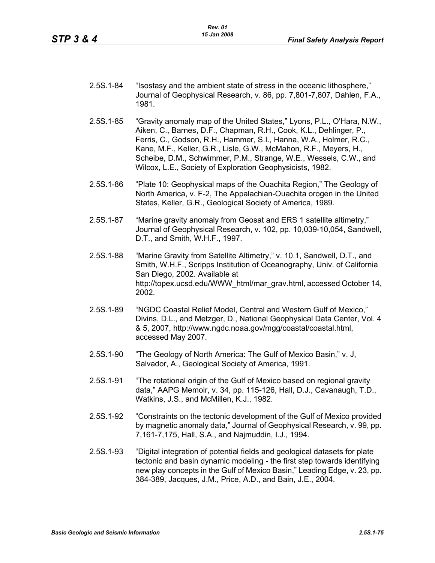| 2.5S.1-84 | "Isostasy and the ambient state of stress in the oceanic lithosphere,"<br>Journal of Geophysical Research, v. 86, pp. 7,801-7,807, Dahlen, F.A., |
|-----------|--------------------------------------------------------------------------------------------------------------------------------------------------|
|           | 1981                                                                                                                                             |

- 2.5S.1-85 "Gravity anomaly map of the United States," Lyons, P.L., O'Hara, N.W., Aiken, C., Barnes, D.F., Chapman, R.H., Cook, K.L., Dehlinger, P., Ferris, C., Godson, R.H., Hammer, S.I., Hanna, W.A., Holmer, R.C., Kane, M.F., Keller, G.R., Lisle, G.W., McMahon, R.F., Meyers, H., Scheibe, D.M., Schwimmer, P.M., Strange, W.E., Wessels, C.W., and Wilcox, L.E., Society of Exploration Geophysicists, 1982.
- 2.5S.1-86 "Plate 10: Geophysical maps of the Ouachita Region," The Geology of North America, v. F-2, The Appalachian-Ouachita orogen in the United States, Keller, G.R., Geological Society of America, 1989.
- 2.5S.1-87 "Marine gravity anomaly from Geosat and ERS 1 satellite altimetry," Journal of Geophysical Research, v. 102, pp. 10,039-10,054, Sandwell, D.T., and Smith, W.H.F., 1997.
- 2.5S.1-88 "Marine Gravity from Satellite Altimetry," v. 10.1, Sandwell, D.T., and Smith, W.H.F., Scripps Institution of Oceanography, Univ. of California San Diego, 2002. Available at http://topex.ucsd.edu/WWW\_html/mar\_grav.html, accessed October 14, 2002.
- 2.5S.1-89 "NGDC Coastal Relief Model, Central and Western Gulf of Mexico," Divins, D.L., and Metzger, D., National Geophysical Data Center, Vol. 4 & 5, 2007, http://www.ngdc.noaa.gov/mgg/coastal/coastal.html, accessed May 2007.
- 2.5S.1-90 "The Geology of North America: The Gulf of Mexico Basin," v. J, Salvador, A., Geological Society of America, 1991.
- 2.5S.1-91 "The rotational origin of the Gulf of Mexico based on regional gravity data," AAPG Memoir, v. 34, pp. 115-126, Hall, D.J., Cavanaugh, T.D., Watkins, J.S., and McMillen, K.J., 1982.
- 2.5S.1-92 "Constraints on the tectonic development of the Gulf of Mexico provided by magnetic anomaly data," Journal of Geophysical Research, v. 99, pp. 7,161-7,175, Hall, S.A., and Najmuddin, I.J., 1994.
- 2.5S.1-93 "Digital integration of potential fields and geological datasets for plate tectonic and basin dynamic modeling - the first step towards identifying new play concepts in the Gulf of Mexico Basin," Leading Edge, v. 23, pp. 384-389, Jacques, J.M., Price, A.D., and Bain, J.E., 2004.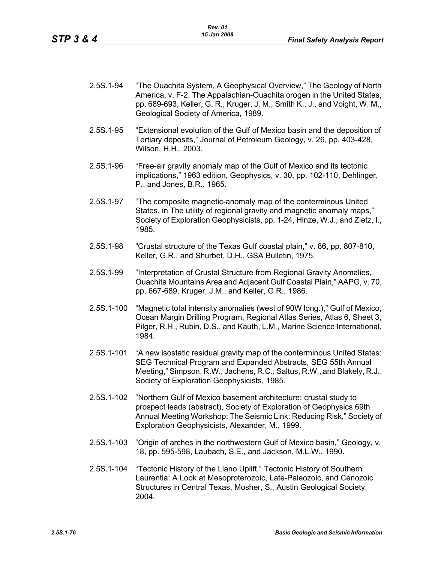- 2.5S.1-94 "The Ouachita System, A Geophysical Overview," The Geology of North America, v. F-2, The Appalachian-Ouachita orogen in the United States, pp. 689-693, Keller, G. R., Kruger, J. M., Smith K., J., and Voight, W. M., Geological Society of America, 1989.
- 2.5S.1-95 "Extensional evolution of the Gulf of Mexico basin and the deposition of Tertiary deposits," Journal of Petroleum Geology, v. 26, pp. 403-428, Wilson, H.H., 2003.
- 2.5S.1-96 "Free-air gravity anomaly map of the Gulf of Mexico and its tectonic implications," 1963 edition, Geophysics, v. 30, pp. 102-110, Dehlinger, P., and Jones, B.R., 1965.
- 2.5S.1-97 "The composite magnetic-anomaly map of the conterminous United States, in The utility of regional gravity and magnetic anomaly maps," Society of Exploration Geophysicists, pp. 1-24, Hinze, W.J., and Zietz, I., 1985.
- 2.5S.1-98 "Crustal structure of the Texas Gulf coastal plain," v. 86, pp. 807-810, Keller, G.R., and Shurbet, D.H., GSA Bulletin, 1975.
- 2.5S.1-99 "Interpretation of Crustal Structure from Regional Gravity Anomalies, Ouachita Mountains Area and Adjacent Gulf Coastal Plain," AAPG, v. 70, pp. 667-689, Kruger, J.M., and Keller, G.R., 1986.
- 2.5S.1-100 "Magnetic total intensity anomalies (west of 90W long.)," Gulf of Mexico, Ocean Margin Drilling Program, Regional Atlas Series, Atlas 6, Sheet 3, Pilger, R.H., Rubin, D.S., and Kauth, L.M., Marine Science International, 1984.
- 2.5S.1-101 "A new isostatic residual gravity map of the conterminous United States: SEG Technical Program and Expanded Abstracts, SEG 55th Annual Meeting," Simpson, R.W., Jachens, R.C., Saltus, R.W., and Blakely, R.J., Society of Exploration Geophysicists, 1985.
- 2.5S.1-102 "Northern Gulf of Mexico basement architecture: crustal study to prospect leads (abstract), Society of Exploration of Geophysics 69th Annual Meeting Workshop: The Seismic Link: Reducing Risk," Society of Exploration Geophysicists, Alexander, M., 1999.
- 2.5S.1-103 "Origin of arches in the northwestern Gulf of Mexico basin," Geology, v. 18, pp. 595-598, Laubach, S.E., and Jackson, M.L.W., 1990.
- 2.5S.1-104 "Tectonic History of the Llano Uplift," Tectonic History of Southern Laurentia: A Look at Mesoproterozoic, Late-Paleozoic, and Cenozoic Structures in Central Texas, Mosher, S., Austin Geological Society, 2004.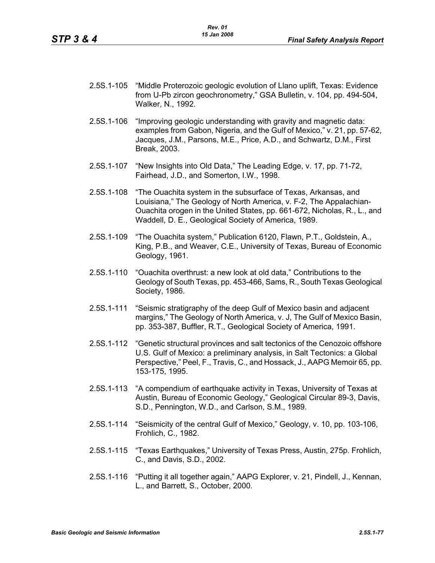- 2.5S.1-105 "Middle Proterozoic geologic evolution of Llano uplift, Texas: Evidence from U-Pb zircon geochronometry," GSA Bulletin, v. 104, pp. 494-504, Walker, N., 1992.
- 2.5S.1-106 "Improving geologic understanding with gravity and magnetic data: examples from Gabon, Nigeria, and the Gulf of Mexico," v. 21, pp. 57-62, Jacques, J.M., Parsons, M.E., Price, A.D., and Schwartz, D.M., First Break, 2003.
- 2.5S.1-107 "New Insights into Old Data," The Leading Edge, v. 17, pp. 71-72, Fairhead, J.D., and Somerton, I.W., 1998.
- 2.5S.1-108 "The Ouachita system in the subsurface of Texas, Arkansas, and Louisiana," The Geology of North America, v. F-2, The Appalachian-Ouachita orogen in the United States, pp. 661-672, Nicholas, R., L., and Waddell, D. E., Geological Society of America, 1989.
- 2.5S.1-109 "The Ouachita system," Publication 6120, Flawn, P.T., Goldstein, A., King, P.B., and Weaver, C.E., University of Texas, Bureau of Economic Geology, 1961.
- 2.5S.1-110 "Ouachita overthrust: a new look at old data," Contributions to the Geology of South Texas, pp. 453-466, Sams, R., South Texas Geological Society, 1986.
- 2.5S.1-111 "Seismic stratigraphy of the deep Gulf of Mexico basin and adjacent margins," The Geology of North America, v. J, The Gulf of Mexico Basin, pp. 353-387, Buffler, R.T., Geological Society of America, 1991.
- 2.5S.1-112 "Genetic structural provinces and salt tectonics of the Cenozoic offshore U.S. Gulf of Mexico: a preliminary analysis, in Salt Tectonics: a Global Perspective," Peel, F., Travis, C., and Hossack, J., AAPG Memoir 65, pp. 153-175, 1995.
- 2.5S.1-113 "A compendium of earthquake activity in Texas, University of Texas at Austin, Bureau of Economic Geology," Geological Circular 89-3, Davis, S.D., Pennington, W.D., and Carlson, S.M., 1989.
- 2.5S.1-114 "Seismicity of the central Gulf of Mexico," Geology, v. 10, pp. 103-106, Frohlich, C., 1982.
- 2.5S.1-115 "Texas Earthquakes," University of Texas Press, Austin, 275p. Frohlich, C., and Davis, S.D., 2002.
- 2.5S.1-116 "Putting it all together again," AAPG Explorer, v. 21, Pindell, J., Kennan, L., and Barrett, S., October, 2000.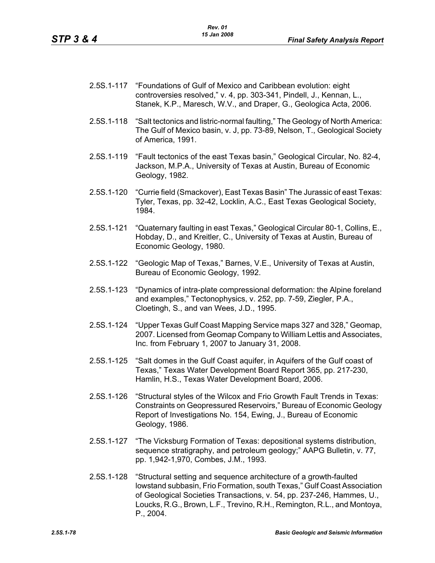- 2.5S.1-117 "Foundations of Gulf of Mexico and Caribbean evolution: eight controversies resolved," v. 4, pp. 303-341, Pindell, J., Kennan, L., Stanek, K.P., Maresch, W.V., and Draper, G., Geologica Acta, 2006.
- 2.5S.1-118 "Salt tectonics and listric-normal faulting," The Geology of North America: The Gulf of Mexico basin, v. J, pp. 73-89, Nelson, T., Geological Society of America, 1991.
- 2.5S.1-119 "Fault tectonics of the east Texas basin," Geological Circular, No. 82-4, Jackson, M.P.A., University of Texas at Austin, Bureau of Economic Geology, 1982.
- 2.5S.1-120 "Currie field (Smackover), East Texas Basin" The Jurassic of east Texas: Tyler, Texas, pp. 32-42, Locklin, A.C., East Texas Geological Society, 1984.
- 2.5S.1-121 "Quaternary faulting in east Texas," Geological Circular 80-1, Collins, E., Hobday, D., and Kreitler, C., University of Texas at Austin, Bureau of Economic Geology, 1980.
- 2.5S.1-122 "Geologic Map of Texas," Barnes, V.E., University of Texas at Austin, Bureau of Economic Geology, 1992.
- 2.5S.1-123 "Dynamics of intra-plate compressional deformation: the Alpine foreland and examples," Tectonophysics, v. 252, pp. 7-59, Ziegler, P.A., Cloetingh, S., and van Wees, J.D., 1995.
- 2.5S.1-124 "Upper Texas Gulf Coast Mapping Service maps 327 and 328," Geomap, 2007. Licensed from Geomap Company to William Lettis and Associates, Inc. from February 1, 2007 to January 31, 2008.
- 2.5S.1-125 "Salt domes in the Gulf Coast aquifer, in Aquifers of the Gulf coast of Texas," Texas Water Development Board Report 365, pp. 217-230, Hamlin, H.S., Texas Water Development Board, 2006.
- 2.5S.1-126 "Structural styles of the Wilcox and Frio Growth Fault Trends in Texas: Constraints on Geopressured Reservoirs," Bureau of Economic Geology Report of Investigations No. 154, Ewing, J., Bureau of Economic Geology, 1986.
- 2.5S.1-127 "The Vicksburg Formation of Texas: depositional systems distribution, sequence stratigraphy, and petroleum geology;" AAPG Bulletin, v. 77, pp. 1,942-1,970, Combes, J.M., 1993.
- 2.5S.1-128 "Structural setting and sequence architecture of a growth-faulted lowstand subbasin, Frio Formation, south Texas," Gulf Coast Association of Geological Societies Transactions, v. 54, pp. 237-246, Hammes, U., Loucks, R.G., Brown, L.F., Trevino, R.H., Remington, R.L., and Montoya, P., 2004.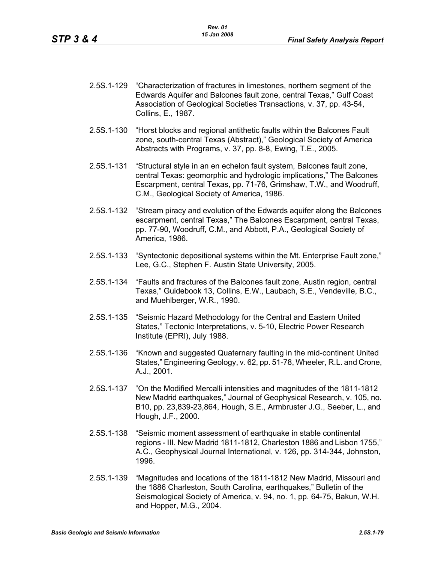- 2.5S.1-129 "Characterization of fractures in limestones, northern segment of the Edwards Aquifer and Balcones fault zone, central Texas," Gulf Coast Association of Geological Societies Transactions, v. 37, pp. 43-54, Collins, E., 1987.
- 2.5S.1-130 "Horst blocks and regional antithetic faults within the Balcones Fault zone, south-central Texas (Abstract)," Geological Society of America Abstracts with Programs, v. 37, pp. 8-8, Ewing, T.E., 2005.
- 2.5S.1-131 "Structural style in an en echelon fault system, Balcones fault zone, central Texas: geomorphic and hydrologic implications," The Balcones Escarpment, central Texas, pp. 71-76, Grimshaw, T.W., and Woodruff, C.M., Geological Society of America, 1986.
- 2.5S.1-132 "Stream piracy and evolution of the Edwards aquifer along the Balcones escarpment, central Texas," The Balcones Escarpment, central Texas, pp. 77-90, Woodruff, C.M., and Abbott, P.A., Geological Society of America, 1986.
- 2.5S.1-133 "Syntectonic depositional systems within the Mt. Enterprise Fault zone," Lee, G.C., Stephen F. Austin State University, 2005.
- 2.5S.1-134 "Faults and fractures of the Balcones fault zone, Austin region, central Texas," Guidebook 13, Collins, E.W., Laubach, S.E., Vendeville, B.C., and Muehlberger, W.R., 1990.
- 2.5S.1-135 "Seismic Hazard Methodology for the Central and Eastern United States," Tectonic Interpretations, v. 5-10, Electric Power Research Institute (EPRI), July 1988.
- 2.5S.1-136 "Known and suggested Quaternary faulting in the mid-continent United States," Engineering Geology, v. 62, pp. 51-78, Wheeler, R.L. and Crone, A.J., 2001.
- 2.5S.1-137 "On the Modified Mercalli intensities and magnitudes of the 1811-1812 New Madrid earthquakes," Journal of Geophysical Research, v. 105, no. B10, pp. 23,839-23,864, Hough, S.E., Armbruster J.G., Seeber, L., and Hough, J.F., 2000.
- 2.5S.1-138 "Seismic moment assessment of earthquake in stable continental regions - III. New Madrid 1811-1812, Charleston 1886 and Lisbon 1755," A.C., Geophysical Journal International, v. 126, pp. 314-344, Johnston, 1996.
- 2.5S.1-139 "Magnitudes and locations of the 1811-1812 New Madrid, Missouri and the 1886 Charleston, South Carolina, earthquakes," Bulletin of the Seismological Society of America, v. 94, no. 1, pp. 64-75, Bakun, W.H. and Hopper, M.G., 2004.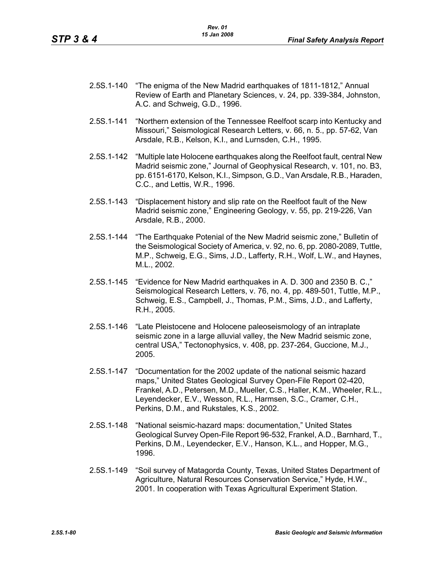- 2.5S.1-140 "The enigma of the New Madrid earthquakes of 1811-1812," Annual Review of Earth and Planetary Sciences, v. 24, pp. 339-384, Johnston, A.C. and Schweig, G.D., 1996.
- 2.5S.1-141 "Northern extension of the Tennessee Reelfoot scarp into Kentucky and Missouri," Seismological Research Letters, v. 66, n. 5., pp. 57-62, Van Arsdale, R.B., Kelson, K.I., and Lurnsden, C.H., 1995.
- 2.5S.1-142 "Multiple late Holocene earthquakes along the Reelfoot fault, central New Madrid seismic zone," Journal of Geophysical Research, v. 101, no. B3, pp. 6151-6170, Kelson, K.I., Simpson, G.D., Van Arsdale, R.B., Haraden, C.C., and Lettis, W.R., 1996.
- 2.5S.1-143 "Displacement history and slip rate on the Reelfoot fault of the New Madrid seismic zone," Engineering Geology, v. 55, pp. 219-226, Van Arsdale, R.B., 2000.
- 2.5S.1-144 "The Earthquake Potenial of the New Madrid seismic zone," Bulletin of the Seismological Society of America, v. 92, no. 6, pp. 2080-2089, Tuttle, M.P., Schweig, E.G., Sims, J.D., Lafferty, R.H., Wolf, L.W., and Haynes, M.L., 2002.
- 2.5S.1-145 "Evidence for New Madrid earthquakes in A. D. 300 and 2350 B. C.," Seismological Research Letters, v. 76, no. 4, pp. 489-501, Tuttle, M.P., Schweig, E.S., Campbell, J., Thomas, P.M., Sims, J.D., and Lafferty, R.H., 2005.
- 2.5S.1-146 "Late Pleistocene and Holocene paleoseismology of an intraplate seismic zone in a large alluvial valley, the New Madrid seismic zone, central USA," Tectonophysics, v. 408, pp. 237-264, Guccione, M.J., 2005.
- 2.5S.1-147 "Documentation for the 2002 update of the national seismic hazard maps," United States Geological Survey Open-File Report 02-420, Frankel, A.D., Petersen, M.D., Mueller, C.S., Haller, K.M., Wheeler, R.L., Leyendecker, E.V., Wesson, R.L., Harmsen, S.C., Cramer, C.H., Perkins, D.M., and Rukstales, K.S., 2002.
- 2.5S.1-148 "National seismic-hazard maps: documentation," United States Geological Survey Open-File Report 96-532, Frankel, A.D., Barnhard, T., Perkins, D.M., Leyendecker, E.V., Hanson, K.L., and Hopper, M.G., 1996.
- 2.5S.1-149 "Soil survey of Matagorda County, Texas, United States Department of Agriculture, Natural Resources Conservation Service," Hyde, H.W., 2001. In cooperation with Texas Agricultural Experiment Station.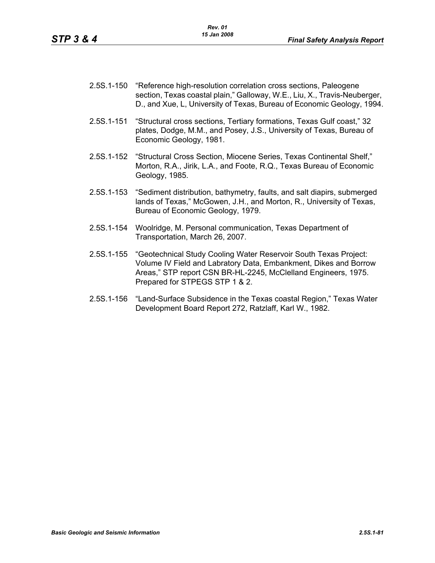- 2.5S.1-150 "Reference high-resolution correlation cross sections, Paleogene section, Texas coastal plain," Galloway, W.E., Liu, X., Travis-Neuberger, D., and Xue, L, University of Texas, Bureau of Economic Geology, 1994.
- 2.5S.1-151 "Structural cross sections, Tertiary formations, Texas Gulf coast," 32 plates, Dodge, M.M., and Posey, J.S., University of Texas, Bureau of Economic Geology, 1981.
- 2.5S.1-152 "Structural Cross Section, Miocene Series, Texas Continental Shelf," Morton, R.A., Jirik, L.A., and Foote, R.Q., Texas Bureau of Economic Geology, 1985.
- 2.5S.1-153 "Sediment distribution, bathymetry, faults, and salt diapirs, submerged lands of Texas," McGowen, J.H., and Morton, R., University of Texas, Bureau of Economic Geology, 1979.
- 2.5S.1-154 Woolridge, M. Personal communication, Texas Department of Transportation, March 26, 2007.
- 2.5S.1-155 "Geotechnical Study Cooling Water Reservoir South Texas Project: Volume IV Field and Labratory Data, Embankment, Dikes and Borrow Areas," STP report CSN BR-HL-2245, McClelland Engineers, 1975. Prepared for STPEGS STP 1 & 2.
- 2.5S.1-156 "Land-Surface Subsidence in the Texas coastal Region," Texas Water Development Board Report 272, Ratzlaff, Karl W., 1982.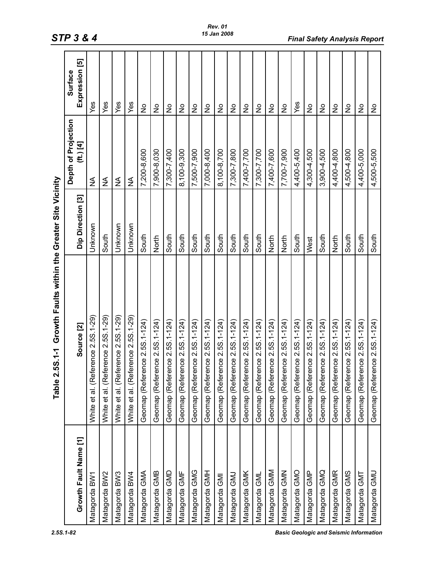|                       | 5S.1-1 Growth Faults within the Greater Site Vicinity<br>Table 2 |                   |                                    |                                  |
|-----------------------|------------------------------------------------------------------|-------------------|------------------------------------|----------------------------------|
| Growth Fault Name [1] | Source <sub>[2]</sub>                                            | Dip Direction [3] | Depth of Projection<br>$(ft.)$ [4] | Expression [5]<br><b>Surface</b> |
| Matagorda BW1         | erence 2.5S.1-29)<br>White et al. (Ref                           | Unknown           | $\frac{1}{2}$                      | Yes                              |
|                       |                                                                  |                   |                                    |                                  |
| Matagorda BW2         | White et al. (Reference 2.5S.1-29)                               | South             | ≨                                  | Yes                              |
| Matagorda BW3         | White et al. (Reference 2.5S.1-29)                               | Unknown           | ≨                                  | Yes                              |
| Matagorda BW4         | White et al. (Reference 2.5S.1-29)                               | Unknown           | ≨                                  | Yes                              |
| Matagorda GMA         | Geomap (Reference 2.5S.1-124)                                    | South             | 7,200-8,600                        | $\frac{1}{2}$                    |
| Matagorda GMB         | Geomap (Reference 2.5S.1-124)                                    | North             | 7,900-8,030                        | $\frac{1}{2}$                    |
| Matagorda GMD         | Geomap (Reference 2.5S.1-124)                                    | South             | 7,300-7,400                        | $\frac{1}{2}$                    |
| Matagorda GMF         | Geomap (Reference 2.5S.1-124)                                    | South             | 8,100-9,300                        | $\frac{1}{2}$                    |
| Matagorda GMG         | Geomap (Reference 2.5S.1-124)                                    | South             | 7,500-7,900                        | $\frac{1}{2}$                    |
| Matagorda GMH         | Geomap (Reference 2.5S.1-124)                                    | South             | 7,000-8,400                        | $\frac{1}{2}$                    |
| Matagorda GMI         | Geomap (Reference 2.5S.1-124)                                    | South             | 8,100-8,700                        | $\frac{1}{2}$                    |
| Matagorda GMJ         | Geomap (Reference 2.5S.1-124)                                    | South             | 7,300-7,800                        | $\frac{1}{2}$                    |
| Matagorda GMK         | Geomap (Reference 2.5S.1-124)                                    | South             | 7,400-7,700                        | $\frac{1}{2}$                    |
| Matagorda GML         | Geomap (Reference 2.5S.1-124)                                    | South             | 7,300-7,700                        | $\frac{1}{2}$                    |
| Matagorda GMM         | Geomap (Reference 2.5S.1-124)                                    | North             | 7,400-7,600                        | $\frac{1}{2}$                    |
| Matagorda GMN         | Geomap (Reference 2.5S.1-124)                                    | North             | 7,700-7,900                        | $\frac{1}{2}$                    |
| Matagorda GMO         | Geomap (Reference 2.5S.1-124)                                    | South             | 4,400-5,400                        | Yes                              |
| Matagorda GMP         | Geomap (Reference 2.5S.1-124)                                    | West              | 4,300-4,500                        | $\frac{1}{2}$                    |
| Matagorda GMQ         | Geomap (Reference 2.5S.1-124)                                    | South             | 3,900-4,500                        | $\frac{1}{2}$                    |
| Matagorda GMR         | Geomap (Reference 2.5S.1-124)                                    | North             | 4,400-4,800                        | $\frac{1}{2}$                    |
| Matagorda GMS         | Geomap (Reference 2.5S.1-124)                                    | South             | 4,500-4,800                        | $\frac{1}{2}$                    |
| Matagorda GMT         | Geomap (Reference 2.5S.1-124)                                    | South             | 4,400-5,000                        | $\frac{1}{2}$                    |
| Matagorda GMU         | Geomap (Reference 2.5S.1-124)                                    | South             | 4,500-5,500                        | $\frac{1}{2}$                    |

*2.5S.1-82 Basic Geologic and Seismic Information* 

## *STP 3 & 4 Final Safety Analysis Report*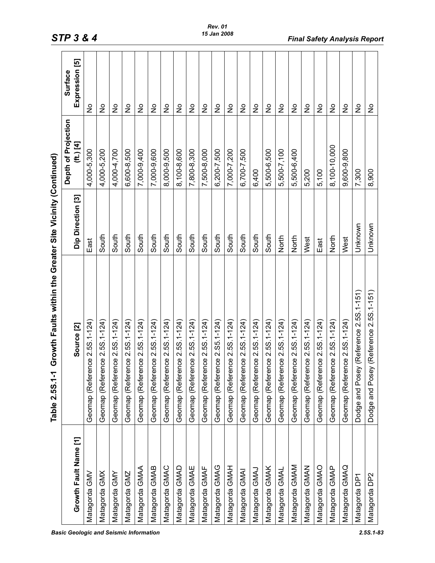|                       | Growth Faults within the Greater Site Vicinity (Continued)<br>Table 2.5S.1-1 |                   |                                      |                               |
|-----------------------|------------------------------------------------------------------------------|-------------------|--------------------------------------|-------------------------------|
| Growth Fault Name [1] | Source <sup>[2]</sup>                                                        | Dip Direction [3] | Depth of Projection<br>$(ft.)$ $[4]$ | Expression [5]<br>Surface     |
| Matagorda GMV         | Geomap (Reference 2.5S.1-124)                                                | East              | 4,000-5,300                          | $\frac{1}{2}$                 |
| Matagorda GMX         | Geomap (Reference 2.5S.1-124)                                                | South             | 4,000-5,200                          | $\frac{1}{2}$                 |
| <b>Matagorda GMY</b>  | Geomap (Reference 2.5S.1-124)                                                | South             | 4,000-4,700                          | ş                             |
| Matagorda GMZ         | Geomap (Reference 2.5S.1-124)                                                | South             | 6,600-8,500                          | ş                             |
| Matagorda GMAA        | Geomap (Reference 2.5S.1-124)                                                | South             | 7,000-9,400                          | ş                             |
| Matagorda GMAB        | Geomap (Reference 2.5S.1-124)                                                | South             | 7,000-9,600                          | $\overset{\circ}{\mathsf{z}}$ |
| Matagorda GMAC        | Geomap (Reference 2.5S.1-124)                                                | South             | 8,000-9,500                          | $\frac{1}{2}$                 |
| Matagorda GMAD        | Geomap (Reference 2.5S.1-124)                                                | South             | 8,100-8,600                          | ş                             |
| Matagorda GMAE        | Geomap (Reference 2.5S.1-124)                                                | South             | 7,800-8,300                          | $\frac{1}{2}$                 |
| Matagorda GMAF        | Geomap (Reference 2.5S.1-124)                                                | South             | 7,500-8,000                          | ş                             |
| Matagorda GMAG        | Geomap (Reference 2.S5.1-124)                                                | South             | 6,200-7,500                          | $\frac{1}{2}$                 |
| MANO spropersM        | Geomap (Reference 2.5S.1-124)                                                | South             | 7,000-7,200                          | $\frac{1}{2}$                 |
| Matagorda GMAI        | Geomap (Reference 2.5S.1-124)                                                | South             | 6,700-7,500                          | ş                             |
| Matagorda GMAJ        | Geomap (Reference 2.5S.1-124)                                                | South             | 6,400                                | ş                             |
| Matagorda GMAK        | Geomap (Reference 2.5S.1-124)                                                | South             | 5,500-6,500                          | $\frac{1}{2}$                 |
| Matagorda GMAL        | Geomap (Reference 2.5S.1-124)                                                | North             | 5,500-7,100                          | $\frac{1}{2}$                 |
| Matagorda GMAM        | Geomap (Reference 2.5S.1-124)                                                | North             | 5,500-6,400                          | $\frac{1}{2}$                 |
| MANG abrogateM        | Geomap (Reference 2.5S.1-124)                                                | West              | 5,200                                | $\frac{1}{2}$                 |
| Matagorda GMAC        | Geomap (Reference 2.5S.1-124)                                                | East              | 5,100                                | $\frac{1}{2}$                 |
| Matagorda GMAP        | Geomap (Reference 2.5S.1-124)                                                | North             | 8,100-10,000                         | $\frac{1}{2}$                 |
| Matagorda GMAQ        | Geomap (Reference 2.5S.1-124)                                                | West              | 9,600-9,800                          | ş                             |
| Matagorda DP1         | Dodge and Posey (Reference 2.5S.1-151)                                       | Unknown           | 7,300                                | ş                             |
| Matagorda DP2         | Dodge and Posey (Reference 2.5S.1-151)                                       | Unknown           | 8,900                                | $\frac{1}{2}$                 |
|                       |                                                                              |                   |                                      |                               |

*Basic Geologic and Seismic Information 2.5S.1-83*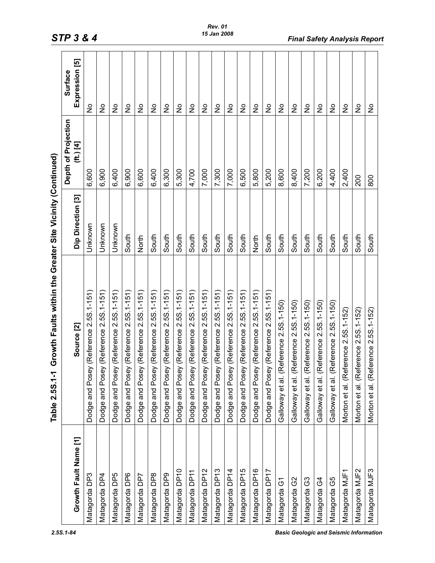|                       | Growth Faults within the Greater Site Vicinity (Continued)<br>Table 2.5S.1-1 |                   |                                      |                            |
|-----------------------|------------------------------------------------------------------------------|-------------------|--------------------------------------|----------------------------|
| Growth Fault Name [1] | Source <sup>[2]</sup>                                                        | Dip Direction [3] | Depth of Projection<br>$(ft.)$ $[4]$ | Expression [5]<br>Surface  |
| Matagorda DP3         | Dodge and Posey (Reference 2.5S.1-151)                                       | Unknown           | 6,600                                | $\frac{1}{2}$              |
| Matagorda DP4         | Dodge and Posey (Reference 2.5S.1-151)                                       | Unknown           | 6,900                                | $\frac{1}{2}$              |
| Matagorda DP5         | Dodge and Posey (Reference 2.5S.1-151)                                       | Unknown           | 6,400                                | $\frac{1}{2}$              |
| Matagorda DP6         | Dodge and Posey (Reference 2.5S.1-151)                                       | South             | 6,900                                | $\frac{1}{2}$              |
| Matagorda DP7         | Dodge and Posey (Reference 2.5S.1-151)                                       | North             | 6,600                                | ş                          |
| Matagorda DP8         | Dodge and Posey (Reference 2.5S.1-151)                                       | South             | 6,400                                | ş                          |
| Matagorda DP9         | Dodge and Posey (Reference 2.5S.1-151)                                       | South             | 6,300                                | ş                          |
| Matagorda DP10        | Dodge and Posey (Reference 2.5S.1-151)                                       | South             | 5,300                                | $\frac{\circ}{\mathsf{Z}}$ |
| Matagorda DP11        | Dodge and Posey (Reference 2.5S.1-151)                                       | South             | 4,700                                | $\frac{1}{2}$              |
| Matagorda DP12        | Dodge and Posey (Reference 2.5S.1-151)                                       | South             | 7,000                                | $\frac{1}{2}$              |
| Matagorda DP13        | Dodge and Posey (Reference 2.5S.1-151)                                       | South             | 7,300                                | $\frac{1}{2}$              |
| Matagorda DP14        | Dodge and Posey (Reference 2.5S.1-151)                                       | South             | 7,000                                | $\frac{1}{2}$              |
| Matagorda DP15        | Dodge and Posey (Reference 2.5S.1-151)                                       | South             | 6,500                                | $\frac{1}{2}$              |
| Matagorda DP16        | Dodge and Posey (Reference 2.5S.1-151)                                       | North             | 5,800                                | $\frac{1}{2}$              |
| Matagorda DP17        | Dodge and Posey (Reference 2.5S.1-151)                                       | South             | 5,200                                | ş                          |
| Matagorda G1          | Reference 2.5S.1-150)<br>Galloway et al.                                     | South             | 8,600                                | ş                          |
| Matagorda G2          | Reference 2.5S.1-150)<br>Galloway et al.                                     | South             | 8,400                                | $\frac{1}{2}$              |
| Matagorda G3          | Reference 2.5S.1-150)<br>Galloway et al.                                     | South             | 7,200                                | $\frac{1}{2}$              |
| Matagorda G4          | Reference 2.5S.1-150)<br>Galloway et al.                                     | South             | 6,200                                | $\frac{1}{2}$              |
| Matagorda G5          | Reference 2.5S.1-150)<br>Galloway et al.                                     | South             | 4,400                                | $\frac{1}{2}$              |
| Matagorda MJF1        | Morton et al. (Reference 2.5S.1-152)                                         | South             | 2,400                                | $\frac{1}{2}$              |
| Matagorda MJF2        | Morton et al. (Reference 2.5S.1-152)                                         | South             | 200                                  | $\frac{1}{2}$              |
| Matagorda MJF3        | Morton et al. (Reference 2.5S.1-152)                                         | South             | 800                                  | $\frac{1}{2}$              |

*STP 3 & 4 Final Safety Analysis Report*

*2.5S.1-84 Basic Geologic and Seismic Information*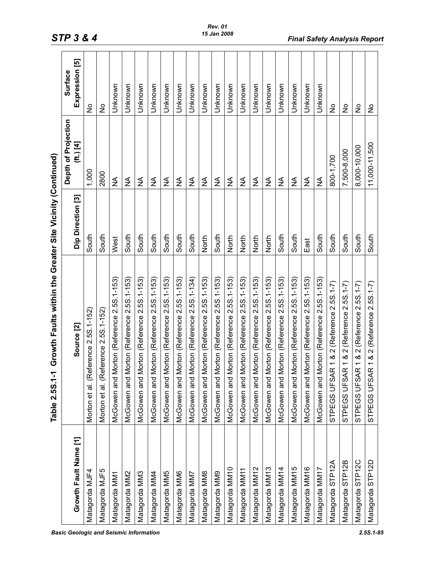|                       | Growth Faults within the Greater Site Vicinity (Continued)<br>Table 2.5S.1-1 |                   |                                    |                                  |
|-----------------------|------------------------------------------------------------------------------|-------------------|------------------------------------|----------------------------------|
| Growth Fault Name [1] | Source [2]                                                                   | Dip Direction [3] | Depth of Projection<br>$(ft.)$ [4] | Expression [5]<br><b>Surface</b> |
| Matagorda MJF4        | erence 2.5S.1-152)<br>Morton et al. (Ref                                     | South             | 1,000                              | $\frac{1}{2}$                    |
| Matagorda MJF5        | Morton et al. (Reference 2.5S.1-152)                                         | South             | 2800                               | $\frac{1}{2}$                    |
| Matagorda MM1         | McGowen and Morton (Reference 2.5S.1-153)                                    | West              | ≨                                  | Unknown                          |
| Matagorda MM2         | McGowen and Morton (Reference 2.5S.1-153)                                    | South             | ≨                                  | Unknown                          |
| Matagorda MM3         | McGowen and Morton (Reference 2.5S.1-153)                                    | South             | ≨                                  | Unknown                          |
| Matagorda MM4         | McGowen and Morton (Reference 2.5S.1-153)                                    | South             | ≨                                  | Unknown                          |
| Matagorda MM5         | McGowen and Morton (Reference 2.5S.1-153)                                    | South             | ≨                                  | Unknown                          |
| Matagorda MM6         | McGowen and Morton (Reference 2.5S.1-153)                                    | South             | ≨                                  | Unknown                          |
| Matagorda MM7         | McGowen and Morton (Reference 2.5S.1-134)                                    | South             | ≨                                  | Unknown                          |
| Matagorda MM8         | McGowen and Morton (Reference 2.5S.1-153)                                    | North             | $\frac{1}{2}$                      | Unknown                          |
| Matagorda MM9         | McGowen and Morton (Reference 2.5S.1-153)                                    | South             | ≨                                  | Unknown                          |
| Matagorda MM10        | McGowen and Morton (Reference 2.5S.1-153)                                    | North             | ≨                                  | Unknown                          |
| Matagorda MM11        | McGowen and Morton (Reference 2.5S.1-153)                                    | North             | ≨                                  | Unknown                          |
| Matagorda MM12        | McGowen and Morton (Reference 2.5S.1-153)                                    | North             | ≨                                  | Unknown                          |
| Matagorda MM13        | McGowen and Morton (Reference 2.5S.1-153)                                    | North             | ≨                                  | Unknown                          |
| Matagorda MM14        | McGowen and Morton (Reference 2.5S.1-153)                                    | South             | ≨                                  | Unknown                          |
| Matagorda MM15        | McGowen and Morton (Reference 2.5S.1-153)                                    | South             | ≨                                  | Unknown                          |
| Matagorda MM16        | McGowen and Morton (Reference 2.5S.1-153)                                    | East              | ≸                                  | Unknown                          |
| Matagorda MM17        | McGowen and Morton (Reference 2.5S.1-153)                                    | South             | ≸                                  | Unknown                          |
| Matagorda STP12A      | STPEGS UFSAR 1 & 2 (Reference 2.5S.1-7)                                      | South             | 800-1,700                          | $\frac{1}{2}$                    |
| Matagorda STP12B      | 1 & 2 (Reference 2.5S.1-7)<br>STPEGS UFSAR                                   | South             | 7,500-8,000                        | $\frac{1}{2}$                    |
| Matagorda STP12C      | 1 & 2 (Reference 2.5S.1-7)<br>STPEGS UFSAR                                   | South             | 8,000-10,000                       | $\frac{1}{2}$                    |
| Matagorda STP12D      | 1 & 2 (Reference 2.5S.1-7)<br>STPEGS UFSAR                                   | South             | 11,000-11,500                      | $\frac{1}{2}$                    |

**STP 3 & 4 Final Safety Analysis Report** 15 Jan 2008 **Final Safety Analysis Report**